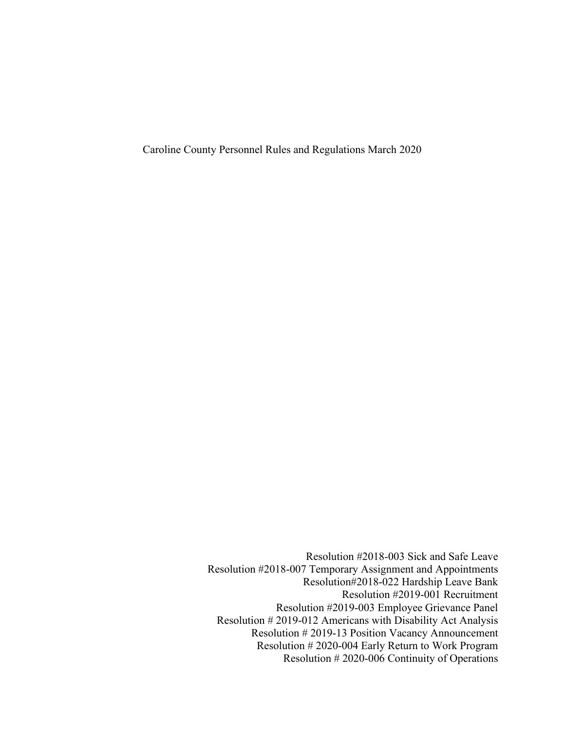Resolution #2018-003 Sick and Safe Leave Resolution #2018-007 Temporary Assignment and Appointments Resolution#2018-022 Hardship Leave Bank Resolution #2019-001 Recruitment Resolution #2019-003 Employee Grievance Panel Resolution # 2019-012 Americans with Disability Act Analysis Resolution # 2019-13 Position Vacancy Announcement Resolution # 2020-004 Early Return to Work Program Resolution # 2020-006 Continuity of Operations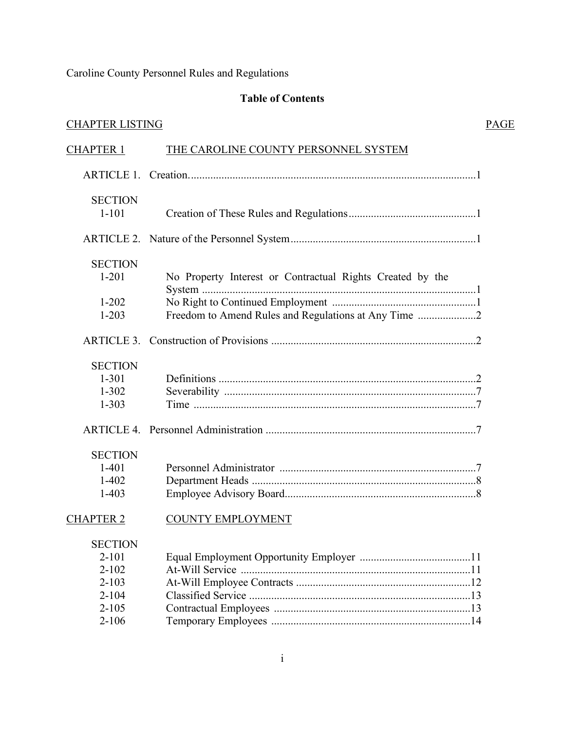# **Table of Contents**

| <b>CHAPTER LISTING</b> |                                                           | <b>PAGE</b> |
|------------------------|-----------------------------------------------------------|-------------|
| <b>CHAPTER 1</b>       | THE CAROLINE COUNTY PERSONNEL SYSTEM                      |             |
|                        |                                                           |             |
| <b>SECTION</b>         |                                                           |             |
| $1 - 101$              |                                                           |             |
|                        |                                                           |             |
| <b>SECTION</b>         |                                                           |             |
| $1 - 201$              | No Property Interest or Contractual Rights Created by the |             |
| $1 - 202$              |                                                           |             |
| $1 - 203$              | Freedom to Amend Rules and Regulations at Any Time 2      |             |
|                        |                                                           |             |
| <b>SECTION</b>         |                                                           |             |
| $1 - 301$              |                                                           |             |
| $1 - 302$              |                                                           |             |
| $1 - 303$              |                                                           |             |
|                        |                                                           |             |
| <b>SECTION</b>         |                                                           |             |
| $1-401$                |                                                           |             |
| $1-402$                |                                                           |             |
| $1-403$                |                                                           |             |
| <b>CHAPTER 2</b>       | <b>COUNTY EMPLOYMENT</b>                                  |             |
| <b>SECTION</b>         |                                                           |             |
| $2 - 101$              |                                                           |             |
| $2 - 102$              |                                                           |             |
| $2 - 103$              |                                                           |             |
| $2 - 104$              |                                                           |             |
| $2 - 105$              |                                                           |             |
| $2 - 106$              |                                                           |             |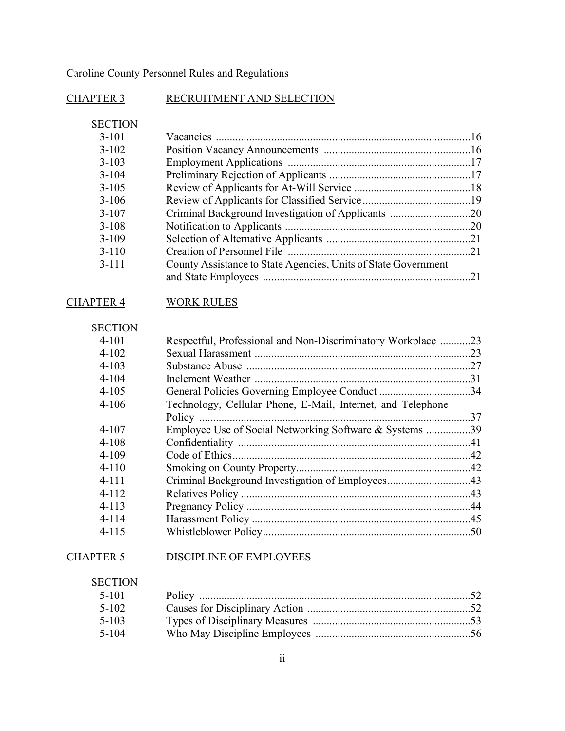# CHAPTER 3 RECRUITMENT AND SELECTION

| <b>SECTION</b>   |                                                                |  |
|------------------|----------------------------------------------------------------|--|
| $3-101$          |                                                                |  |
| $3 - 102$        |                                                                |  |
| $3 - 103$        |                                                                |  |
| $3 - 104$        |                                                                |  |
| $3 - 105$        |                                                                |  |
| $3 - 106$        |                                                                |  |
| $3 - 107$        | Criminal Background Investigation of Applicants 20             |  |
| $3 - 108$        |                                                                |  |
| $3 - 109$        |                                                                |  |
| $3 - 110$        |                                                                |  |
| $3 - 111$        | County Assistance to State Agencies, Units of State Government |  |
|                  |                                                                |  |
| <b>CHAPTER 4</b> | <b>WORK RULES</b>                                              |  |
| <b>SECTION</b>   |                                                                |  |
| $4 - 101$        | Respectful, Professional and Non-Discriminatory Workplace 23   |  |
| $4 - 102$        |                                                                |  |
| $4 - 103$        |                                                                |  |
| $4 - 104$        |                                                                |  |
| $4 - 105$        | General Policies Governing Employee Conduct 34                 |  |
| $4 - 106$        | Technology, Cellular Phone, E-Mail, Internet, and Telephone    |  |
| $4 - 107$        |                                                                |  |
| $4 - 108$        | Employee Use of Social Networking Software & Systems 39        |  |
| $4 - 109$        |                                                                |  |
| $4 - 110$        |                                                                |  |
| $4 - 111$        | Criminal Background Investigation of Employees43               |  |
| $4 - 112$        |                                                                |  |
| $4 - 113$        |                                                                |  |
| $4 - 114$        |                                                                |  |
| $4 - 115$        |                                                                |  |
|                  |                                                                |  |

# CHAPTER 5 DISCIPLINE OF EMPLOYEES

# SECTION

| $5 - 101$ |  |
|-----------|--|
| $5 - 102$ |  |
| $5 - 103$ |  |
| 5-104     |  |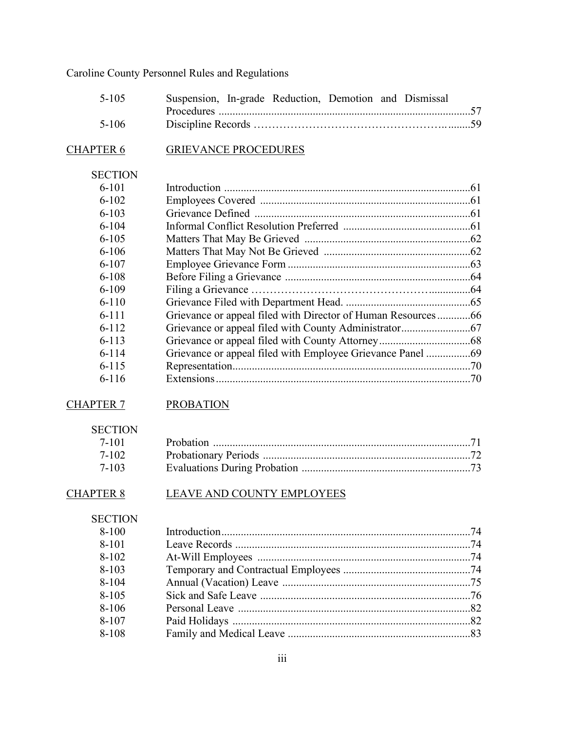| 5-105 | Suspension, In-grade Reduction, Demotion and Dismissal |  |  |  |
|-------|--------------------------------------------------------|--|--|--|
|       |                                                        |  |  |  |
| 5-106 |                                                        |  |  |  |

# CHAPTER 6 GRIEVANCE PROCEDURES

### SECTION

| $6 - 101$ |    |
|-----------|----|
| $6-102$   |    |
| $6 - 103$ |    |
| $6 - 104$ |    |
| $6 - 105$ |    |
| 6-106     |    |
| $6 - 107$ |    |
| 6-108     |    |
| $6 - 109$ |    |
| $6-110$   |    |
| 6-111     |    |
| 6-112     |    |
| $6 - 113$ |    |
| 6-114     |    |
| 6-115     |    |
| 6-116     | 70 |
|           |    |

# CHAPTER 7 PROBATION

### SECTION

## CHAPTER 8 LEAVE AND COUNTY EMPLOYEES

## SECTION

| $8 - 100$ |  |
|-----------|--|
| 8-101     |  |
| $8-102$   |  |
| $8 - 103$ |  |
| $8 - 104$ |  |
| $8 - 105$ |  |
| $8 - 106$ |  |
| 8-107     |  |
| 8-108     |  |
|           |  |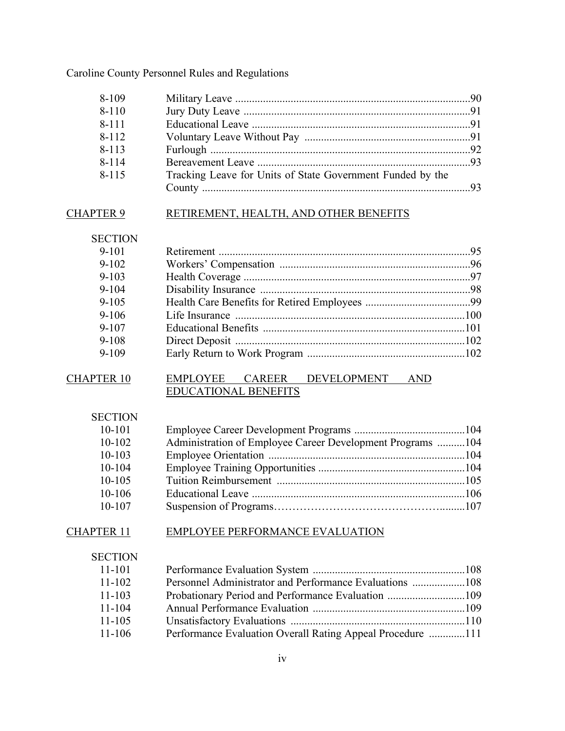| 8-109     |                                                            |  |
|-----------|------------------------------------------------------------|--|
| 8-110     |                                                            |  |
| 8-111     |                                                            |  |
| 8-112     |                                                            |  |
| 8-113     |                                                            |  |
| $8 - 114$ |                                                            |  |
| $8 - 115$ | Tracking Leave for Units of State Government Funded by the |  |
|           |                                                            |  |
|           |                                                            |  |

#### CHAPTER 9 RETIREMENT, HEALTH, AND OTHER BENEFITS

| 9-101     |  |
|-----------|--|
| $9 - 102$ |  |
| $9 - 103$ |  |
| $9 - 104$ |  |
| $9 - 105$ |  |
| 9-106     |  |
| 9-107     |  |
| 9-108     |  |
| 9-109     |  |

### CHAPTER 10 EMPLOYEE CAREER DEVELOPMENT AND EDUCATIONAL BENEFITS

#### SECTION

| $10-101$   |                                                            |  |
|------------|------------------------------------------------------------|--|
| $10 - 102$ | Administration of Employee Career Development Programs 104 |  |
| $10-103$   |                                                            |  |
| $10-104$   |                                                            |  |
| $10-105$   |                                                            |  |
| $10-106$   |                                                            |  |
| $10 - 107$ |                                                            |  |

# CHAPTER 11 EMPLOYEE PERFORMANCE EVALUATION

#### SECTION

| $11 - 101$ |                                                            |  |
|------------|------------------------------------------------------------|--|
| $11 - 102$ | Personnel Administrator and Performance Evaluations 108    |  |
| $11 - 103$ | Probationary Period and Performance Evaluation 109         |  |
| $11 - 104$ |                                                            |  |
| $11 - 105$ |                                                            |  |
| 11-106     | Performance Evaluation Overall Rating Appeal Procedure 111 |  |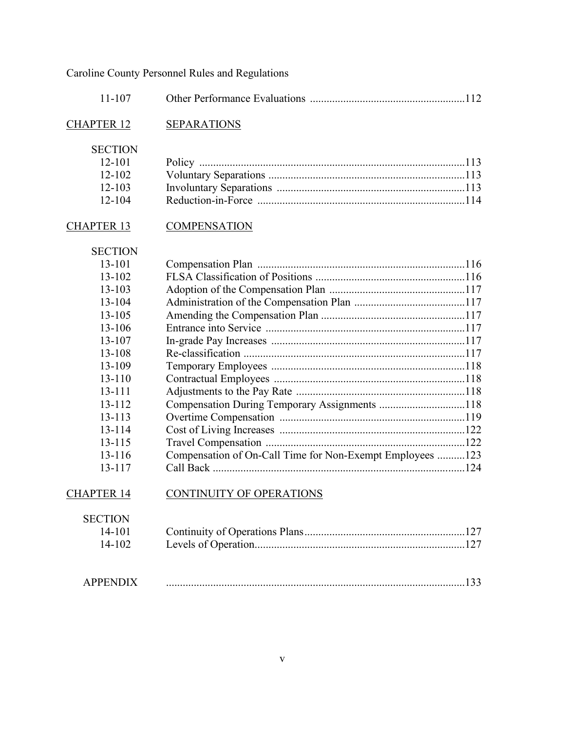| 11-107            |                                                           |
|-------------------|-----------------------------------------------------------|
| <b>CHAPTER 12</b> | <b>SEPARATIONS</b>                                        |
| <b>SECTION</b>    |                                                           |
| 12-101            |                                                           |
| 12-102            |                                                           |
| 12-103            |                                                           |
| 12-104            |                                                           |
|                   |                                                           |
| <b>CHAPTER 13</b> | <b>COMPENSATION</b>                                       |
| <b>SECTION</b>    |                                                           |
| 13-101            |                                                           |
| 13-102            |                                                           |
| 13-103            |                                                           |
| 13-104            |                                                           |
| 13-105            |                                                           |
| 13-106            |                                                           |
| 13-107            |                                                           |
| 13-108            |                                                           |
| 13-109            |                                                           |
| 13-110            |                                                           |
| 13-111            |                                                           |
| 13-112            | Compensation During Temporary Assignments 118             |
| 13-113            |                                                           |
| 13-114            |                                                           |
| 13-115            |                                                           |
| 13-116            | Compensation of On-Call Time for Non-Exempt Employees 123 |
| 13-117            |                                                           |
| <b>CHAPTER 14</b> | CONTINUITY OF OPERATIONS                                  |
| <b>SECTION</b>    |                                                           |
| 14-101            |                                                           |
| 14-102            |                                                           |
|                   |                                                           |
| <b>APPENDIX</b>   |                                                           |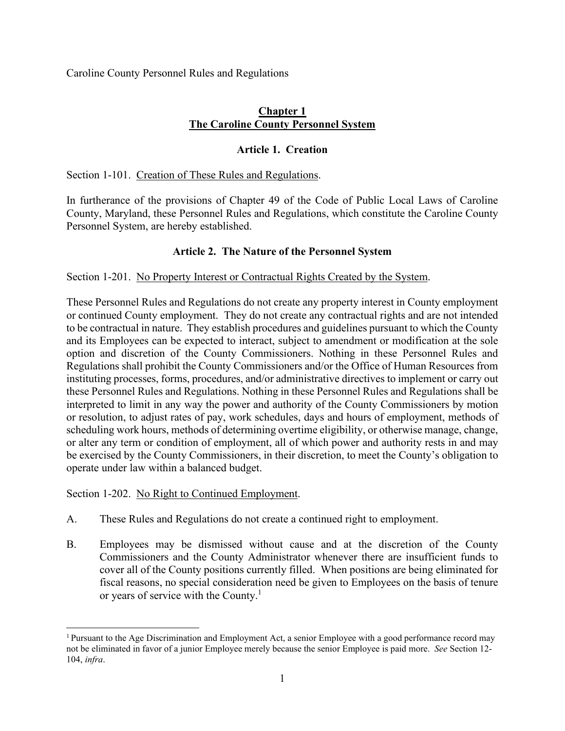#### **Chapter 1 The Caroline County Personnel System**

### **Article 1. Creation**

Section 1-101. Creation of These Rules and Regulations.

In furtherance of the provisions of Chapter 49 of the Code of Public Local Laws of Caroline County, Maryland, these Personnel Rules and Regulations, which constitute the Caroline County Personnel System, are hereby established.

### **Article 2. The Nature of the Personnel System**

Section 1-201. No Property Interest or Contractual Rights Created by the System.

These Personnel Rules and Regulations do not create any property interest in County employment or continued County employment. They do not create any contractual rights and are not intended to be contractual in nature. They establish procedures and guidelines pursuant to which the County and its Employees can be expected to interact, subject to amendment or modification at the sole option and discretion of the County Commissioners. Nothing in these Personnel Rules and Regulations shall prohibit the County Commissioners and/or the Office of Human Resources from instituting processes, forms, procedures, and/or administrative directives to implement or carry out these Personnel Rules and Regulations. Nothing in these Personnel Rules and Regulations shall be interpreted to limit in any way the power and authority of the County Commissioners by motion or resolution, to adjust rates of pay, work schedules, days and hours of employment, methods of scheduling work hours, methods of determining overtime eligibility, or otherwise manage, change, or alter any term or condition of employment, all of which power and authority rests in and may be exercised by the County Commissioners, in their discretion, to meet the County's obligation to operate under law within a balanced budget.

Section 1-202. No Right to Continued Employment.

- A. These Rules and Regulations do not create a continued right to employment.
- B. Employees may be dismissed without cause and at the discretion of the County Commissioners and the County Administrator whenever there are insufficient funds to cover all of the County positions currently filled. When positions are being eliminated for fiscal reasons, no special consideration need be given to Employees on the basis of tenure or years of service with the County.<sup>1</sup>

<sup>1</sup> Pursuant to the Age Discrimination and Employment Act, a senior Employee with a good performance record may not be eliminated in favor of a junior Employee merely because the senior Employee is paid more. *See* Section 12- 104, *infra*.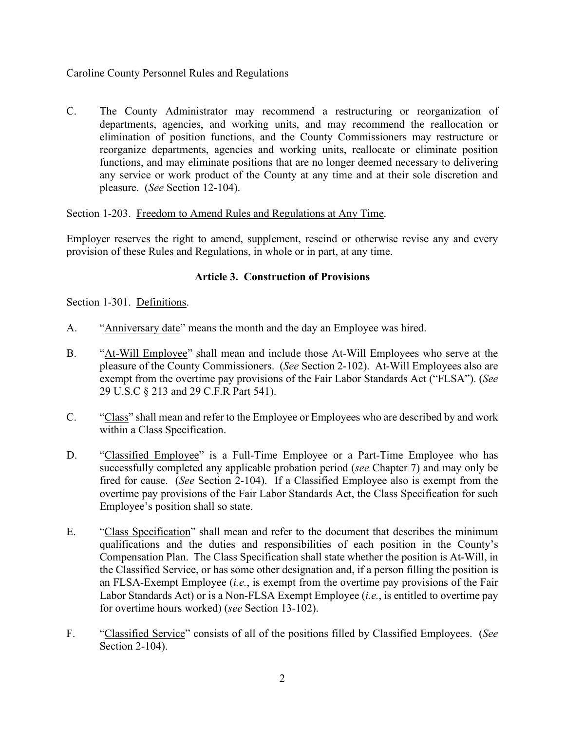C. The County Administrator may recommend a restructuring or reorganization of departments, agencies, and working units, and may recommend the reallocation or elimination of position functions, and the County Commissioners may restructure or reorganize departments, agencies and working units, reallocate or eliminate position functions, and may eliminate positions that are no longer deemed necessary to delivering any service or work product of the County at any time and at their sole discretion and pleasure. (*See* Section 12-104).

### Section 1-203. Freedom to Amend Rules and Regulations at Any Time.

Employer reserves the right to amend, supplement, rescind or otherwise revise any and every provision of these Rules and Regulations, in whole or in part, at any time.

### **Article 3. Construction of Provisions**

Section 1-301. Definitions.

- A. "Anniversary date" means the month and the day an Employee was hired.
- B. "At-Will Employee" shall mean and include those At-Will Employees who serve at the pleasure of the County Commissioners. (*See* Section 2-102). At-Will Employees also are exempt from the overtime pay provisions of the Fair Labor Standards Act ("FLSA"). (*See* 29 U.S.C § 213 and 29 C.F.R Part 541).
- C. "Class" shall mean and refer to the Employee or Employees who are described by and work within a Class Specification.
- D. "Classified Employee" is a Full-Time Employee or a Part-Time Employee who has successfully completed any applicable probation period (*see* Chapter 7) and may only be fired for cause. (*See* Section 2-104). If a Classified Employee also is exempt from the overtime pay provisions of the Fair Labor Standards Act, the Class Specification for such Employee's position shall so state.
- E. "Class Specification" shall mean and refer to the document that describes the minimum qualifications and the duties and responsibilities of each position in the County's Compensation Plan. The Class Specification shall state whether the position is At-Will, in the Classified Service, or has some other designation and, if a person filling the position is an FLSA-Exempt Employee (*i.e.*, is exempt from the overtime pay provisions of the Fair Labor Standards Act) or is a Non-FLSA Exempt Employee (*i.e.*, is entitled to overtime pay for overtime hours worked) (*see* Section 13-102).
- F. "Classified Service" consists of all of the positions filled by Classified Employees. (*See* Section 2-104).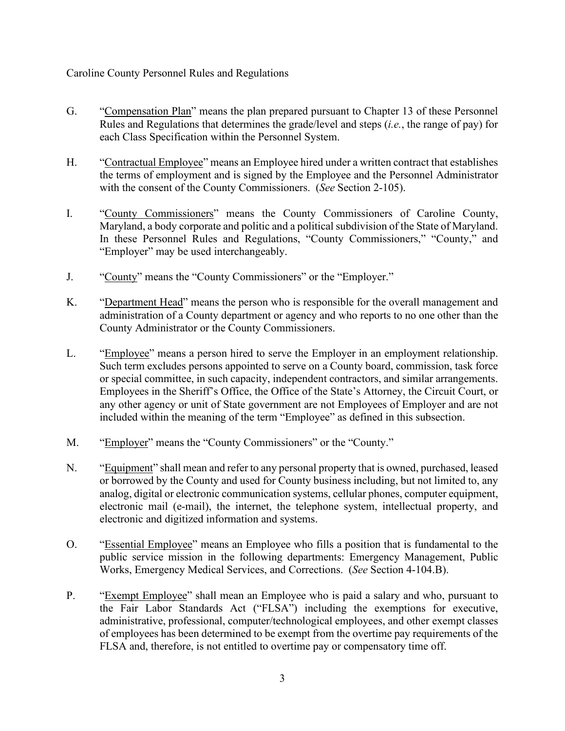- G. "Compensation Plan" means the plan prepared pursuant to Chapter 13 of these Personnel Rules and Regulations that determines the grade/level and steps (*i.e.*, the range of pay) for each Class Specification within the Personnel System.
- H. "Contractual Employee" means an Employee hired under a written contract that establishes the terms of employment and is signed by the Employee and the Personnel Administrator with the consent of the County Commissioners. (*See* Section 2-105).
- I. "County Commissioners" means the County Commissioners of Caroline County, Maryland, a body corporate and politic and a political subdivision of the State of Maryland. In these Personnel Rules and Regulations, "County Commissioners," "County," and "Employer" may be used interchangeably.
- J. "County" means the "County Commissioners" or the "Employer."
- K. "Department Head" means the person who is responsible for the overall management and administration of a County department or agency and who reports to no one other than the County Administrator or the County Commissioners.
- L. "Employee" means a person hired to serve the Employer in an employment relationship. Such term excludes persons appointed to serve on a County board, commission, task force or special committee, in such capacity, independent contractors, and similar arrangements. Employees in the Sheriff's Office, the Office of the State's Attorney, the Circuit Court, or any other agency or unit of State government are not Employees of Employer and are not included within the meaning of the term "Employee" as defined in this subsection.
- M. "Employer" means the "County Commissioners" or the "County."
- N. "Equipment" shall mean and refer to any personal property that is owned, purchased, leased or borrowed by the County and used for County business including, but not limited to, any analog, digital or electronic communication systems, cellular phones, computer equipment, electronic mail (e-mail), the internet, the telephone system, intellectual property, and electronic and digitized information and systems.
- O. "Essential Employee" means an Employee who fills a position that is fundamental to the public service mission in the following departments: Emergency Management, Public Works, Emergency Medical Services, and Corrections. (*See* Section 4-104.B).
- P. "Exempt Employee" shall mean an Employee who is paid a salary and who, pursuant to the Fair Labor Standards Act ("FLSA") including the exemptions for executive, administrative, professional, computer/technological employees, and other exempt classes of employees has been determined to be exempt from the overtime pay requirements of the FLSA and, therefore, is not entitled to overtime pay or compensatory time off.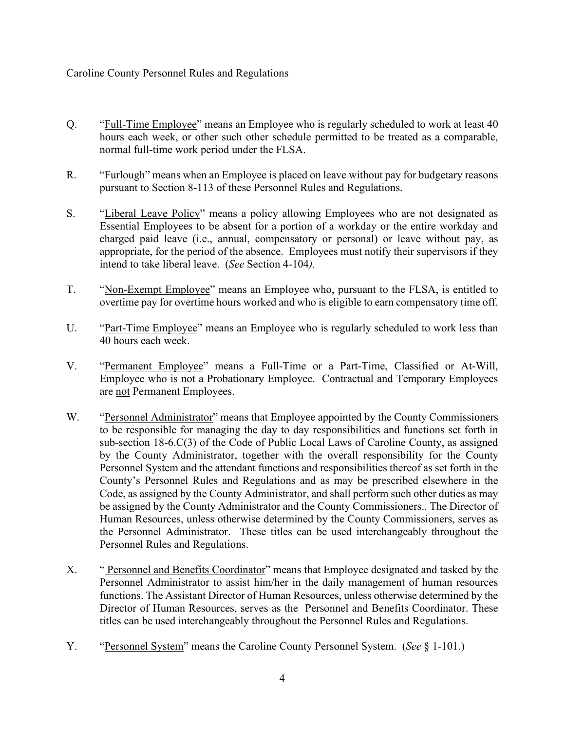- Q. "Full-Time Employee" means an Employee who is regularly scheduled to work at least 40 hours each week, or other such other schedule permitted to be treated as a comparable, normal full-time work period under the FLSA.
- R. "Furlough" means when an Employee is placed on leave without pay for budgetary reasons pursuant to Section 8-113 of these Personnel Rules and Regulations.
- S. "Liberal Leave Policy" means a policy allowing Employees who are not designated as Essential Employees to be absent for a portion of a workday or the entire workday and charged paid leave (i.e., annual, compensatory or personal) or leave without pay, as appropriate, for the period of the absence. Employees must notify their supervisors if they intend to take liberal leave. (*See* Section 4-104*).*
- T. "Non-Exempt Employee" means an Employee who, pursuant to the FLSA, is entitled to overtime pay for overtime hours worked and who is eligible to earn compensatory time off.
- U. "Part-Time Employee" means an Employee who is regularly scheduled to work less than 40 hours each week.
- V. "Permanent Employee" means a Full-Time or a Part-Time, Classified or At-Will, Employee who is not a Probationary Employee. Contractual and Temporary Employees are not Permanent Employees.
- W. "Personnel Administrator" means that Employee appointed by the County Commissioners to be responsible for managing the day to day responsibilities and functions set forth in sub-section 18-6.C(3) of the Code of Public Local Laws of Caroline County, as assigned by the County Administrator, together with the overall responsibility for the County Personnel System and the attendant functions and responsibilities thereof as set forth in the County's Personnel Rules and Regulations and as may be prescribed elsewhere in the Code, as assigned by the County Administrator, and shall perform such other duties as may be assigned by the County Administrator and the County Commissioners.. The Director of Human Resources, unless otherwise determined by the County Commissioners, serves as the Personnel Administrator. These titles can be used interchangeably throughout the Personnel Rules and Regulations.
- X. "Personnel and Benefits Coordinator" means that Employee designated and tasked by the Personnel Administrator to assist him/her in the daily management of human resources functions. The Assistant Director of Human Resources, unless otherwise determined by the Director of Human Resources, serves as the Personnel and Benefits Coordinator. These titles can be used interchangeably throughout the Personnel Rules and Regulations.
- Y. "Personnel System" means the Caroline County Personnel System. (*See* § 1-101.)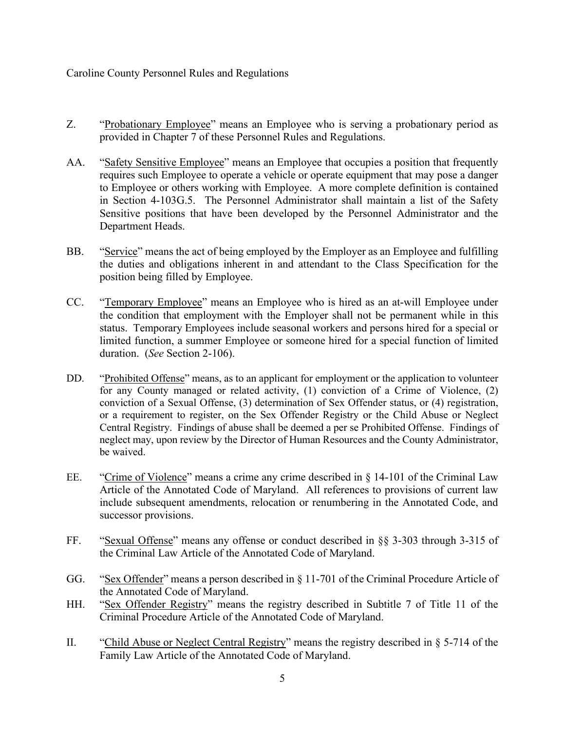- Z. "Probationary Employee" means an Employee who is serving a probationary period as provided in Chapter 7 of these Personnel Rules and Regulations.
- AA. "Safety Sensitive Employee" means an Employee that occupies a position that frequently requires such Employee to operate a vehicle or operate equipment that may pose a danger to Employee or others working with Employee. A more complete definition is contained in Section 4-103G.5. The Personnel Administrator shall maintain a list of the Safety Sensitive positions that have been developed by the Personnel Administrator and the Department Heads.
- BB. "Service" means the act of being employed by the Employer as an Employee and fulfilling the duties and obligations inherent in and attendant to the Class Specification for the position being filled by Employee.
- CC. "Temporary Employee" means an Employee who is hired as an at-will Employee under the condition that employment with the Employer shall not be permanent while in this status. Temporary Employees include seasonal workers and persons hired for a special or limited function, a summer Employee or someone hired for a special function of limited duration. (*See* Section 2-106).
- DD. "Prohibited Offense" means, as to an applicant for employment or the application to volunteer for any County managed or related activity, (1) conviction of a Crime of Violence, (2) conviction of a Sexual Offense, (3) determination of Sex Offender status, or (4) registration, or a requirement to register, on the Sex Offender Registry or the Child Abuse or Neglect Central Registry. Findings of abuse shall be deemed a per se Prohibited Offense. Findings of neglect may, upon review by the Director of Human Resources and the County Administrator, be waived.
- EE. "Crime of Violence" means a crime any crime described in § 14-101 of the Criminal Law Article of the Annotated Code of Maryland. All references to provisions of current law include subsequent amendments, relocation or renumbering in the Annotated Code, and successor provisions.
- FF. "Sexual Offense" means any offense or conduct described in §§ 3-303 through 3-315 of the Criminal Law Article of the Annotated Code of Maryland.
- GG. "Sex Offender" means a person described in § 11-701 of the Criminal Procedure Article of the Annotated Code of Maryland.
- HH. "Sex Offender Registry" means the registry described in Subtitle 7 of Title 11 of the Criminal Procedure Article of the Annotated Code of Maryland.
- II. "Child Abuse or Neglect Central Registry" means the registry described in § 5-714 of the Family Law Article of the Annotated Code of Maryland.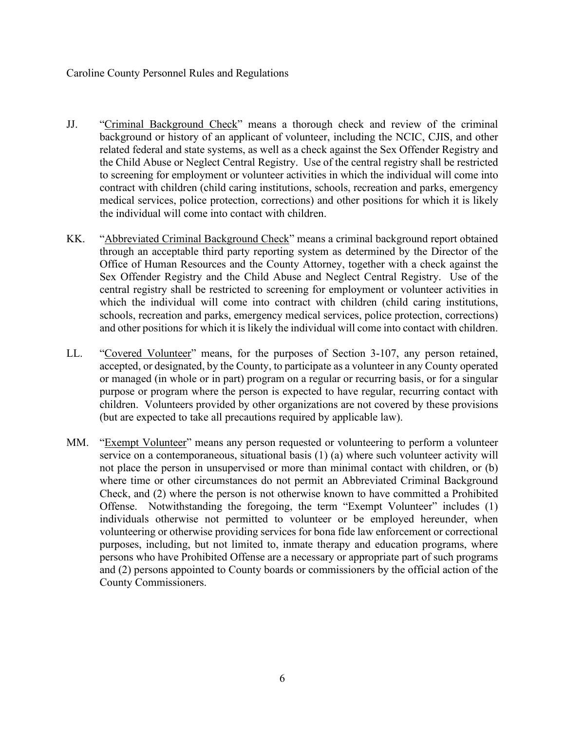- JJ. "Criminal Background Check" means a thorough check and review of the criminal background or history of an applicant of volunteer, including the NCIC, CJIS, and other related federal and state systems, as well as a check against the Sex Offender Registry and the Child Abuse or Neglect Central Registry. Use of the central registry shall be restricted to screening for employment or volunteer activities in which the individual will come into contract with children (child caring institutions, schools, recreation and parks, emergency medical services, police protection, corrections) and other positions for which it is likely the individual will come into contact with children.
- KK. "Abbreviated Criminal Background Check" means a criminal background report obtained through an acceptable third party reporting system as determined by the Director of the Office of Human Resources and the County Attorney, together with a check against the Sex Offender Registry and the Child Abuse and Neglect Central Registry. Use of the central registry shall be restricted to screening for employment or volunteer activities in which the individual will come into contract with children (child caring institutions, schools, recreation and parks, emergency medical services, police protection, corrections) and other positions for which it is likely the individual will come into contact with children.
- LL. "Covered Volunteer" means, for the purposes of Section 3-107, any person retained, accepted, or designated, by the County, to participate as a volunteer in any County operated or managed (in whole or in part) program on a regular or recurring basis, or for a singular purpose or program where the person is expected to have regular, recurring contact with children. Volunteers provided by other organizations are not covered by these provisions (but are expected to take all precautions required by applicable law).
- MM. "Exempt Volunteer" means any person requested or volunteering to perform a volunteer service on a contemporaneous, situational basis (1) (a) where such volunteer activity will not place the person in unsupervised or more than minimal contact with children, or (b) where time or other circumstances do not permit an Abbreviated Criminal Background Check, and (2) where the person is not otherwise known to have committed a Prohibited Offense. Notwithstanding the foregoing, the term "Exempt Volunteer" includes (1) individuals otherwise not permitted to volunteer or be employed hereunder, when volunteering or otherwise providing services for bona fide law enforcement or correctional purposes, including, but not limited to, inmate therapy and education programs, where persons who have Prohibited Offense are a necessary or appropriate part of such programs and (2) persons appointed to County boards or commissioners by the official action of the County Commissioners.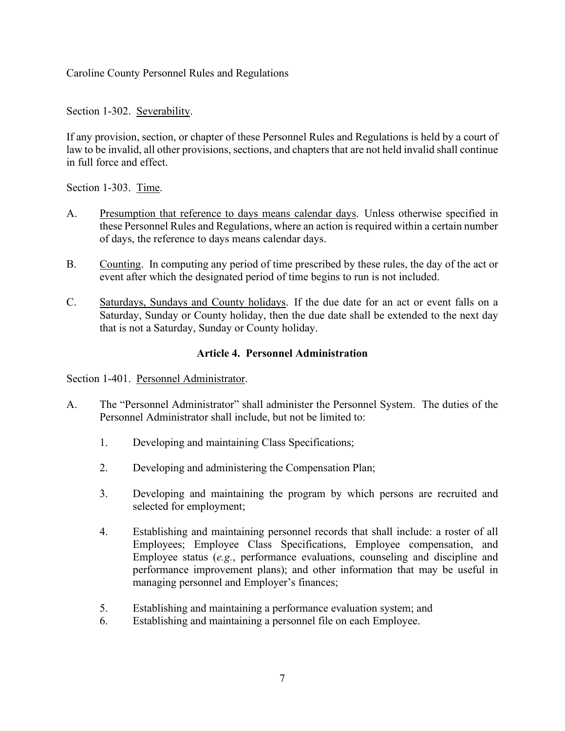Section 1-302. Severability.

If any provision, section, or chapter of these Personnel Rules and Regulations is held by a court of law to be invalid, all other provisions, sections, and chapters that are not held invalid shall continue in full force and effect.

Section 1-303. Time.

- A. Presumption that reference to days means calendar days. Unless otherwise specified in these Personnel Rules and Regulations, where an action is required within a certain number of days, the reference to days means calendar days.
- B. Counting. In computing any period of time prescribed by these rules, the day of the act or event after which the designated period of time begins to run is not included.
- C. Saturdays, Sundays and County holidays. If the due date for an act or event falls on a Saturday, Sunday or County holiday, then the due date shall be extended to the next day that is not a Saturday, Sunday or County holiday.

### **Article 4. Personnel Administration**

Section 1-401. Personnel Administrator.

- A. The "Personnel Administrator" shall administer the Personnel System. The duties of the Personnel Administrator shall include, but not be limited to:
	- 1. Developing and maintaining Class Specifications;
	- 2. Developing and administering the Compensation Plan;
	- 3. Developing and maintaining the program by which persons are recruited and selected for employment;
	- 4. Establishing and maintaining personnel records that shall include: a roster of all Employees; Employee Class Specifications, Employee compensation, and Employee status (*e.g.*, performance evaluations, counseling and discipline and performance improvement plans); and other information that may be useful in managing personnel and Employer's finances;
	- 5. Establishing and maintaining a performance evaluation system; and
	- 6. Establishing and maintaining a personnel file on each Employee.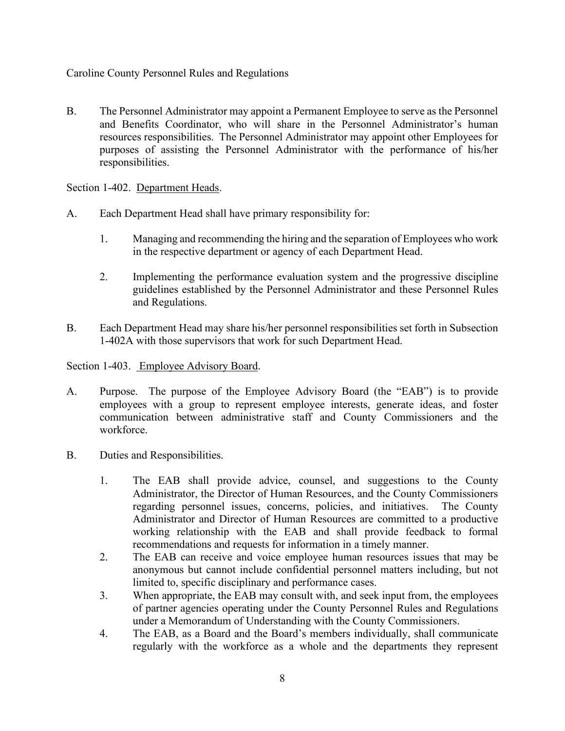B. The Personnel Administrator may appoint a Permanent Employee to serve as the Personnel and Benefits Coordinator, who will share in the Personnel Administrator's human resources responsibilities. The Personnel Administrator may appoint other Employees for purposes of assisting the Personnel Administrator with the performance of his/her responsibilities.

Section 1-402. Department Heads.

- A. Each Department Head shall have primary responsibility for:
	- 1. Managing and recommending the hiring and the separation of Employees who work in the respective department or agency of each Department Head.
	- 2. Implementing the performance evaluation system and the progressive discipline guidelines established by the Personnel Administrator and these Personnel Rules and Regulations.
- B. Each Department Head may share his/her personnel responsibilities set forth in Subsection 1-402A with those supervisors that work for such Department Head.

#### Section 1-403. Employee Advisory Board.

- A. Purpose. The purpose of the Employee Advisory Board (the "EAB") is to provide employees with a group to represent employee interests, generate ideas, and foster communication between administrative staff and County Commissioners and the workforce.
- B. Duties and Responsibilities.
	- 1. The EAB shall provide advice, counsel, and suggestions to the County Administrator, the Director of Human Resources, and the County Commissioners regarding personnel issues, concerns, policies, and initiatives. The County Administrator and Director of Human Resources are committed to a productive working relationship with the EAB and shall provide feedback to formal recommendations and requests for information in a timely manner.
	- 2. The EAB can receive and voice employee human resources issues that may be anonymous but cannot include confidential personnel matters including, but not limited to, specific disciplinary and performance cases.
	- 3. When appropriate, the EAB may consult with, and seek input from, the employees of partner agencies operating under the County Personnel Rules and Regulations under a Memorandum of Understanding with the County Commissioners.
	- 4. The EAB, as a Board and the Board's members individually, shall communicate regularly with the workforce as a whole and the departments they represent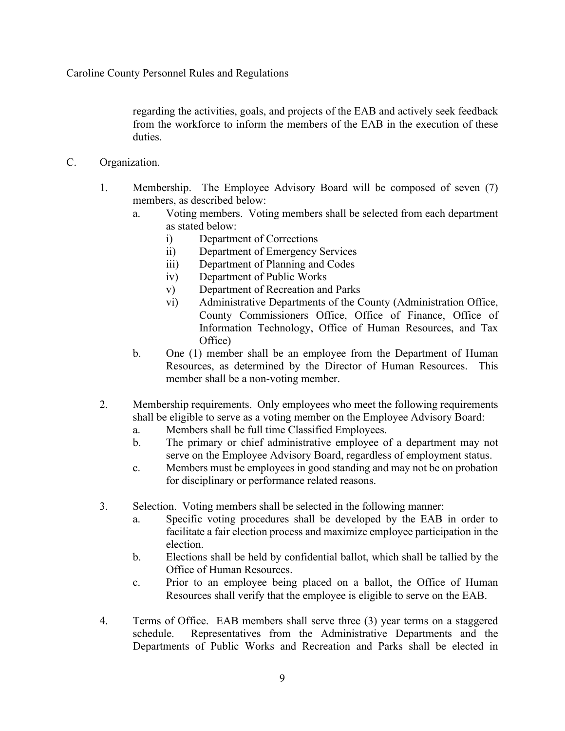regarding the activities, goals, and projects of the EAB and actively seek feedback from the workforce to inform the members of the EAB in the execution of these duties.

- C. Organization.
	- 1. Membership. The Employee Advisory Board will be composed of seven (7) members, as described below:
		- a. Voting members. Voting members shall be selected from each department as stated below:
			- i) Department of Corrections
			- ii) Department of Emergency Services
			- iii) Department of Planning and Codes
			- iv) Department of Public Works
			- v) Department of Recreation and Parks
			- vi) Administrative Departments of the County (Administration Office, County Commissioners Office, Office of Finance, Office of Information Technology, Office of Human Resources, and Tax Office)
		- b. One (1) member shall be an employee from the Department of Human Resources, as determined by the Director of Human Resources. This member shall be a non-voting member.
	- 2. Membership requirements. Only employees who meet the following requirements shall be eligible to serve as a voting member on the Employee Advisory Board:
		- a. Members shall be full time Classified Employees.
		- b. The primary or chief administrative employee of a department may not serve on the Employee Advisory Board, regardless of employment status.
		- c. Members must be employees in good standing and may not be on probation for disciplinary or performance related reasons.
	- 3. Selection. Voting members shall be selected in the following manner:
		- a. Specific voting procedures shall be developed by the EAB in order to facilitate a fair election process and maximize employee participation in the election.
		- b. Elections shall be held by confidential ballot, which shall be tallied by the Office of Human Resources.
		- c. Prior to an employee being placed on a ballot, the Office of Human Resources shall verify that the employee is eligible to serve on the EAB.
	- 4. Terms of Office. EAB members shall serve three (3) year terms on a staggered schedule. Representatives from the Administrative Departments and the Departments of Public Works and Recreation and Parks shall be elected in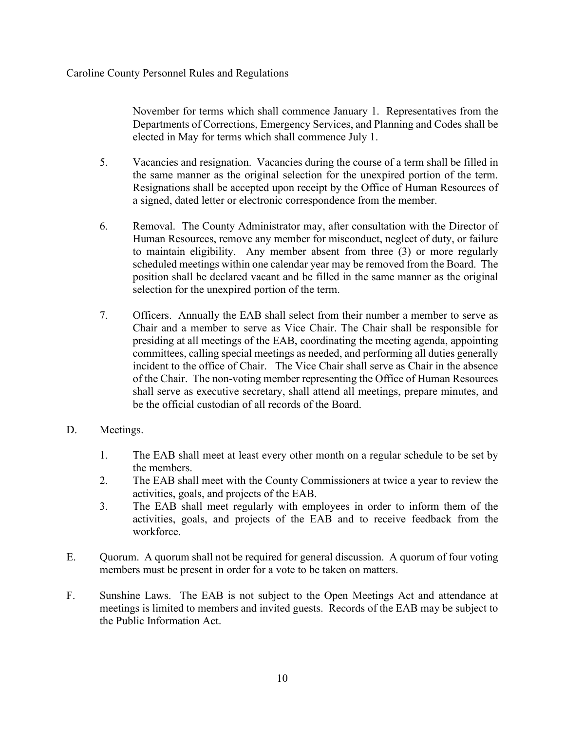November for terms which shall commence January 1. Representatives from the Departments of Corrections, Emergency Services, and Planning and Codes shall be elected in May for terms which shall commence July 1.

- 5. Vacancies and resignation. Vacancies during the course of a term shall be filled in the same manner as the original selection for the unexpired portion of the term. Resignations shall be accepted upon receipt by the Office of Human Resources of a signed, dated letter or electronic correspondence from the member.
- 6. Removal. The County Administrator may, after consultation with the Director of Human Resources, remove any member for misconduct, neglect of duty, or failure to maintain eligibility. Any member absent from three (3) or more regularly scheduled meetings within one calendar year may be removed from the Board. The position shall be declared vacant and be filled in the same manner as the original selection for the unexpired portion of the term.
- 7. Officers. Annually the EAB shall select from their number a member to serve as Chair and a member to serve as Vice Chair. The Chair shall be responsible for presiding at all meetings of the EAB, coordinating the meeting agenda, appointing committees, calling special meetings as needed, and performing all duties generally incident to the office of Chair. The Vice Chair shall serve as Chair in the absence of the Chair. The non-voting member representing the Office of Human Resources shall serve as executive secretary, shall attend all meetings, prepare minutes, and be the official custodian of all records of the Board.

### D. Meetings.

- 1. The EAB shall meet at least every other month on a regular schedule to be set by the members.
- 2. The EAB shall meet with the County Commissioners at twice a year to review the activities, goals, and projects of the EAB.
- 3. The EAB shall meet regularly with employees in order to inform them of the activities, goals, and projects of the EAB and to receive feedback from the workforce.
- E. Quorum. A quorum shall not be required for general discussion. A quorum of four voting members must be present in order for a vote to be taken on matters.
- F. Sunshine Laws. The EAB is not subject to the Open Meetings Act and attendance at meetings is limited to members and invited guests. Records of the EAB may be subject to the Public Information Act.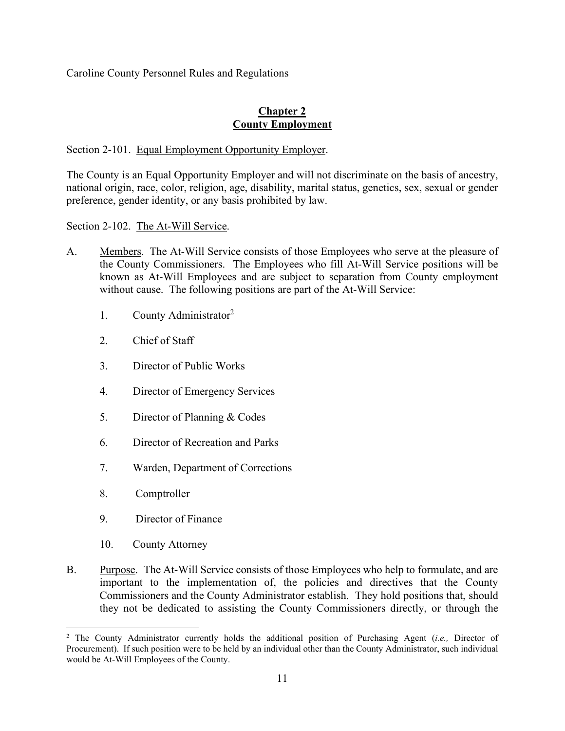#### **Chapter 2 County Employment**

#### Section 2-101. Equal Employment Opportunity Employer.

The County is an Equal Opportunity Employer and will not discriminate on the basis of ancestry, national origin, race, color, religion, age, disability, marital status, genetics, sex, sexual or gender preference, gender identity, or any basis prohibited by law.

Section 2-102. The At-Will Service.

- A. Members. The At-Will Service consists of those Employees who serve at the pleasure of the County Commissioners. The Employees who fill At-Will Service positions will be known as At-Will Employees and are subject to separation from County employment without cause. The following positions are part of the At-Will Service:
	- 1. County Administrator<sup>2</sup>
	- 2. Chief of Staff
	- 3. Director of Public Works
	- 4. Director of Emergency Services
	- 5. Director of Planning & Codes
	- 6. Director of Recreation and Parks
	- 7. Warden, Department of Corrections
	- 8. Comptroller
	- 9. Director of Finance
	- 10. County Attorney
- B. Purpose. The At-Will Service consists of those Employees who help to formulate, and are important to the implementation of, the policies and directives that the County Commissioners and the County Administrator establish. They hold positions that, should they not be dedicated to assisting the County Commissioners directly, or through the

<sup>2</sup> The County Administrator currently holds the additional position of Purchasing Agent (*i.e.,* Director of Procurement). If such position were to be held by an individual other than the County Administrator, such individual would be At-Will Employees of the County.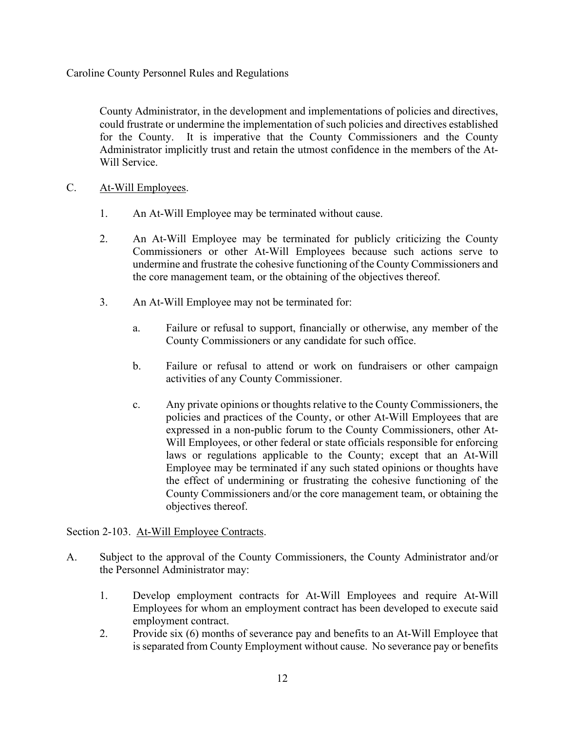County Administrator, in the development and implementations of policies and directives, could frustrate or undermine the implementation of such policies and directives established for the County. It is imperative that the County Commissioners and the County Administrator implicitly trust and retain the utmost confidence in the members of the At-Will Service.

### C. At-Will Employees.

- 1. An At-Will Employee may be terminated without cause.
- 2. An At-Will Employee may be terminated for publicly criticizing the County Commissioners or other At-Will Employees because such actions serve to undermine and frustrate the cohesive functioning of the County Commissioners and the core management team, or the obtaining of the objectives thereof.
- 3. An At-Will Employee may not be terminated for:
	- a. Failure or refusal to support, financially or otherwise, any member of the County Commissioners or any candidate for such office.
	- b. Failure or refusal to attend or work on fundraisers or other campaign activities of any County Commissioner.
	- c. Any private opinions or thoughts relative to the County Commissioners, the policies and practices of the County, or other At-Will Employees that are expressed in a non-public forum to the County Commissioners, other At-Will Employees, or other federal or state officials responsible for enforcing laws or regulations applicable to the County; except that an At-Will Employee may be terminated if any such stated opinions or thoughts have the effect of undermining or frustrating the cohesive functioning of the County Commissioners and/or the core management team, or obtaining the objectives thereof.

#### Section 2-103. At-Will Employee Contracts.

- A. Subject to the approval of the County Commissioners, the County Administrator and/or the Personnel Administrator may:
	- 1. Develop employment contracts for At-Will Employees and require At-Will Employees for whom an employment contract has been developed to execute said employment contract.
	- 2. Provide six (6) months of severance pay and benefits to an At-Will Employee that is separated from County Employment without cause. No severance pay or benefits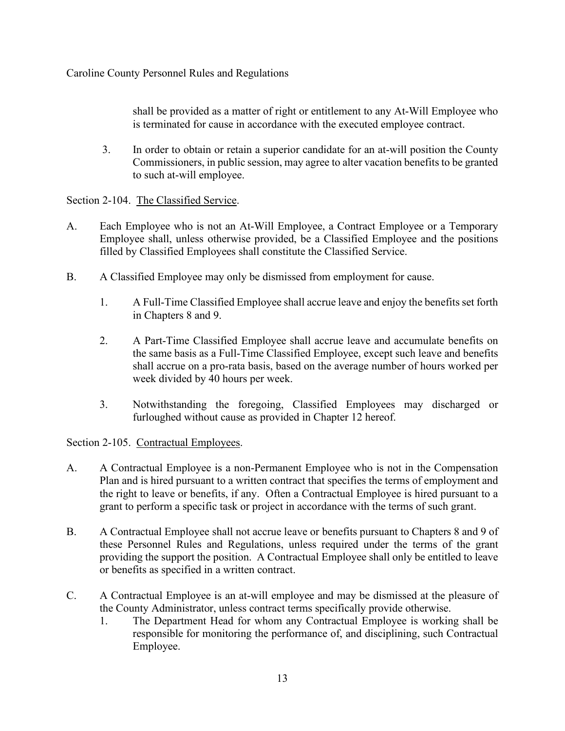shall be provided as a matter of right or entitlement to any At-Will Employee who is terminated for cause in accordance with the executed employee contract.

3. In order to obtain or retain a superior candidate for an at-will position the County Commissioners, in public session, may agree to alter vacation benefits to be granted to such at-will employee.

Section 2-104. The Classified Service.

- A. Each Employee who is not an At-Will Employee, a Contract Employee or a Temporary Employee shall, unless otherwise provided, be a Classified Employee and the positions filled by Classified Employees shall constitute the Classified Service.
- B. A Classified Employee may only be dismissed from employment for cause.
	- 1. A Full-Time Classified Employee shall accrue leave and enjoy the benefits set forth in Chapters 8 and 9.
	- 2. A Part-Time Classified Employee shall accrue leave and accumulate benefits on the same basis as a Full-Time Classified Employee, except such leave and benefits shall accrue on a pro-rata basis, based on the average number of hours worked per week divided by 40 hours per week.
	- 3. Notwithstanding the foregoing, Classified Employees may discharged or furloughed without cause as provided in Chapter 12 hereof.

Section 2-105. Contractual Employees.

- A. A Contractual Employee is a non-Permanent Employee who is not in the Compensation Plan and is hired pursuant to a written contract that specifies the terms of employment and the right to leave or benefits, if any. Often a Contractual Employee is hired pursuant to a grant to perform a specific task or project in accordance with the terms of such grant.
- B. A Contractual Employee shall not accrue leave or benefits pursuant to Chapters 8 and 9 of these Personnel Rules and Regulations, unless required under the terms of the grant providing the support the position. A Contractual Employee shall only be entitled to leave or benefits as specified in a written contract.
- C. A Contractual Employee is an at-will employee and may be dismissed at the pleasure of the County Administrator, unless contract terms specifically provide otherwise.
	- 1. The Department Head for whom any Contractual Employee is working shall be responsible for monitoring the performance of, and disciplining, such Contractual Employee.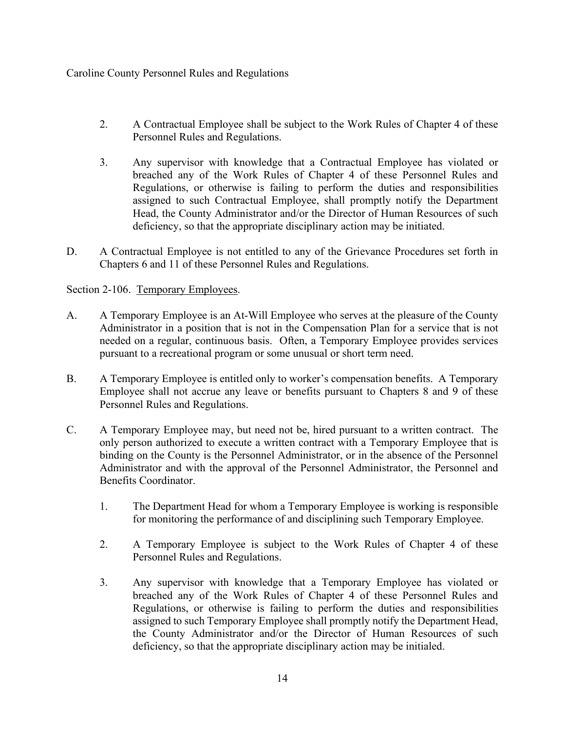- 2. A Contractual Employee shall be subject to the Work Rules of Chapter 4 of these Personnel Rules and Regulations.
- 3. Any supervisor with knowledge that a Contractual Employee has violated or breached any of the Work Rules of Chapter 4 of these Personnel Rules and Regulations, or otherwise is failing to perform the duties and responsibilities assigned to such Contractual Employee, shall promptly notify the Department Head, the County Administrator and/or the Director of Human Resources of such deficiency, so that the appropriate disciplinary action may be initiated.
- D. A Contractual Employee is not entitled to any of the Grievance Procedures set forth in Chapters 6 and 11 of these Personnel Rules and Regulations.

Section 2-106. Temporary Employees.

- A. A Temporary Employee is an At-Will Employee who serves at the pleasure of the County Administrator in a position that is not in the Compensation Plan for a service that is not needed on a regular, continuous basis. Often, a Temporary Employee provides services pursuant to a recreational program or some unusual or short term need.
- B. A Temporary Employee is entitled only to worker's compensation benefits. A Temporary Employee shall not accrue any leave or benefits pursuant to Chapters 8 and 9 of these Personnel Rules and Regulations.
- C. A Temporary Employee may, but need not be, hired pursuant to a written contract. The only person authorized to execute a written contract with a Temporary Employee that is binding on the County is the Personnel Administrator, or in the absence of the Personnel Administrator and with the approval of the Personnel Administrator, the Personnel and Benefits Coordinator.
	- 1. The Department Head for whom a Temporary Employee is working is responsible for monitoring the performance of and disciplining such Temporary Employee.
	- 2. A Temporary Employee is subject to the Work Rules of Chapter 4 of these Personnel Rules and Regulations.
	- 3. Any supervisor with knowledge that a Temporary Employee has violated or breached any of the Work Rules of Chapter 4 of these Personnel Rules and Regulations, or otherwise is failing to perform the duties and responsibilities assigned to such Temporary Employee shall promptly notify the Department Head, the County Administrator and/or the Director of Human Resources of such deficiency, so that the appropriate disciplinary action may be initialed.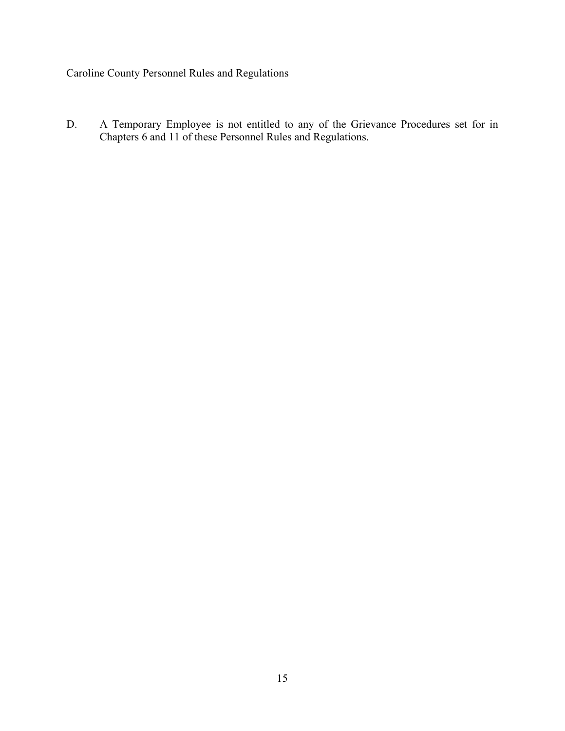D. A Temporary Employee is not entitled to any of the Grievance Procedures set for in Chapters 6 and 11 of these Personnel Rules and Regulations.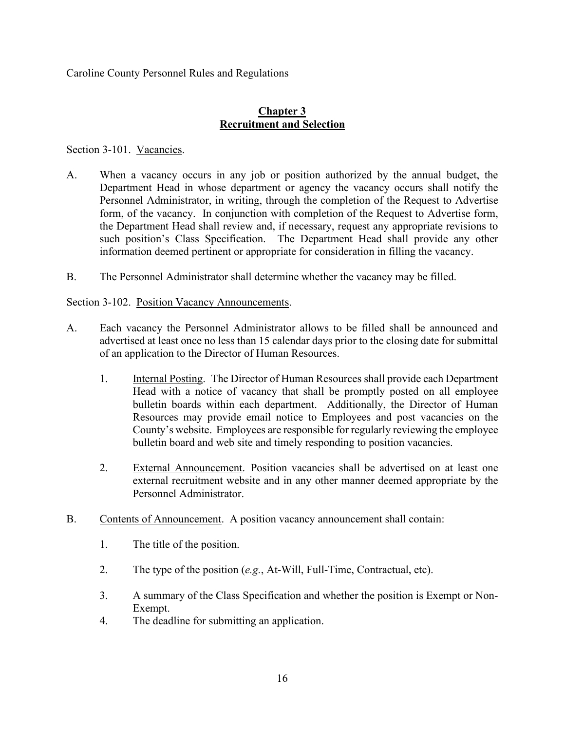### **Chapter 3 Recruitment and Selection**

Section 3-101. Vacancies.

- A. When a vacancy occurs in any job or position authorized by the annual budget, the Department Head in whose department or agency the vacancy occurs shall notify the Personnel Administrator, in writing, through the completion of the Request to Advertise form, of the vacancy. In conjunction with completion of the Request to Advertise form, the Department Head shall review and, if necessary, request any appropriate revisions to such position's Class Specification. The Department Head shall provide any other information deemed pertinent or appropriate for consideration in filling the vacancy.
- B. The Personnel Administrator shall determine whether the vacancy may be filled.

Section 3-102. Position Vacancy Announcements.

- A. Each vacancy the Personnel Administrator allows to be filled shall be announced and advertised at least once no less than 15 calendar days prior to the closing date for submittal of an application to the Director of Human Resources.
	- 1. Internal Posting. The Director of Human Resources shall provide each Department Head with a notice of vacancy that shall be promptly posted on all employee bulletin boards within each department. Additionally, the Director of Human Resources may provide email notice to Employees and post vacancies on the County's website. Employees are responsible for regularly reviewing the employee bulletin board and web site and timely responding to position vacancies.
	- 2. External Announcement. Position vacancies shall be advertised on at least one external recruitment website and in any other manner deemed appropriate by the Personnel Administrator.
- B. Contents of Announcement. A position vacancy announcement shall contain:
	- 1. The title of the position.
	- 2. The type of the position (*e.g.*, At-Will, Full-Time, Contractual, etc).
	- 3. A summary of the Class Specification and whether the position is Exempt or Non-Exempt.
	- 4. The deadline for submitting an application.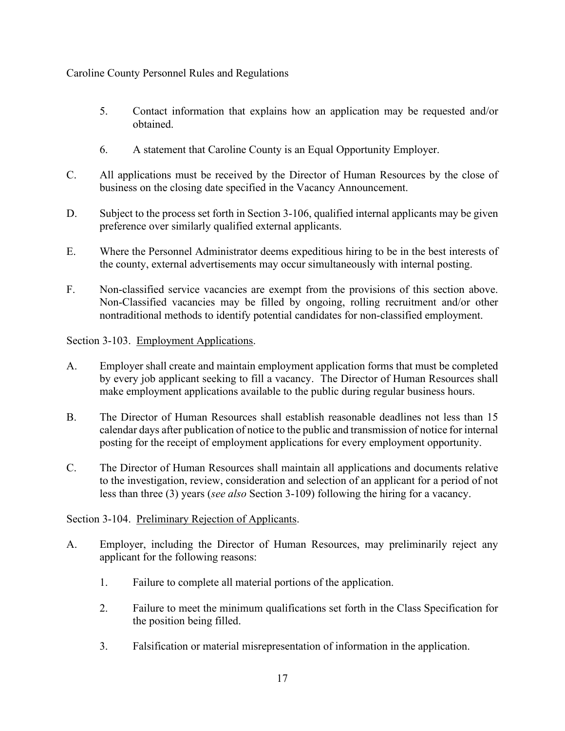- 5. Contact information that explains how an application may be requested and/or obtained.
- 6. A statement that Caroline County is an Equal Opportunity Employer.
- C. All applications must be received by the Director of Human Resources by the close of business on the closing date specified in the Vacancy Announcement.
- D. Subject to the process set forth in Section 3-106, qualified internal applicants may be given preference over similarly qualified external applicants.
- E. Where the Personnel Administrator deems expeditious hiring to be in the best interests of the county, external advertisements may occur simultaneously with internal posting.
- F. Non-classified service vacancies are exempt from the provisions of this section above. Non-Classified vacancies may be filled by ongoing, rolling recruitment and/or other nontraditional methods to identify potential candidates for non-classified employment.

## Section 3-103. Employment Applications.

- A. Employer shall create and maintain employment application forms that must be completed by every job applicant seeking to fill a vacancy. The Director of Human Resources shall make employment applications available to the public during regular business hours.
- B. The Director of Human Resources shall establish reasonable deadlines not less than 15 calendar days after publication of notice to the public and transmission of notice for internal posting for the receipt of employment applications for every employment opportunity.
- C. The Director of Human Resources shall maintain all applications and documents relative to the investigation, review, consideration and selection of an applicant for a period of not less than three (3) years (*see also* Section 3-109) following the hiring for a vacancy.

## Section 3-104. Preliminary Rejection of Applicants.

- A. Employer, including the Director of Human Resources, may preliminarily reject any applicant for the following reasons:
	- 1. Failure to complete all material portions of the application.
	- 2. Failure to meet the minimum qualifications set forth in the Class Specification for the position being filled.
	- 3. Falsification or material misrepresentation of information in the application.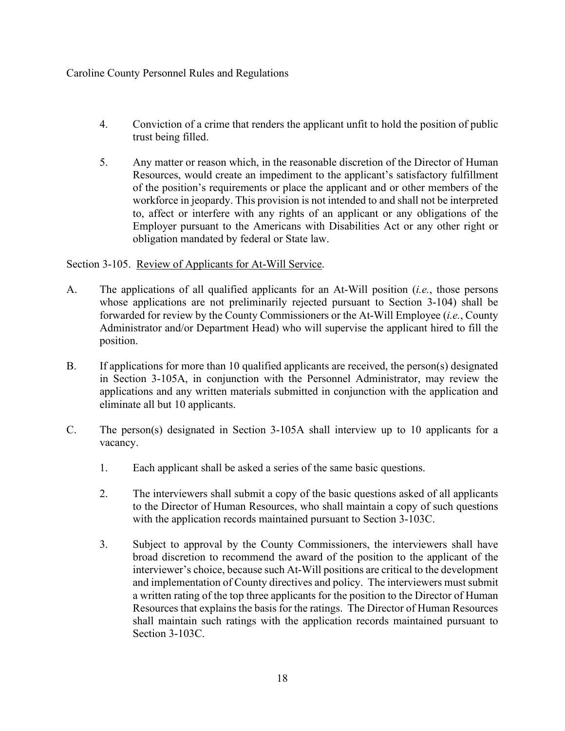- 4. Conviction of a crime that renders the applicant unfit to hold the position of public trust being filled.
- 5. Any matter or reason which, in the reasonable discretion of the Director of Human Resources, would create an impediment to the applicant's satisfactory fulfillment of the position's requirements or place the applicant and or other members of the workforce in jeopardy. This provision is not intended to and shall not be interpreted to, affect or interfere with any rights of an applicant or any obligations of the Employer pursuant to the Americans with Disabilities Act or any other right or obligation mandated by federal or State law.

### Section 3-105. Review of Applicants for At-Will Service.

- A. The applications of all qualified applicants for an At-Will position (*i.e.*, those persons whose applications are not preliminarily rejected pursuant to Section 3-104) shall be forwarded for review by the County Commissioners or the At-Will Employee (*i.e.*, County Administrator and/or Department Head) who will supervise the applicant hired to fill the position.
- B. If applications for more than 10 qualified applicants are received, the person(s) designated in Section 3-105A, in conjunction with the Personnel Administrator, may review the applications and any written materials submitted in conjunction with the application and eliminate all but 10 applicants.
- C. The person(s) designated in Section 3-105A shall interview up to 10 applicants for a vacancy.
	- 1. Each applicant shall be asked a series of the same basic questions.
	- 2. The interviewers shall submit a copy of the basic questions asked of all applicants to the Director of Human Resources, who shall maintain a copy of such questions with the application records maintained pursuant to Section 3-103C.
	- 3. Subject to approval by the County Commissioners, the interviewers shall have broad discretion to recommend the award of the position to the applicant of the interviewer's choice, because such At-Will positions are critical to the development and implementation of County directives and policy. The interviewers must submit a written rating of the top three applicants for the position to the Director of Human Resources that explains the basis for the ratings. The Director of Human Resources shall maintain such ratings with the application records maintained pursuant to Section 3-103C.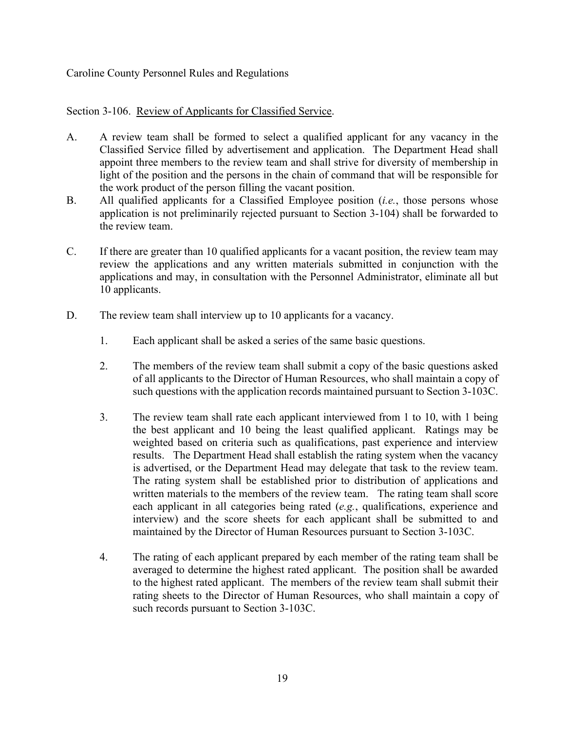### Section 3-106. Review of Applicants for Classified Service.

- A. A review team shall be formed to select a qualified applicant for any vacancy in the Classified Service filled by advertisement and application. The Department Head shall appoint three members to the review team and shall strive for diversity of membership in light of the position and the persons in the chain of command that will be responsible for the work product of the person filling the vacant position.
- B. All qualified applicants for a Classified Employee position (*i.e.*, those persons whose application is not preliminarily rejected pursuant to Section 3-104) shall be forwarded to the review team.
- C. If there are greater than 10 qualified applicants for a vacant position, the review team may review the applications and any written materials submitted in conjunction with the applications and may, in consultation with the Personnel Administrator, eliminate all but 10 applicants.
- D. The review team shall interview up to 10 applicants for a vacancy.
	- 1. Each applicant shall be asked a series of the same basic questions.
	- 2. The members of the review team shall submit a copy of the basic questions asked of all applicants to the Director of Human Resources, who shall maintain a copy of such questions with the application records maintained pursuant to Section 3-103C.
	- 3. The review team shall rate each applicant interviewed from 1 to 10, with 1 being the best applicant and 10 being the least qualified applicant. Ratings may be weighted based on criteria such as qualifications, past experience and interview results. The Department Head shall establish the rating system when the vacancy is advertised, or the Department Head may delegate that task to the review team. The rating system shall be established prior to distribution of applications and written materials to the members of the review team. The rating team shall score each applicant in all categories being rated (*e.g.*, qualifications, experience and interview) and the score sheets for each applicant shall be submitted to and maintained by the Director of Human Resources pursuant to Section 3-103C.
	- 4. The rating of each applicant prepared by each member of the rating team shall be averaged to determine the highest rated applicant. The position shall be awarded to the highest rated applicant. The members of the review team shall submit their rating sheets to the Director of Human Resources, who shall maintain a copy of such records pursuant to Section 3-103C.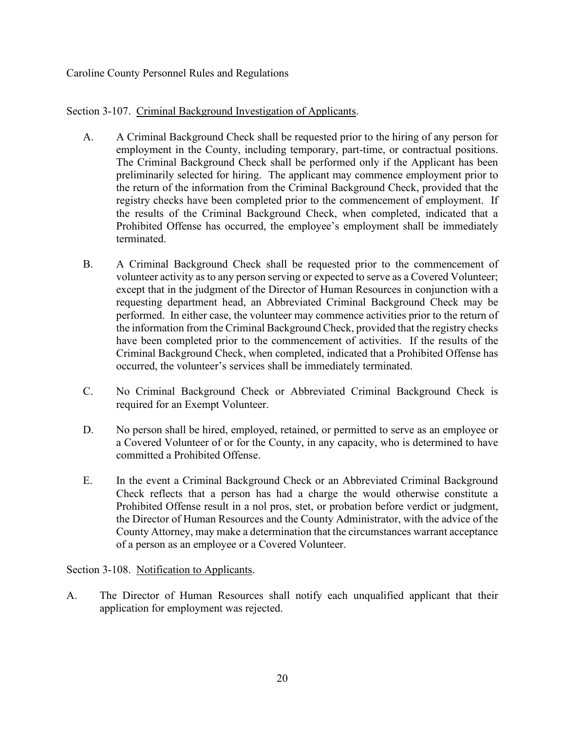### Section 3-107. Criminal Background Investigation of Applicants.

- A. A Criminal Background Check shall be requested prior to the hiring of any person for employment in the County, including temporary, part-time, or contractual positions. The Criminal Background Check shall be performed only if the Applicant has been preliminarily selected for hiring. The applicant may commence employment prior to the return of the information from the Criminal Background Check, provided that the registry checks have been completed prior to the commencement of employment. If the results of the Criminal Background Check, when completed, indicated that a Prohibited Offense has occurred, the employee's employment shall be immediately terminated.
- B. A Criminal Background Check shall be requested prior to the commencement of volunteer activity as to any person serving or expected to serve as a Covered Volunteer; except that in the judgment of the Director of Human Resources in conjunction with a requesting department head, an Abbreviated Criminal Background Check may be performed. In either case, the volunteer may commence activities prior to the return of the information from the Criminal Background Check, provided that the registry checks have been completed prior to the commencement of activities. If the results of the Criminal Background Check, when completed, indicated that a Prohibited Offense has occurred, the volunteer's services shall be immediately terminated.
- C. No Criminal Background Check or Abbreviated Criminal Background Check is required for an Exempt Volunteer.
- D. No person shall be hired, employed, retained, or permitted to serve as an employee or a Covered Volunteer of or for the County, in any capacity, who is determined to have committed a Prohibited Offense.
- E. In the event a Criminal Background Check or an Abbreviated Criminal Background Check reflects that a person has had a charge the would otherwise constitute a Prohibited Offense result in a nol pros, stet, or probation before verdict or judgment, the Director of Human Resources and the County Administrator, with the advice of the County Attorney, may make a determination that the circumstances warrant acceptance of a person as an employee or a Covered Volunteer.

Section 3-108. Notification to Applicants.

A. The Director of Human Resources shall notify each unqualified applicant that their application for employment was rejected.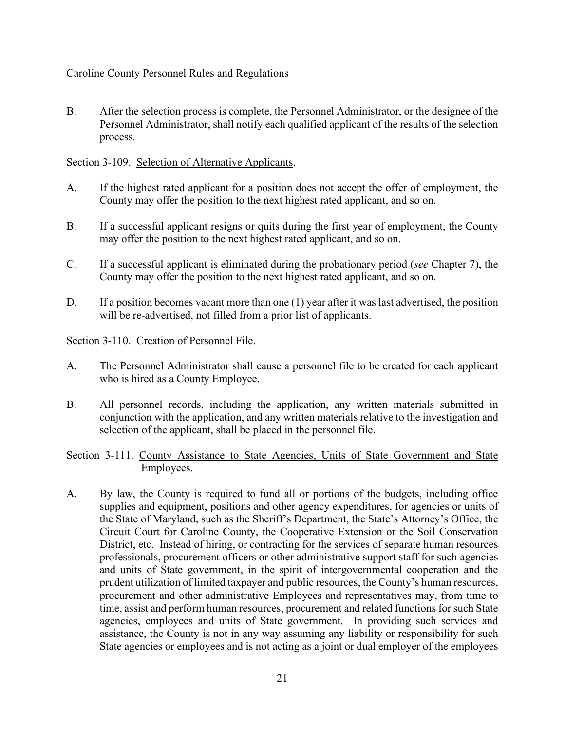B. After the selection process is complete, the Personnel Administrator, or the designee of the Personnel Administrator, shall notify each qualified applicant of the results of the selection process.

Section 3-109. Selection of Alternative Applicants.

- A. If the highest rated applicant for a position does not accept the offer of employment, the County may offer the position to the next highest rated applicant, and so on.
- B. If a successful applicant resigns or quits during the first year of employment, the County may offer the position to the next highest rated applicant, and so on.
- C. If a successful applicant is eliminated during the probationary period (*see* Chapter 7), the County may offer the position to the next highest rated applicant, and so on.
- D. If a position becomes vacant more than one (1) year after it was last advertised, the position will be re-advertised, not filled from a prior list of applicants.

### Section 3-110. Creation of Personnel File.

- A. The Personnel Administrator shall cause a personnel file to be created for each applicant who is hired as a County Employee.
- B. All personnel records, including the application, any written materials submitted in conjunction with the application, and any written materials relative to the investigation and selection of the applicant, shall be placed in the personnel file.

Section 3-111. County Assistance to State Agencies, Units of State Government and State Employees.

A. By law, the County is required to fund all or portions of the budgets, including office supplies and equipment, positions and other agency expenditures, for agencies or units of the State of Maryland, such as the Sheriff's Department, the State's Attorney's Office, the Circuit Court for Caroline County, the Cooperative Extension or the Soil Conservation District, etc. Instead of hiring, or contracting for the services of separate human resources professionals, procurement officers or other administrative support staff for such agencies and units of State government, in the spirit of intergovernmental cooperation and the prudent utilization of limited taxpayer and public resources, the County's human resources, procurement and other administrative Employees and representatives may, from time to time, assist and perform human resources, procurement and related functions for such State agencies, employees and units of State government. In providing such services and assistance, the County is not in any way assuming any liability or responsibility for such State agencies or employees and is not acting as a joint or dual employer of the employees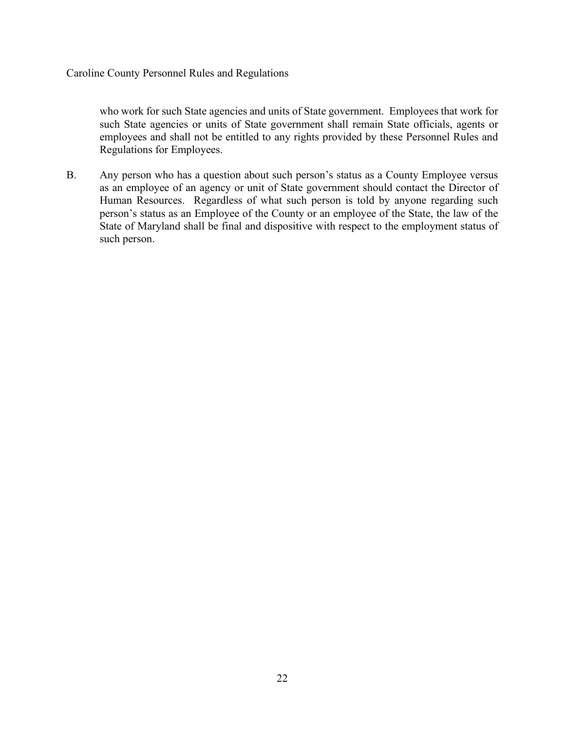who work for such State agencies and units of State government. Employees that work for such State agencies or units of State government shall remain State officials, agents or employees and shall not be entitled to any rights provided by these Personnel Rules and Regulations for Employees.

B. Any person who has a question about such person's status as a County Employee versus as an employee of an agency or unit of State government should contact the Director of Human Resources. Regardless of what such person is told by anyone regarding such person's status as an Employee of the County or an employee of the State, the law of the State of Maryland shall be final and dispositive with respect to the employment status of such person.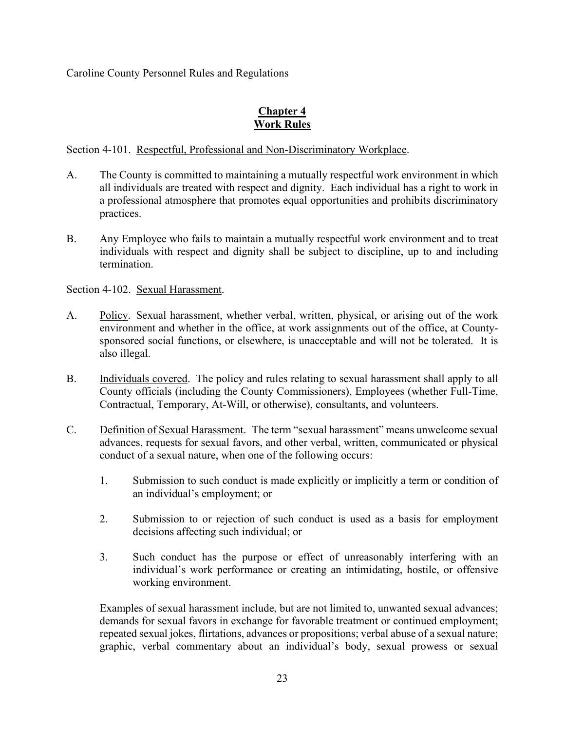## **Chapter 4 Work Rules**

Section 4-101. Respectful, Professional and Non-Discriminatory Workplace.

- A. The County is committed to maintaining a mutually respectful work environment in which all individuals are treated with respect and dignity. Each individual has a right to work in a professional atmosphere that promotes equal opportunities and prohibits discriminatory practices.
- B. Any Employee who fails to maintain a mutually respectful work environment and to treat individuals with respect and dignity shall be subject to discipline, up to and including termination.

Section 4-102. Sexual Harassment.

- A. Policy. Sexual harassment, whether verbal, written, physical, or arising out of the work environment and whether in the office, at work assignments out of the office, at Countysponsored social functions, or elsewhere, is unacceptable and will not be tolerated. It is also illegal.
- B. Individuals covered. The policy and rules relating to sexual harassment shall apply to all County officials (including the County Commissioners), Employees (whether Full-Time, Contractual, Temporary, At-Will, or otherwise), consultants, and volunteers.
- C. Definition of Sexual Harassment. The term "sexual harassment" means unwelcome sexual advances, requests for sexual favors, and other verbal, written, communicated or physical conduct of a sexual nature, when one of the following occurs:
	- 1. Submission to such conduct is made explicitly or implicitly a term or condition of an individual's employment; or
	- 2. Submission to or rejection of such conduct is used as a basis for employment decisions affecting such individual; or
	- 3. Such conduct has the purpose or effect of unreasonably interfering with an individual's work performance or creating an intimidating, hostile, or offensive working environment.

Examples of sexual harassment include, but are not limited to, unwanted sexual advances; demands for sexual favors in exchange for favorable treatment or continued employment; repeated sexual jokes, flirtations, advances or propositions; verbal abuse of a sexual nature; graphic, verbal commentary about an individual's body, sexual prowess or sexual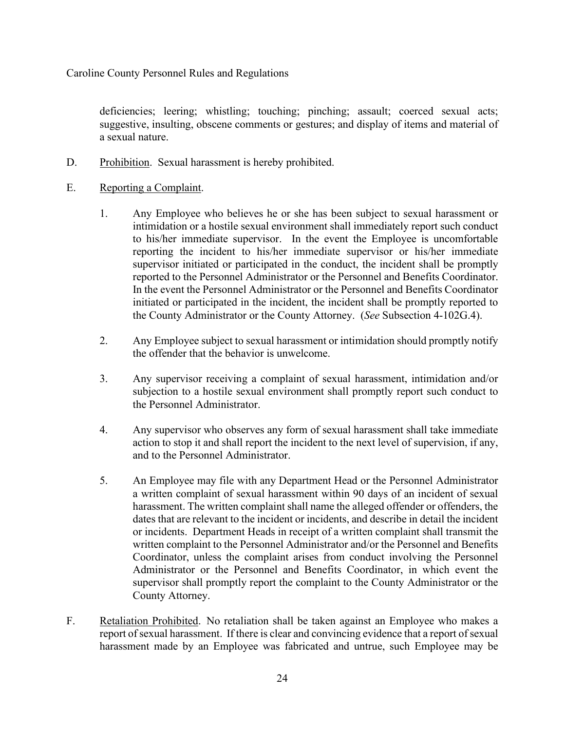deficiencies; leering; whistling; touching; pinching; assault; coerced sexual acts; suggestive, insulting, obscene comments or gestures; and display of items and material of a sexual nature.

- D. Prohibition. Sexual harassment is hereby prohibited.
- E. Reporting a Complaint.
	- 1. Any Employee who believes he or she has been subject to sexual harassment or intimidation or a hostile sexual environment shall immediately report such conduct to his/her immediate supervisor. In the event the Employee is uncomfortable reporting the incident to his/her immediate supervisor or his/her immediate supervisor initiated or participated in the conduct, the incident shall be promptly reported to the Personnel Administrator or the Personnel and Benefits Coordinator. In the event the Personnel Administrator or the Personnel and Benefits Coordinator initiated or participated in the incident, the incident shall be promptly reported to the County Administrator or the County Attorney. (*See* Subsection 4-102G.4).
	- 2. Any Employee subject to sexual harassment or intimidation should promptly notify the offender that the behavior is unwelcome.
	- 3. Any supervisor receiving a complaint of sexual harassment, intimidation and/or subjection to a hostile sexual environment shall promptly report such conduct to the Personnel Administrator.
	- 4. Any supervisor who observes any form of sexual harassment shall take immediate action to stop it and shall report the incident to the next level of supervision, if any, and to the Personnel Administrator.
	- 5. An Employee may file with any Department Head or the Personnel Administrator a written complaint of sexual harassment within 90 days of an incident of sexual harassment. The written complaint shall name the alleged offender or offenders, the dates that are relevant to the incident or incidents, and describe in detail the incident or incidents. Department Heads in receipt of a written complaint shall transmit the written complaint to the Personnel Administrator and/or the Personnel and Benefits Coordinator, unless the complaint arises from conduct involving the Personnel Administrator or the Personnel and Benefits Coordinator, in which event the supervisor shall promptly report the complaint to the County Administrator or the County Attorney.
- F. Retaliation Prohibited. No retaliation shall be taken against an Employee who makes a report of sexual harassment. If there is clear and convincing evidence that a report of sexual harassment made by an Employee was fabricated and untrue, such Employee may be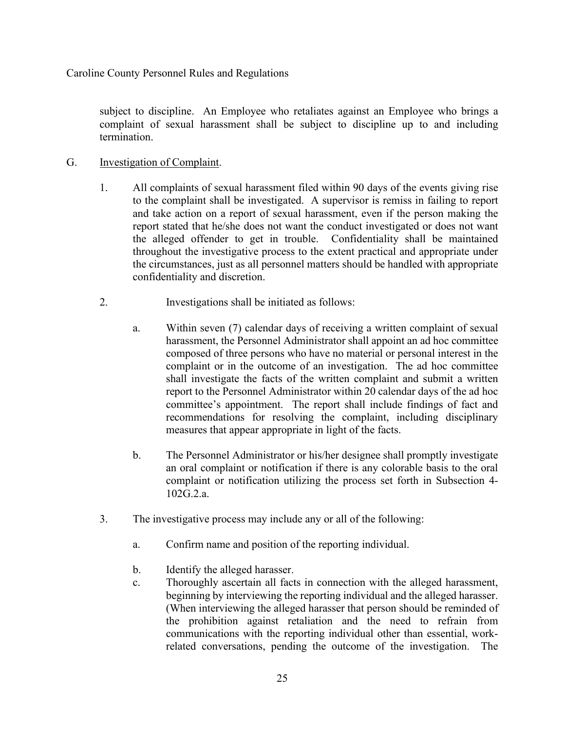subject to discipline. An Employee who retaliates against an Employee who brings a complaint of sexual harassment shall be subject to discipline up to and including termination.

- G. Investigation of Complaint.
	- 1. All complaints of sexual harassment filed within 90 days of the events giving rise to the complaint shall be investigated. A supervisor is remiss in failing to report and take action on a report of sexual harassment, even if the person making the report stated that he/she does not want the conduct investigated or does not want the alleged offender to get in trouble. Confidentiality shall be maintained throughout the investigative process to the extent practical and appropriate under the circumstances, just as all personnel matters should be handled with appropriate confidentiality and discretion.
	- 2. Investigations shall be initiated as follows:
		- a. Within seven (7) calendar days of receiving a written complaint of sexual harassment, the Personnel Administrator shall appoint an ad hoc committee composed of three persons who have no material or personal interest in the complaint or in the outcome of an investigation. The ad hoc committee shall investigate the facts of the written complaint and submit a written report to the Personnel Administrator within 20 calendar days of the ad hoc committee's appointment. The report shall include findings of fact and recommendations for resolving the complaint, including disciplinary measures that appear appropriate in light of the facts.
		- b. The Personnel Administrator or his/her designee shall promptly investigate an oral complaint or notification if there is any colorable basis to the oral complaint or notification utilizing the process set forth in Subsection 4- 102G.2.a.
	- 3. The investigative process may include any or all of the following:
		- a. Confirm name and position of the reporting individual.
		- b. Identify the alleged harasser.
		- c. Thoroughly ascertain all facts in connection with the alleged harassment, beginning by interviewing the reporting individual and the alleged harasser. (When interviewing the alleged harasser that person should be reminded of the prohibition against retaliation and the need to refrain from communications with the reporting individual other than essential, workrelated conversations, pending the outcome of the investigation. The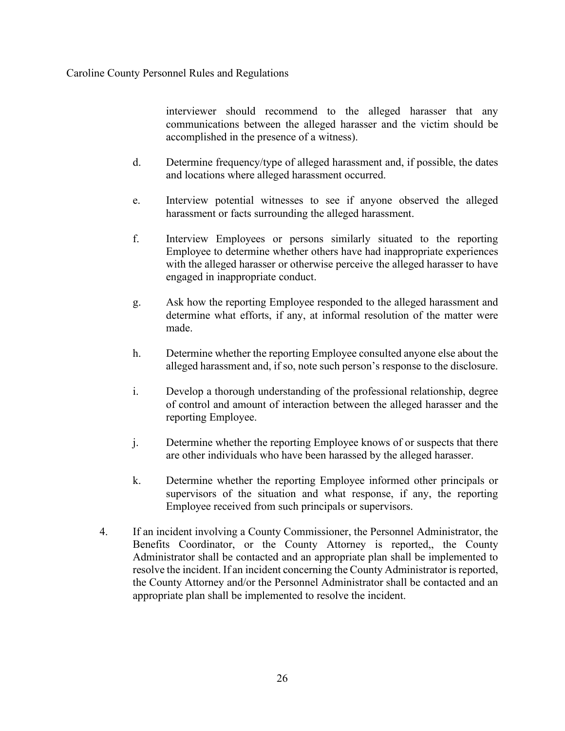interviewer should recommend to the alleged harasser that any communications between the alleged harasser and the victim should be accomplished in the presence of a witness).

- d. Determine frequency/type of alleged harassment and, if possible, the dates and locations where alleged harassment occurred.
- e. Interview potential witnesses to see if anyone observed the alleged harassment or facts surrounding the alleged harassment.
- f. Interview Employees or persons similarly situated to the reporting Employee to determine whether others have had inappropriate experiences with the alleged harasser or otherwise perceive the alleged harasser to have engaged in inappropriate conduct.
- g. Ask how the reporting Employee responded to the alleged harassment and determine what efforts, if any, at informal resolution of the matter were made.
- h. Determine whether the reporting Employee consulted anyone else about the alleged harassment and, if so, note such person's response to the disclosure.
- i. Develop a thorough understanding of the professional relationship, degree of control and amount of interaction between the alleged harasser and the reporting Employee.
- j. Determine whether the reporting Employee knows of or suspects that there are other individuals who have been harassed by the alleged harasser.
- k. Determine whether the reporting Employee informed other principals or supervisors of the situation and what response, if any, the reporting Employee received from such principals or supervisors.
- 4. If an incident involving a County Commissioner, the Personnel Administrator, the Benefits Coordinator, or the County Attorney is reported,, the County Administrator shall be contacted and an appropriate plan shall be implemented to resolve the incident. If an incident concerning the County Administrator is reported, the County Attorney and/or the Personnel Administrator shall be contacted and an appropriate plan shall be implemented to resolve the incident.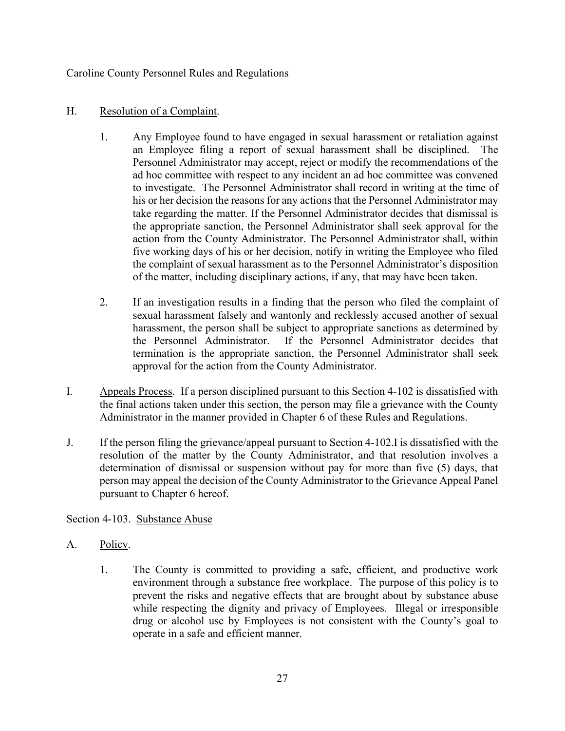### H. Resolution of a Complaint.

- 1. Any Employee found to have engaged in sexual harassment or retaliation against an Employee filing a report of sexual harassment shall be disciplined. Personnel Administrator may accept, reject or modify the recommendations of the ad hoc committee with respect to any incident an ad hoc committee was convened to investigate. The Personnel Administrator shall record in writing at the time of his or her decision the reasons for any actions that the Personnel Administrator may take regarding the matter. If the Personnel Administrator decides that dismissal is the appropriate sanction, the Personnel Administrator shall seek approval for the action from the County Administrator. The Personnel Administrator shall, within five working days of his or her decision, notify in writing the Employee who filed the complaint of sexual harassment as to the Personnel Administrator's disposition of the matter, including disciplinary actions, if any, that may have been taken.
- 2. If an investigation results in a finding that the person who filed the complaint of sexual harassment falsely and wantonly and recklessly accused another of sexual harassment, the person shall be subject to appropriate sanctions as determined by the Personnel Administrator. If the Personnel Administrator decides that termination is the appropriate sanction, the Personnel Administrator shall seek approval for the action from the County Administrator.
- I. Appeals Process. If a person disciplined pursuant to this Section 4-102 is dissatisfied with the final actions taken under this section, the person may file a grievance with the County Administrator in the manner provided in Chapter 6 of these Rules and Regulations.
- J. If the person filing the grievance/appeal pursuant to Section 4-102.I is dissatisfied with the resolution of the matter by the County Administrator, and that resolution involves a determination of dismissal or suspension without pay for more than five (5) days, that person may appeal the decision of the County Administrator to the Grievance Appeal Panel pursuant to Chapter 6 hereof.

Section 4-103. Substance Abuse

- A. Policy.
	- 1. The County is committed to providing a safe, efficient, and productive work environment through a substance free workplace. The purpose of this policy is to prevent the risks and negative effects that are brought about by substance abuse while respecting the dignity and privacy of Employees. Illegal or irresponsible drug or alcohol use by Employees is not consistent with the County's goal to operate in a safe and efficient manner.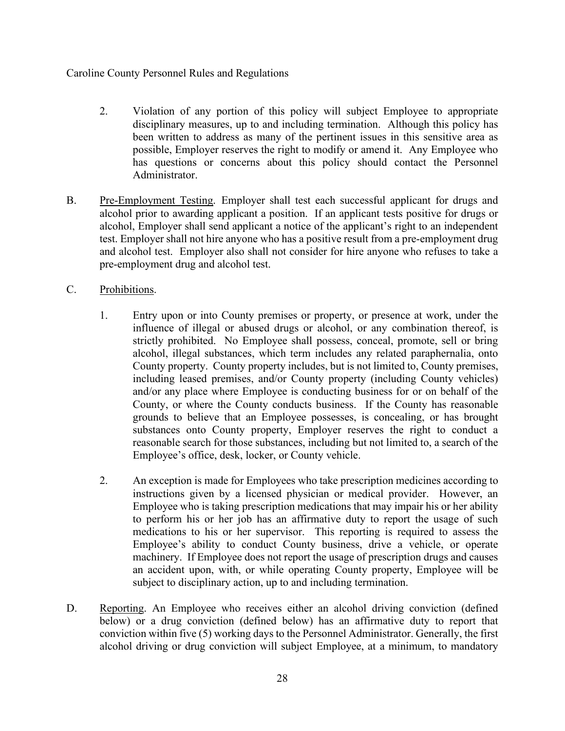- 2. Violation of any portion of this policy will subject Employee to appropriate disciplinary measures, up to and including termination. Although this policy has been written to address as many of the pertinent issues in this sensitive area as possible, Employer reserves the right to modify or amend it. Any Employee who has questions or concerns about this policy should contact the Personnel Administrator.
- B. Pre-Employment Testing. Employer shall test each successful applicant for drugs and alcohol prior to awarding applicant a position. If an applicant tests positive for drugs or alcohol, Employer shall send applicant a notice of the applicant's right to an independent test. Employer shall not hire anyone who has a positive result from a pre-employment drug and alcohol test. Employer also shall not consider for hire anyone who refuses to take a pre-employment drug and alcohol test.
- C. Prohibitions.
	- 1. Entry upon or into County premises or property, or presence at work, under the influence of illegal or abused drugs or alcohol, or any combination thereof, is strictly prohibited. No Employee shall possess, conceal, promote, sell or bring alcohol, illegal substances, which term includes any related paraphernalia, onto County property. County property includes, but is not limited to, County premises, including leased premises, and/or County property (including County vehicles) and/or any place where Employee is conducting business for or on behalf of the County, or where the County conducts business. If the County has reasonable grounds to believe that an Employee possesses, is concealing, or has brought substances onto County property, Employer reserves the right to conduct a reasonable search for those substances, including but not limited to, a search of the Employee's office, desk, locker, or County vehicle.
	- 2. An exception is made for Employees who take prescription medicines according to instructions given by a licensed physician or medical provider. However, an Employee who is taking prescription medications that may impair his or her ability to perform his or her job has an affirmative duty to report the usage of such medications to his or her supervisor. This reporting is required to assess the Employee's ability to conduct County business, drive a vehicle, or operate machinery. If Employee does not report the usage of prescription drugs and causes an accident upon, with, or while operating County property, Employee will be subject to disciplinary action, up to and including termination.
- D. Reporting. An Employee who receives either an alcohol driving conviction (defined below) or a drug conviction (defined below) has an affirmative duty to report that conviction within five (5) working days to the Personnel Administrator. Generally, the first alcohol driving or drug conviction will subject Employee, at a minimum, to mandatory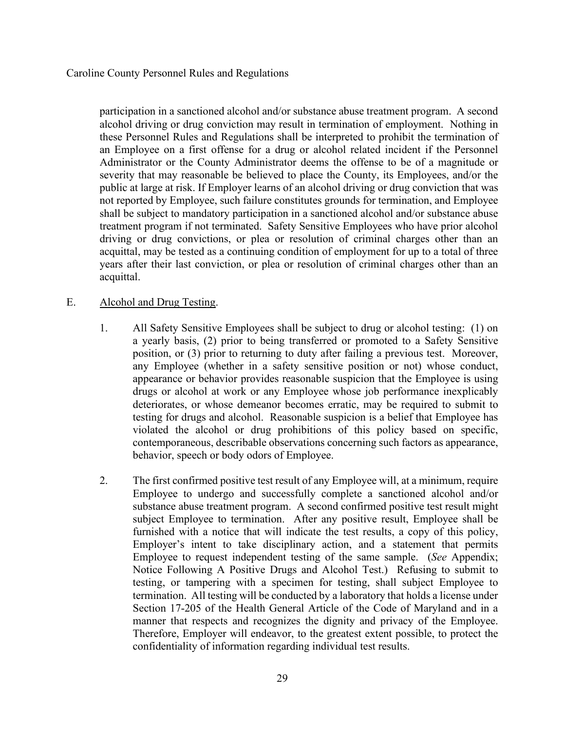participation in a sanctioned alcohol and/or substance abuse treatment program. A second alcohol driving or drug conviction may result in termination of employment. Nothing in these Personnel Rules and Regulations shall be interpreted to prohibit the termination of an Employee on a first offense for a drug or alcohol related incident if the Personnel Administrator or the County Administrator deems the offense to be of a magnitude or severity that may reasonable be believed to place the County, its Employees, and/or the public at large at risk. If Employer learns of an alcohol driving or drug conviction that was not reported by Employee, such failure constitutes grounds for termination, and Employee shall be subject to mandatory participation in a sanctioned alcohol and/or substance abuse treatment program if not terminated. Safety Sensitive Employees who have prior alcohol driving or drug convictions, or plea or resolution of criminal charges other than an acquittal, may be tested as a continuing condition of employment for up to a total of three years after their last conviction, or plea or resolution of criminal charges other than an acquittal.

### E. Alcohol and Drug Testing.

- 1. All Safety Sensitive Employees shall be subject to drug or alcohol testing: (1) on a yearly basis, (2) prior to being transferred or promoted to a Safety Sensitive position, or (3) prior to returning to duty after failing a previous test. Moreover, any Employee (whether in a safety sensitive position or not) whose conduct, appearance or behavior provides reasonable suspicion that the Employee is using drugs or alcohol at work or any Employee whose job performance inexplicably deteriorates, or whose demeanor becomes erratic, may be required to submit to testing for drugs and alcohol. Reasonable suspicion is a belief that Employee has violated the alcohol or drug prohibitions of this policy based on specific, contemporaneous, describable observations concerning such factors as appearance, behavior, speech or body odors of Employee.
- 2. The first confirmed positive test result of any Employee will, at a minimum, require Employee to undergo and successfully complete a sanctioned alcohol and/or substance abuse treatment program. A second confirmed positive test result might subject Employee to termination. After any positive result, Employee shall be furnished with a notice that will indicate the test results, a copy of this policy, Employer's intent to take disciplinary action, and a statement that permits Employee to request independent testing of the same sample. (*See* Appendix; Notice Following A Positive Drugs and Alcohol Test.) Refusing to submit to testing, or tampering with a specimen for testing, shall subject Employee to termination. All testing will be conducted by a laboratory that holds a license under Section 17-205 of the Health General Article of the Code of Maryland and in a manner that respects and recognizes the dignity and privacy of the Employee. Therefore, Employer will endeavor, to the greatest extent possible, to protect the confidentiality of information regarding individual test results.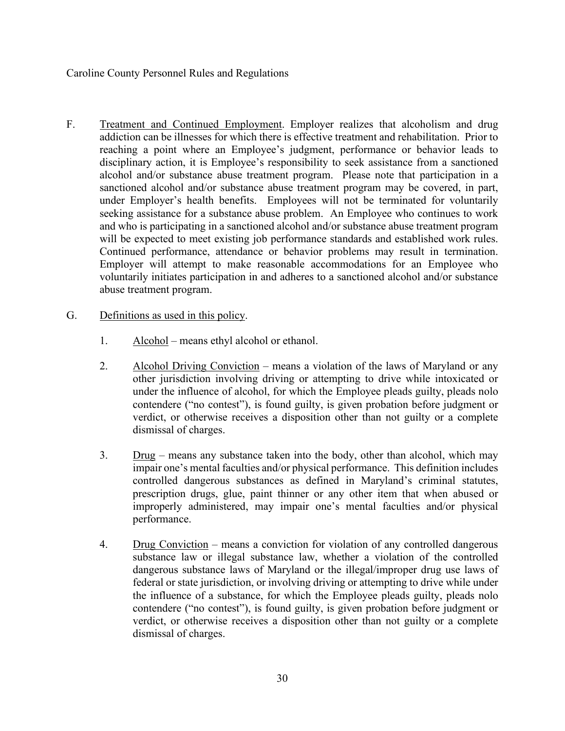- F. Treatment and Continued Employment. Employer realizes that alcoholism and drug addiction can be illnesses for which there is effective treatment and rehabilitation. Prior to reaching a point where an Employee's judgment, performance or behavior leads to disciplinary action, it is Employee's responsibility to seek assistance from a sanctioned alcohol and/or substance abuse treatment program. Please note that participation in a sanctioned alcohol and/or substance abuse treatment program may be covered, in part, under Employer's health benefits. Employees will not be terminated for voluntarily seeking assistance for a substance abuse problem. An Employee who continues to work and who is participating in a sanctioned alcohol and/or substance abuse treatment program will be expected to meet existing job performance standards and established work rules. Continued performance, attendance or behavior problems may result in termination. Employer will attempt to make reasonable accommodations for an Employee who voluntarily initiates participation in and adheres to a sanctioned alcohol and/or substance abuse treatment program.
- G. Definitions as used in this policy.
	- 1. Alcohol means ethyl alcohol or ethanol.
	- 2. Alcohol Driving Conviction means a violation of the laws of Maryland or any other jurisdiction involving driving or attempting to drive while intoxicated or under the influence of alcohol, for which the Employee pleads guilty, pleads nolo contendere ("no contest"), is found guilty, is given probation before judgment or verdict, or otherwise receives a disposition other than not guilty or a complete dismissal of charges.
	- 3. Drug means any substance taken into the body, other than alcohol, which may impair one's mental faculties and/or physical performance. This definition includes controlled dangerous substances as defined in Maryland's criminal statutes, prescription drugs, glue, paint thinner or any other item that when abused or improperly administered, may impair one's mental faculties and/or physical performance.
	- 4. Drug Conviction means a conviction for violation of any controlled dangerous substance law or illegal substance law, whether a violation of the controlled dangerous substance laws of Maryland or the illegal/improper drug use laws of federal or state jurisdiction, or involving driving or attempting to drive while under the influence of a substance, for which the Employee pleads guilty, pleads nolo contendere ("no contest"), is found guilty, is given probation before judgment or verdict, or otherwise receives a disposition other than not guilty or a complete dismissal of charges.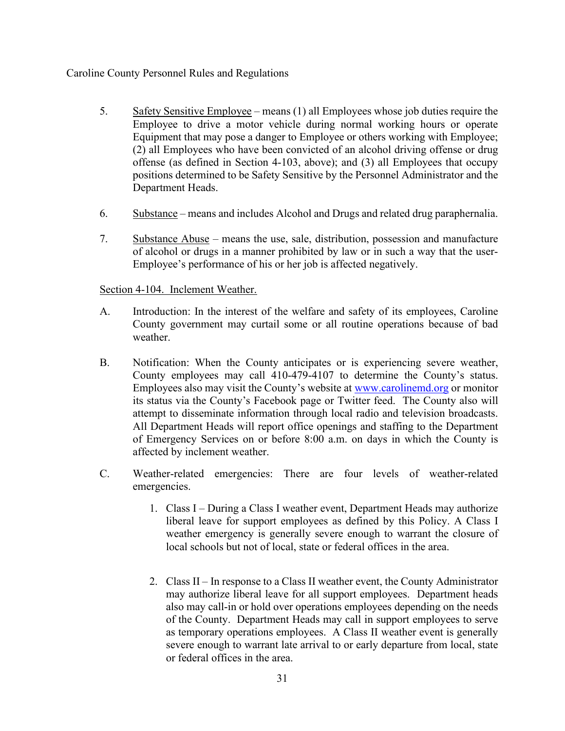- 5. Safety Sensitive Employee means (1) all Employees whose job duties require the Employee to drive a motor vehicle during normal working hours or operate Equipment that may pose a danger to Employee or others working with Employee; (2) all Employees who have been convicted of an alcohol driving offense or drug offense (as defined in Section 4-103, above); and (3) all Employees that occupy positions determined to be Safety Sensitive by the Personnel Administrator and the Department Heads.
- 6. Substance means and includes Alcohol and Drugs and related drug paraphernalia.
- 7. Substance Abuse means the use, sale, distribution, possession and manufacture of alcohol or drugs in a manner prohibited by law or in such a way that the user-Employee's performance of his or her job is affected negatively.

### Section 4-104. Inclement Weather.

- A. Introduction: In the interest of the welfare and safety of its employees, Caroline County government may curtail some or all routine operations because of bad weather.
- B. Notification: When the County anticipates or is experiencing severe weather, County employees may call 410-479-4107 to determine the County's status. Employees also may visit the County's website at www.carolinemd.org or monitor its status via the County's Facebook page or Twitter feed. The County also will attempt to disseminate information through local radio and television broadcasts. All Department Heads will report office openings and staffing to the Department of Emergency Services on or before 8:00 a.m. on days in which the County is affected by inclement weather.
- C. Weather-related emergencies: There are four levels of weather-related emergencies.
	- 1. Class I During a Class I weather event, Department Heads may authorize liberal leave for support employees as defined by this Policy. A Class I weather emergency is generally severe enough to warrant the closure of local schools but not of local, state or federal offices in the area.
	- 2. Class II In response to a Class II weather event, the County Administrator may authorize liberal leave for all support employees. Department heads also may call-in or hold over operations employees depending on the needs of the County. Department Heads may call in support employees to serve as temporary operations employees. A Class II weather event is generally severe enough to warrant late arrival to or early departure from local, state or federal offices in the area.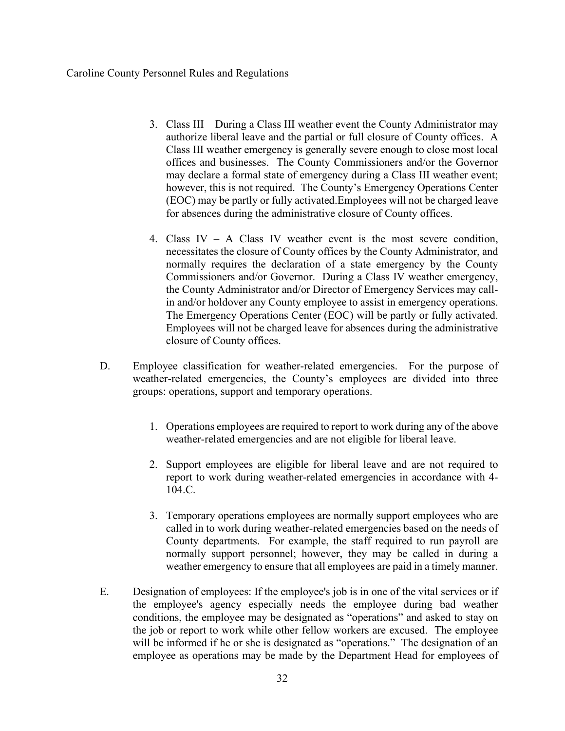- 3. Class III During a Class III weather event the County Administrator may authorize liberal leave and the partial or full closure of County offices. A Class III weather emergency is generally severe enough to close most local offices and businesses. The County Commissioners and/or the Governor may declare a formal state of emergency during a Class III weather event; however, this is not required. The County's Emergency Operations Center (EOC) may be partly or fully activated.Employees will not be charged leave for absences during the administrative closure of County offices.
- 4. Class IV A Class IV weather event is the most severe condition, necessitates the closure of County offices by the County Administrator, and normally requires the declaration of a state emergency by the County Commissioners and/or Governor. During a Class IV weather emergency, the County Administrator and/or Director of Emergency Services may callin and/or holdover any County employee to assist in emergency operations. The Emergency Operations Center (EOC) will be partly or fully activated. Employees will not be charged leave for absences during the administrative closure of County offices.
- D. Employee classification for weather-related emergencies. For the purpose of weather-related emergencies, the County's employees are divided into three groups: operations, support and temporary operations.
	- 1. Operations employees are required to report to work during any of the above weather-related emergencies and are not eligible for liberal leave.
	- 2. Support employees are eligible for liberal leave and are not required to report to work during weather-related emergencies in accordance with 4- 104.C.
	- 3. Temporary operations employees are normally support employees who are called in to work during weather-related emergencies based on the needs of County departments. For example, the staff required to run payroll are normally support personnel; however, they may be called in during a weather emergency to ensure that all employees are paid in a timely manner.
- E. Designation of employees: If the employee's job is in one of the vital services or if the employee's agency especially needs the employee during bad weather conditions, the employee may be designated as "operations" and asked to stay on the job or report to work while other fellow workers are excused. The employee will be informed if he or she is designated as "operations." The designation of an employee as operations may be made by the Department Head for employees of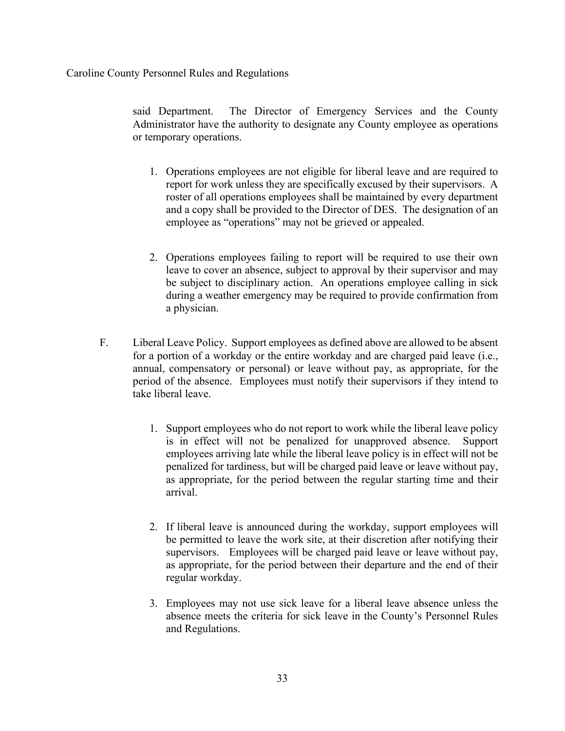said Department. The Director of Emergency Services and the County Administrator have the authority to designate any County employee as operations or temporary operations.

- 1. Operations employees are not eligible for liberal leave and are required to report for work unless they are specifically excused by their supervisors. A roster of all operations employees shall be maintained by every department and a copy shall be provided to the Director of DES. The designation of an employee as "operations" may not be grieved or appealed.
- 2. Operations employees failing to report will be required to use their own leave to cover an absence, subject to approval by their supervisor and may be subject to disciplinary action. An operations employee calling in sick during a weather emergency may be required to provide confirmation from a physician.
- F. Liberal Leave Policy. Support employees as defined above are allowed to be absent for a portion of a workday or the entire workday and are charged paid leave (i.e., annual, compensatory or personal) or leave without pay, as appropriate, for the period of the absence. Employees must notify their supervisors if they intend to take liberal leave.
	- 1. Support employees who do not report to work while the liberal leave policy is in effect will not be penalized for unapproved absence. Support employees arriving late while the liberal leave policy is in effect will not be penalized for tardiness, but will be charged paid leave or leave without pay, as appropriate, for the period between the regular starting time and their arrival.
	- 2. If liberal leave is announced during the workday, support employees will be permitted to leave the work site, at their discretion after notifying their supervisors. Employees will be charged paid leave or leave without pay, as appropriate, for the period between their departure and the end of their regular workday.
	- 3. Employees may not use sick leave for a liberal leave absence unless the absence meets the criteria for sick leave in the County's Personnel Rules and Regulations.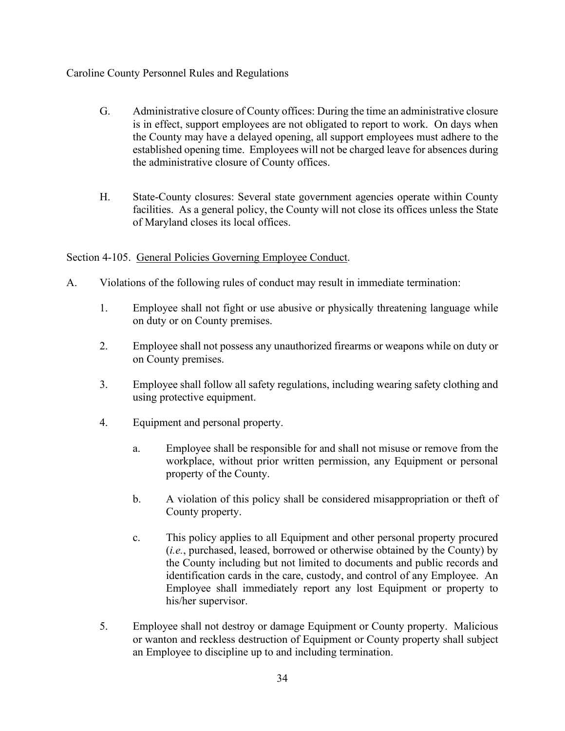- G. Administrative closure of County offices: During the time an administrative closure is in effect, support employees are not obligated to report to work. On days when the County may have a delayed opening, all support employees must adhere to the established opening time. Employees will not be charged leave for absences during the administrative closure of County offices.
- H. State-County closures: Several state government agencies operate within County facilities. As a general policy, the County will not close its offices unless the State of Maryland closes its local offices.

Section 4-105. General Policies Governing Employee Conduct.

- A. Violations of the following rules of conduct may result in immediate termination:
	- 1. Employee shall not fight or use abusive or physically threatening language while on duty or on County premises.
	- 2. Employee shall not possess any unauthorized firearms or weapons while on duty or on County premises.
	- 3. Employee shall follow all safety regulations, including wearing safety clothing and using protective equipment.
	- 4. Equipment and personal property.
		- a. Employee shall be responsible for and shall not misuse or remove from the workplace, without prior written permission, any Equipment or personal property of the County.
		- b. A violation of this policy shall be considered misappropriation or theft of County property.
		- c. This policy applies to all Equipment and other personal property procured (*i.e.*, purchased, leased, borrowed or otherwise obtained by the County) by the County including but not limited to documents and public records and identification cards in the care, custody, and control of any Employee. An Employee shall immediately report any lost Equipment or property to his/her supervisor.
	- 5. Employee shall not destroy or damage Equipment or County property. Malicious or wanton and reckless destruction of Equipment or County property shall subject an Employee to discipline up to and including termination.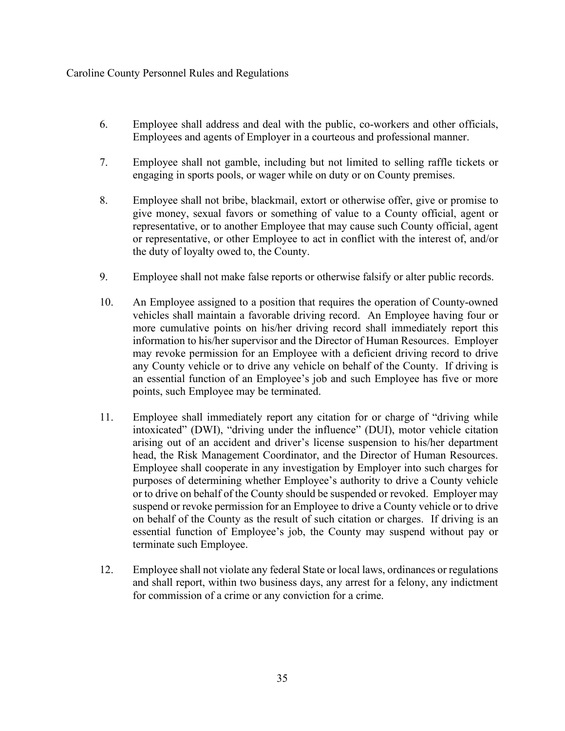- 6. Employee shall address and deal with the public, co-workers and other officials, Employees and agents of Employer in a courteous and professional manner.
- 7. Employee shall not gamble, including but not limited to selling raffle tickets or engaging in sports pools, or wager while on duty or on County premises.
- 8. Employee shall not bribe, blackmail, extort or otherwise offer, give or promise to give money, sexual favors or something of value to a County official, agent or representative, or to another Employee that may cause such County official, agent or representative, or other Employee to act in conflict with the interest of, and/or the duty of loyalty owed to, the County.
- 9. Employee shall not make false reports or otherwise falsify or alter public records.
- 10. An Employee assigned to a position that requires the operation of County-owned vehicles shall maintain a favorable driving record. An Employee having four or more cumulative points on his/her driving record shall immediately report this information to his/her supervisor and the Director of Human Resources. Employer may revoke permission for an Employee with a deficient driving record to drive any County vehicle or to drive any vehicle on behalf of the County. If driving is an essential function of an Employee's job and such Employee has five or more points, such Employee may be terminated.
- 11. Employee shall immediately report any citation for or charge of "driving while intoxicated" (DWI), "driving under the influence" (DUI), motor vehicle citation arising out of an accident and driver's license suspension to his/her department head, the Risk Management Coordinator, and the Director of Human Resources. Employee shall cooperate in any investigation by Employer into such charges for purposes of determining whether Employee's authority to drive a County vehicle or to drive on behalf of the County should be suspended or revoked. Employer may suspend or revoke permission for an Employee to drive a County vehicle or to drive on behalf of the County as the result of such citation or charges. If driving is an essential function of Employee's job, the County may suspend without pay or terminate such Employee.
- 12. Employee shall not violate any federal State or local laws, ordinances or regulations and shall report, within two business days, any arrest for a felony, any indictment for commission of a crime or any conviction for a crime.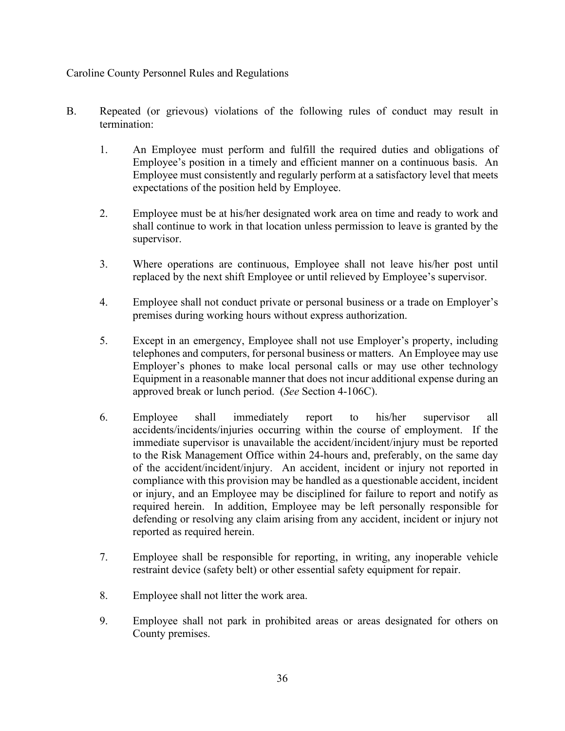- B. Repeated (or grievous) violations of the following rules of conduct may result in termination:
	- 1. An Employee must perform and fulfill the required duties and obligations of Employee's position in a timely and efficient manner on a continuous basis. An Employee must consistently and regularly perform at a satisfactory level that meets expectations of the position held by Employee.
	- 2. Employee must be at his/her designated work area on time and ready to work and shall continue to work in that location unless permission to leave is granted by the supervisor.
	- 3. Where operations are continuous, Employee shall not leave his/her post until replaced by the next shift Employee or until relieved by Employee's supervisor.
	- 4. Employee shall not conduct private or personal business or a trade on Employer's premises during working hours without express authorization.
	- 5. Except in an emergency, Employee shall not use Employer's property, including telephones and computers, for personal business or matters. An Employee may use Employer's phones to make local personal calls or may use other technology Equipment in a reasonable manner that does not incur additional expense during an approved break or lunch period. (*See* Section 4-106C).
	- 6. Employee shall immediately report to his/her supervisor all accidents/incidents/injuries occurring within the course of employment. If the immediate supervisor is unavailable the accident/incident/injury must be reported to the Risk Management Office within 24-hours and, preferably, on the same day of the accident/incident/injury. An accident, incident or injury not reported in compliance with this provision may be handled as a questionable accident, incident or injury, and an Employee may be disciplined for failure to report and notify as required herein. In addition, Employee may be left personally responsible for defending or resolving any claim arising from any accident, incident or injury not reported as required herein.
	- 7. Employee shall be responsible for reporting, in writing, any inoperable vehicle restraint device (safety belt) or other essential safety equipment for repair.
	- 8. Employee shall not litter the work area.
	- 9. Employee shall not park in prohibited areas or areas designated for others on County premises.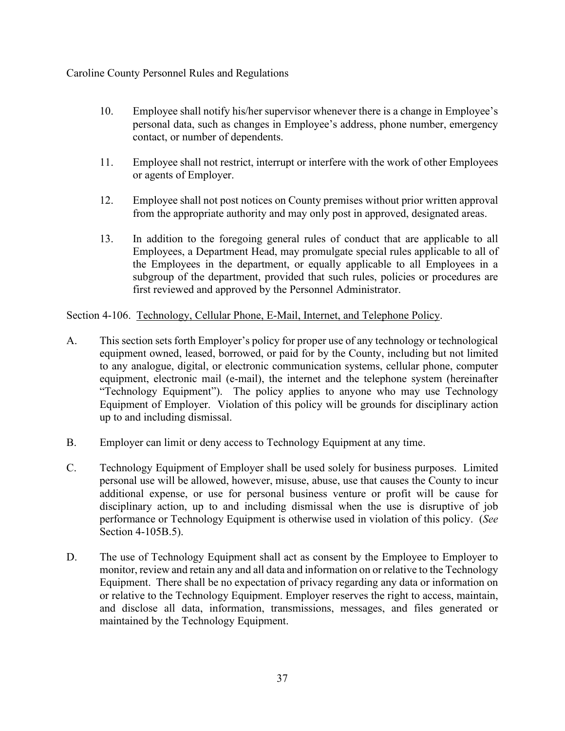- 10. Employee shall notify his/her supervisor whenever there is a change in Employee's personal data, such as changes in Employee's address, phone number, emergency contact, or number of dependents.
- 11. Employee shall not restrict, interrupt or interfere with the work of other Employees or agents of Employer.
- 12. Employee shall not post notices on County premises without prior written approval from the appropriate authority and may only post in approved, designated areas.
- 13. In addition to the foregoing general rules of conduct that are applicable to all Employees, a Department Head, may promulgate special rules applicable to all of the Employees in the department, or equally applicable to all Employees in a subgroup of the department, provided that such rules, policies or procedures are first reviewed and approved by the Personnel Administrator.

# Section 4-106. Technology, Cellular Phone, E-Mail, Internet, and Telephone Policy.

- A. This section sets forth Employer's policy for proper use of any technology or technological equipment owned, leased, borrowed, or paid for by the County, including but not limited to any analogue, digital, or electronic communication systems, cellular phone, computer equipment, electronic mail (e-mail), the internet and the telephone system (hereinafter "Technology Equipment"). The policy applies to anyone who may use Technology Equipment of Employer. Violation of this policy will be grounds for disciplinary action up to and including dismissal.
- B. Employer can limit or deny access to Technology Equipment at any time.
- C. Technology Equipment of Employer shall be used solely for business purposes. Limited personal use will be allowed, however, misuse, abuse, use that causes the County to incur additional expense, or use for personal business venture or profit will be cause for disciplinary action, up to and including dismissal when the use is disruptive of job performance or Technology Equipment is otherwise used in violation of this policy. (*See* Section 4-105B.5).
- D. The use of Technology Equipment shall act as consent by the Employee to Employer to monitor, review and retain any and all data and information on or relative to the Technology Equipment. There shall be no expectation of privacy regarding any data or information on or relative to the Technology Equipment. Employer reserves the right to access, maintain, and disclose all data, information, transmissions, messages, and files generated or maintained by the Technology Equipment.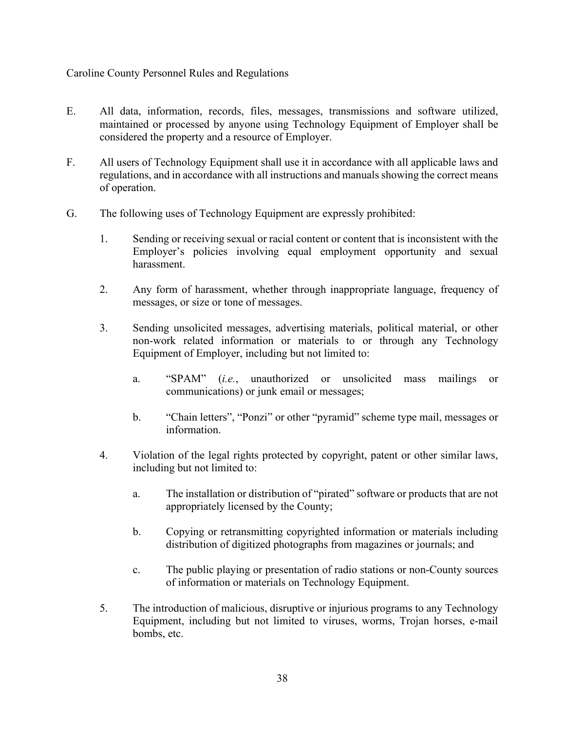- E. All data, information, records, files, messages, transmissions and software utilized, maintained or processed by anyone using Technology Equipment of Employer shall be considered the property and a resource of Employer.
- F. All users of Technology Equipment shall use it in accordance with all applicable laws and regulations, and in accordance with all instructions and manuals showing the correct means of operation.
- G. The following uses of Technology Equipment are expressly prohibited:
	- 1. Sending or receiving sexual or racial content or content that is inconsistent with the Employer's policies involving equal employment opportunity and sexual harassment.
	- 2. Any form of harassment, whether through inappropriate language, frequency of messages, or size or tone of messages.
	- 3. Sending unsolicited messages, advertising materials, political material, or other non-work related information or materials to or through any Technology Equipment of Employer, including but not limited to:
		- a. "SPAM" (*i.e.*, unauthorized or unsolicited mass mailings or communications) or junk email or messages;
		- b. "Chain letters", "Ponzi" or other "pyramid" scheme type mail, messages or information.
	- 4. Violation of the legal rights protected by copyright, patent or other similar laws, including but not limited to:
		- a. The installation or distribution of "pirated" software or products that are not appropriately licensed by the County;
		- b. Copying or retransmitting copyrighted information or materials including distribution of digitized photographs from magazines or journals; and
		- c. The public playing or presentation of radio stations or non-County sources of information or materials on Technology Equipment.
	- 5. The introduction of malicious, disruptive or injurious programs to any Technology Equipment, including but not limited to viruses, worms, Trojan horses, e-mail bombs, etc.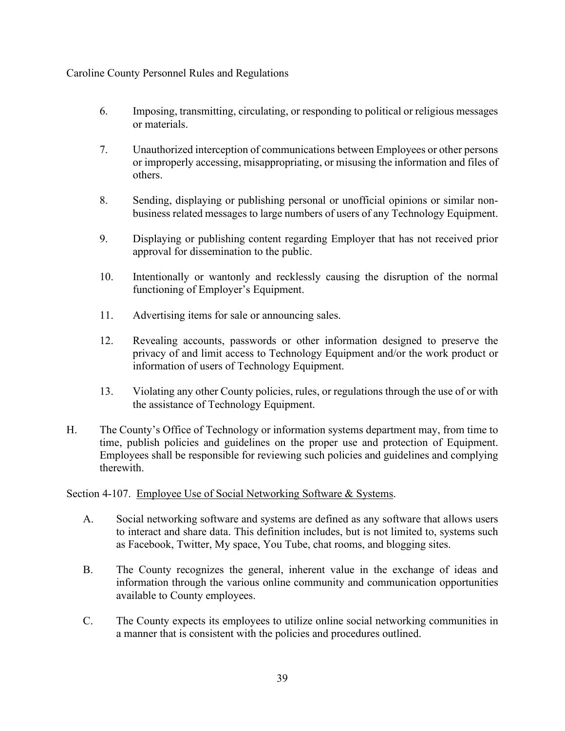- 6. Imposing, transmitting, circulating, or responding to political or religious messages or materials.
- 7. Unauthorized interception of communications between Employees or other persons or improperly accessing, misappropriating, or misusing the information and files of others.
- 8. Sending, displaying or publishing personal or unofficial opinions or similar nonbusiness related messages to large numbers of users of any Technology Equipment.
- 9. Displaying or publishing content regarding Employer that has not received prior approval for dissemination to the public.
- 10. Intentionally or wantonly and recklessly causing the disruption of the normal functioning of Employer's Equipment.
- 11. Advertising items for sale or announcing sales.
- 12. Revealing accounts, passwords or other information designed to preserve the privacy of and limit access to Technology Equipment and/or the work product or information of users of Technology Equipment.
- 13. Violating any other County policies, rules, or regulations through the use of or with the assistance of Technology Equipment.
- H. The County's Office of Technology or information systems department may, from time to time, publish policies and guidelines on the proper use and protection of Equipment. Employees shall be responsible for reviewing such policies and guidelines and complying therewith.

### Section 4-107. Employee Use of Social Networking Software & Systems.

- A. Social networking software and systems are defined as any software that allows users to interact and share data. This definition includes, but is not limited to, systems such as Facebook, Twitter, My space, You Tube, chat rooms, and blogging sites.
- B. The County recognizes the general, inherent value in the exchange of ideas and information through the various online community and communication opportunities available to County employees.
- C. The County expects its employees to utilize online social networking communities in a manner that is consistent with the policies and procedures outlined.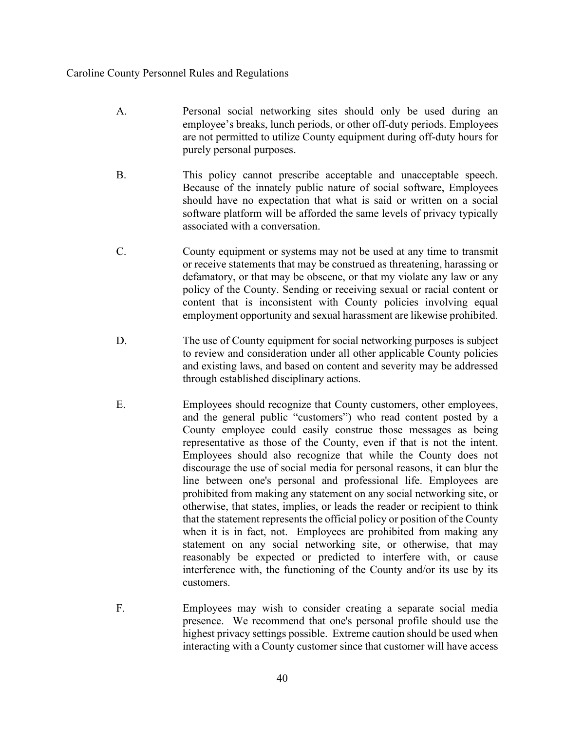- A. Personal social networking sites should only be used during an employee's breaks, lunch periods, or other off-duty periods. Employees are not permitted to utilize County equipment during off-duty hours for purely personal purposes.
- B. This policy cannot prescribe acceptable and unacceptable speech. Because of the innately public nature of social software, Employees should have no expectation that what is said or written on a social software platform will be afforded the same levels of privacy typically associated with a conversation.
- C. County equipment or systems may not be used at any time to transmit or receive statements that may be construed as threatening, harassing or defamatory, or that may be obscene, or that my violate any law or any policy of the County. Sending or receiving sexual or racial content or content that is inconsistent with County policies involving equal employment opportunity and sexual harassment are likewise prohibited.
- D. The use of County equipment for social networking purposes is subject to review and consideration under all other applicable County policies and existing laws, and based on content and severity may be addressed through established disciplinary actions.
- E. Employees should recognize that County customers, other employees, and the general public "customers") who read content posted by a County employee could easily construe those messages as being representative as those of the County, even if that is not the intent. Employees should also recognize that while the County does not discourage the use of social media for personal reasons, it can blur the line between one's personal and professional life. Employees are prohibited from making any statement on any social networking site, or otherwise, that states, implies, or leads the reader or recipient to think that the statement represents the official policy or position of the County when it is in fact, not. Employees are prohibited from making any statement on any social networking site, or otherwise, that may reasonably be expected or predicted to interfere with, or cause interference with, the functioning of the County and/or its use by its customers.
- F. Employees may wish to consider creating a separate social media presence. We recommend that one's personal profile should use the highest privacy settings possible. Extreme caution should be used when interacting with a County customer since that customer will have access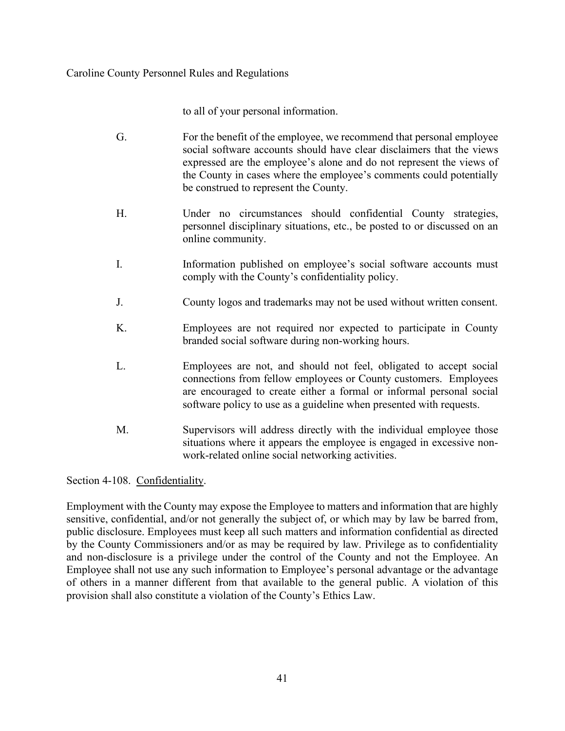to all of your personal information.

- G. For the benefit of the employee, we recommend that personal employee social software accounts should have clear disclaimers that the views expressed are the employee's alone and do not represent the views of the County in cases where the employee's comments could potentially be construed to represent the County.
- H. Under no circumstances should confidential County strategies, personnel disciplinary situations, etc., be posted to or discussed on an online community.
- I. Information published on employee's social software accounts must comply with the County's confidentiality policy.
- J. County logos and trademarks may not be used without written consent.
- K. Employees are not required nor expected to participate in County branded social software during non-working hours.
- L. Employees are not, and should not feel, obligated to accept social connections from fellow employees or County customers. Employees are encouraged to create either a formal or informal personal social software policy to use as a guideline when presented with requests.
- M. Supervisors will address directly with the individual employee those situations where it appears the employee is engaged in excessive nonwork-related online social networking activities.

Section 4-108. Confidentiality.

Employment with the County may expose the Employee to matters and information that are highly sensitive, confidential, and/or not generally the subject of, or which may by law be barred from, public disclosure. Employees must keep all such matters and information confidential as directed by the County Commissioners and/or as may be required by law. Privilege as to confidentiality and non-disclosure is a privilege under the control of the County and not the Employee. An Employee shall not use any such information to Employee's personal advantage or the advantage of others in a manner different from that available to the general public. A violation of this provision shall also constitute a violation of the County's Ethics Law.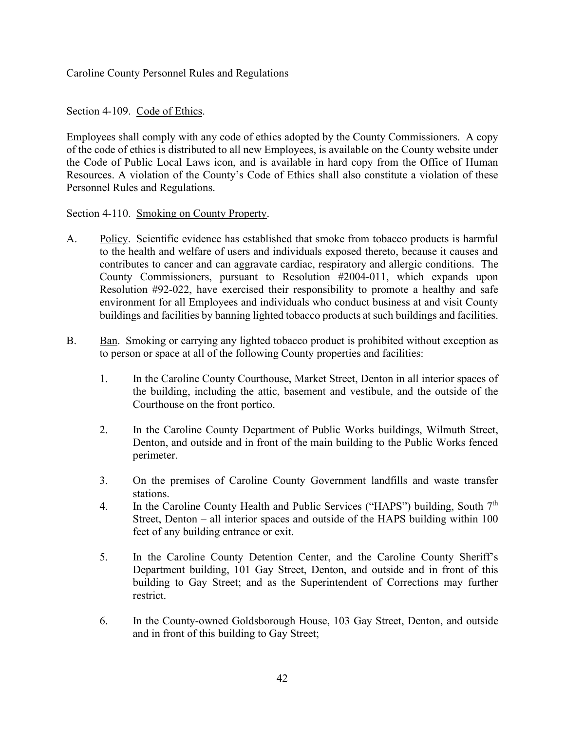Section 4-109. Code of Ethics.

Employees shall comply with any code of ethics adopted by the County Commissioners. A copy of the code of ethics is distributed to all new Employees, is available on the County website under the Code of Public Local Laws icon, and is available in hard copy from the Office of Human Resources. A violation of the County's Code of Ethics shall also constitute a violation of these Personnel Rules and Regulations.

Section 4-110. Smoking on County Property.

- A. Policy. Scientific evidence has established that smoke from tobacco products is harmful to the health and welfare of users and individuals exposed thereto, because it causes and contributes to cancer and can aggravate cardiac, respiratory and allergic conditions. The County Commissioners, pursuant to Resolution #2004-011, which expands upon Resolution #92-022, have exercised their responsibility to promote a healthy and safe environment for all Employees and individuals who conduct business at and visit County buildings and facilities by banning lighted tobacco products at such buildings and facilities.
- B. Ban. Smoking or carrying any lighted tobacco product is prohibited without exception as to person or space at all of the following County properties and facilities:
	- 1. In the Caroline County Courthouse, Market Street, Denton in all interior spaces of the building, including the attic, basement and vestibule, and the outside of the Courthouse on the front portico.
	- 2. In the Caroline County Department of Public Works buildings, Wilmuth Street, Denton, and outside and in front of the main building to the Public Works fenced perimeter.
	- 3. On the premises of Caroline County Government landfills and waste transfer stations.
	- 4. In the Caroline County Health and Public Services ("HAPS") building, South  $7<sup>th</sup>$ Street, Denton – all interior spaces and outside of the HAPS building within 100 feet of any building entrance or exit.
	- 5. In the Caroline County Detention Center, and the Caroline County Sheriff's Department building, 101 Gay Street, Denton, and outside and in front of this building to Gay Street; and as the Superintendent of Corrections may further restrict.
	- 6. In the County-owned Goldsborough House, 103 Gay Street, Denton, and outside and in front of this building to Gay Street;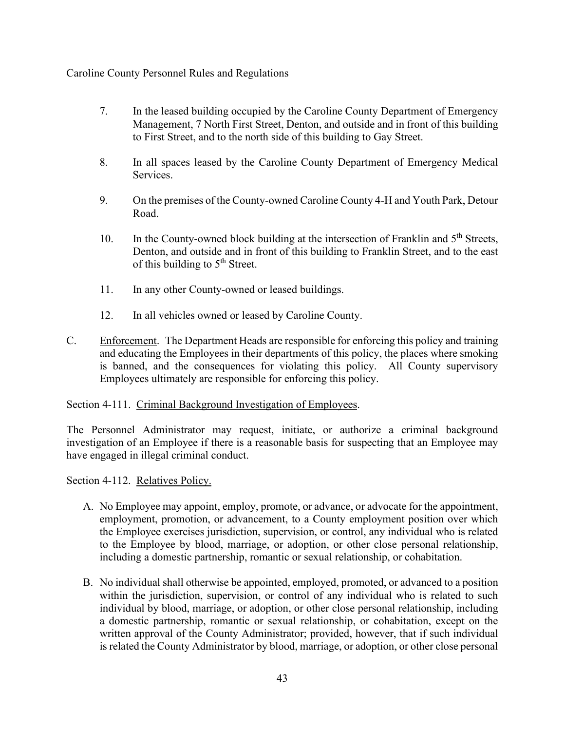- 7. In the leased building occupied by the Caroline County Department of Emergency Management, 7 North First Street, Denton, and outside and in front of this building to First Street, and to the north side of this building to Gay Street.
- 8. In all spaces leased by the Caroline County Department of Emergency Medical Services.
- 9. On the premises of the County-owned Caroline County 4-H and Youth Park, Detour Road.
- 10. In the County-owned block building at the intersection of Franklin and  $5<sup>th</sup>$  Streets, Denton, and outside and in front of this building to Franklin Street, and to the east of this building to  $5<sup>th</sup>$  Street.
- 11. In any other County-owned or leased buildings.
- 12. In all vehicles owned or leased by Caroline County.
- C. Enforcement. The Department Heads are responsible for enforcing this policy and training and educating the Employees in their departments of this policy, the places where smoking is banned, and the consequences for violating this policy. All County supervisory Employees ultimately are responsible for enforcing this policy.

### Section 4-111. Criminal Background Investigation of Employees.

The Personnel Administrator may request, initiate, or authorize a criminal background investigation of an Employee if there is a reasonable basis for suspecting that an Employee may have engaged in illegal criminal conduct.

Section 4-112. Relatives Policy.

- A. No Employee may appoint, employ, promote, or advance, or advocate for the appointment, employment, promotion, or advancement, to a County employment position over which the Employee exercises jurisdiction, supervision, or control, any individual who is related to the Employee by blood, marriage, or adoption, or other close personal relationship, including a domestic partnership, romantic or sexual relationship, or cohabitation.
- B. No individual shall otherwise be appointed, employed, promoted, or advanced to a position within the jurisdiction, supervision, or control of any individual who is related to such individual by blood, marriage, or adoption, or other close personal relationship, including a domestic partnership, romantic or sexual relationship, or cohabitation, except on the written approval of the County Administrator; provided, however, that if such individual is related the County Administrator by blood, marriage, or adoption, or other close personal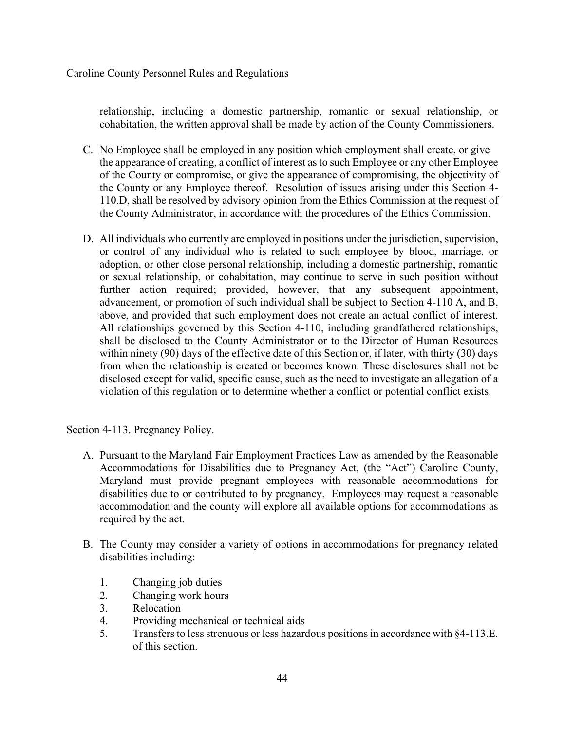relationship, including a domestic partnership, romantic or sexual relationship, or cohabitation, the written approval shall be made by action of the County Commissioners.

- C. No Employee shall be employed in any position which employment shall create, or give the appearance of creating, a conflict of interest as to such Employee or any other Employee of the County or compromise, or give the appearance of compromising, the objectivity of the County or any Employee thereof. Resolution of issues arising under this Section 4- 110.D, shall be resolved by advisory opinion from the Ethics Commission at the request of the County Administrator, in accordance with the procedures of the Ethics Commission.
- D. All individuals who currently are employed in positions under the jurisdiction, supervision, or control of any individual who is related to such employee by blood, marriage, or adoption, or other close personal relationship, including a domestic partnership, romantic or sexual relationship, or cohabitation, may continue to serve in such position without further action required; provided, however, that any subsequent appointment, advancement, or promotion of such individual shall be subject to Section 4-110 A, and B, above, and provided that such employment does not create an actual conflict of interest. All relationships governed by this Section 4-110, including grandfathered relationships, shall be disclosed to the County Administrator or to the Director of Human Resources within ninety (90) days of the effective date of this Section or, if later, with thirty (30) days from when the relationship is created or becomes known. These disclosures shall not be disclosed except for valid, specific cause, such as the need to investigate an allegation of a violation of this regulation or to determine whether a conflict or potential conflict exists.

Section 4-113. Pregnancy Policy.

- A. Pursuant to the Maryland Fair Employment Practices Law as amended by the Reasonable Accommodations for Disabilities due to Pregnancy Act, (the "Act") Caroline County, Maryland must provide pregnant employees with reasonable accommodations for disabilities due to or contributed to by pregnancy. Employees may request a reasonable accommodation and the county will explore all available options for accommodations as required by the act.
- B. The County may consider a variety of options in accommodations for pregnancy related disabilities including:
	- 1. Changing job duties
	- 2. Changing work hours
	- 3. Relocation
	- 4. Providing mechanical or technical aids
	- 5. Transfers to less strenuous or less hazardous positions in accordance with §4-113.E. of this section.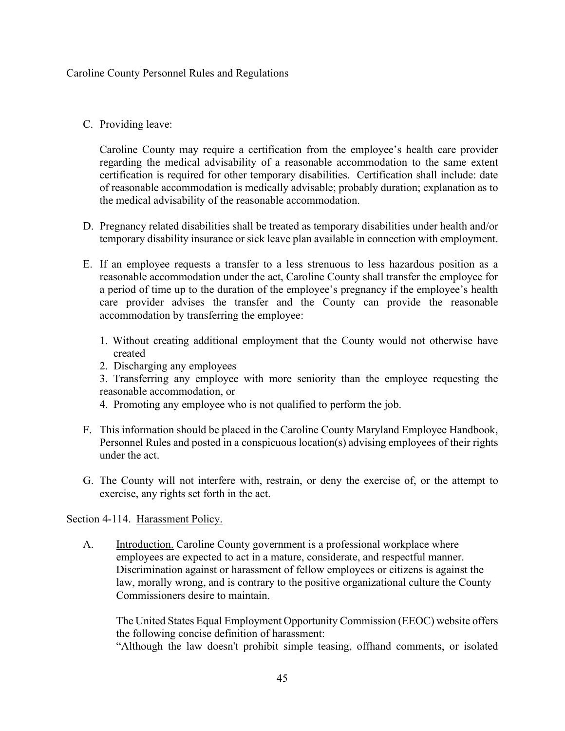C. Providing leave:

Caroline County may require a certification from the employee's health care provider regarding the medical advisability of a reasonable accommodation to the same extent certification is required for other temporary disabilities. Certification shall include: date of reasonable accommodation is medically advisable; probably duration; explanation as to the medical advisability of the reasonable accommodation.

- D. Pregnancy related disabilities shall be treated as temporary disabilities under health and/or temporary disability insurance or sick leave plan available in connection with employment.
- E. If an employee requests a transfer to a less strenuous to less hazardous position as a reasonable accommodation under the act, Caroline County shall transfer the employee for a period of time up to the duration of the employee's pregnancy if the employee's health care provider advises the transfer and the County can provide the reasonable accommodation by transferring the employee:
	- 1. Without creating additional employment that the County would not otherwise have created
	- 2. Discharging any employees
	- 3. Transferring any employee with more seniority than the employee requesting the reasonable accommodation, or
	- 4. Promoting any employee who is not qualified to perform the job.
- F. This information should be placed in the Caroline County Maryland Employee Handbook, Personnel Rules and posted in a conspicuous location(s) advising employees of their rights under the act.
- G. The County will not interfere with, restrain, or deny the exercise of, or the attempt to exercise, any rights set forth in the act.

Section 4-114. Harassment Policy.

A. Introduction. Caroline County government is a professional workplace where employees are expected to act in a mature, considerate, and respectful manner. Discrimination against or harassment of fellow employees or citizens is against the law, morally wrong, and is contrary to the positive organizational culture the County Commissioners desire to maintain.

The United States Equal Employment Opportunity Commission (EEOC) website offers the following concise definition of harassment:

"Although the law doesn't prohibit simple teasing, offhand comments, or isolated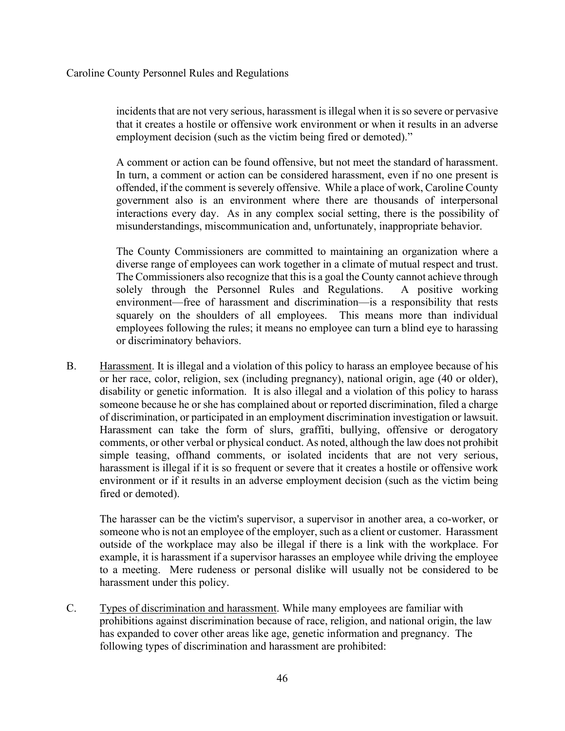incidents that are not very serious, harassment is illegal when it is so severe or pervasive that it creates a hostile or offensive work environment or when it results in an adverse employment decision (such as the victim being fired or demoted)."

A comment or action can be found offensive, but not meet the standard of harassment. In turn, a comment or action can be considered harassment, even if no one present is offended, if the comment is severely offensive. While a place of work, Caroline County government also is an environment where there are thousands of interpersonal interactions every day. As in any complex social setting, there is the possibility of misunderstandings, miscommunication and, unfortunately, inappropriate behavior.

The County Commissioners are committed to maintaining an organization where a diverse range of employees can work together in a climate of mutual respect and trust. The Commissioners also recognize that this is a goal the County cannot achieve through solely through the Personnel Rules and Regulations. A positive working environment—free of harassment and discrimination—is a responsibility that rests squarely on the shoulders of all employees. This means more than individual employees following the rules; it means no employee can turn a blind eye to harassing or discriminatory behaviors.

B. Harassment. It is illegal and a violation of this policy to harass an employee because of his or her race, color, religion, sex (including pregnancy), national origin, age (40 or older), disability or genetic information. It is also illegal and a violation of this policy to harass someone because he or she has complained about or reported discrimination, filed a charge of discrimination, or participated in an employment discrimination investigation or lawsuit. Harassment can take the form of slurs, graffiti, bullying, offensive or derogatory comments, or other verbal or physical conduct. As noted, although the law does not prohibit simple teasing, offhand comments, or isolated incidents that are not very serious, harassment is illegal if it is so frequent or severe that it creates a hostile or offensive work environment or if it results in an adverse employment decision (such as the victim being fired or demoted).

The harasser can be the victim's supervisor, a supervisor in another area, a co-worker, or someone who is not an employee of the employer, such as a client or customer. Harassment outside of the workplace may also be illegal if there is a link with the workplace. For example, it is harassment if a supervisor harasses an employee while driving the employee to a meeting. Mere rudeness or personal dislike will usually not be considered to be harassment under this policy.

C. Types of discrimination and harassment. While many employees are familiar with prohibitions against discrimination because of race, religion, and national origin, the law has expanded to cover other areas like age, genetic information and pregnancy. The following types of discrimination and harassment are prohibited: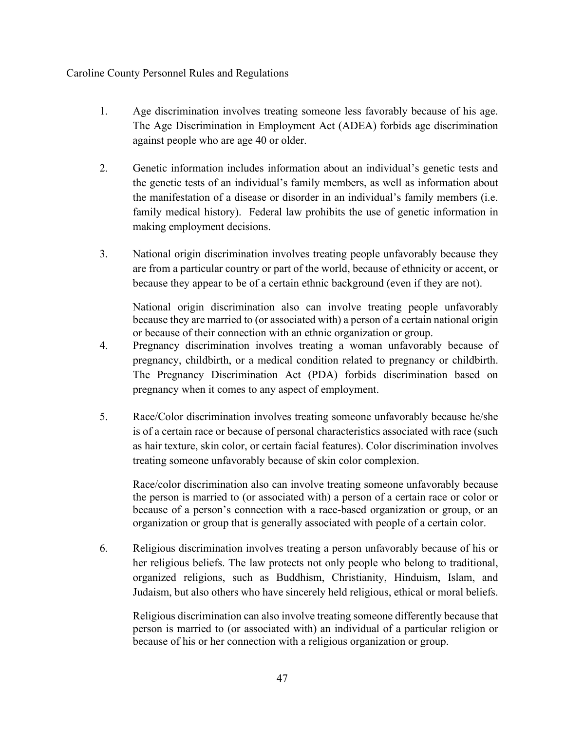- 1. Age discrimination involves treating someone less favorably because of his age. The Age Discrimination in Employment Act (ADEA) forbids age discrimination against people who are age 40 or older.
- 2. Genetic information includes information about an individual's genetic tests and the genetic tests of an individual's family members, as well as information about the manifestation of a disease or disorder in an individual's family members (i.e. family medical history). Federal law prohibits the use of genetic information in making employment decisions.
- 3. National origin discrimination involves treating people unfavorably because they are from a particular country or part of the world, because of ethnicity or accent, or because they appear to be of a certain ethnic background (even if they are not).

National origin discrimination also can involve treating people unfavorably because they are married to (or associated with) a person of a certain national origin or because of their connection with an ethnic organization or group.

- 4. Pregnancy discrimination involves treating a woman unfavorably because of pregnancy, childbirth, or a medical condition related to pregnancy or childbirth. The Pregnancy Discrimination Act (PDA) forbids discrimination based on pregnancy when it comes to any aspect of employment.
- 5. Race/Color discrimination involves treating someone unfavorably because he/she is of a certain race or because of personal characteristics associated with race (such as hair texture, skin color, or certain facial features). Color discrimination involves treating someone unfavorably because of skin color complexion.

Race/color discrimination also can involve treating someone unfavorably because the person is married to (or associated with) a person of a certain race or color or because of a person's connection with a race-based organization or group, or an organization or group that is generally associated with people of a certain color.

6. Religious discrimination involves treating a person unfavorably because of his or her religious beliefs. The law protects not only people who belong to traditional, organized religions, such as Buddhism, Christianity, Hinduism, Islam, and Judaism, but also others who have sincerely held religious, ethical or moral beliefs.

Religious discrimination can also involve treating someone differently because that person is married to (or associated with) an individual of a particular religion or because of his or her connection with a religious organization or group.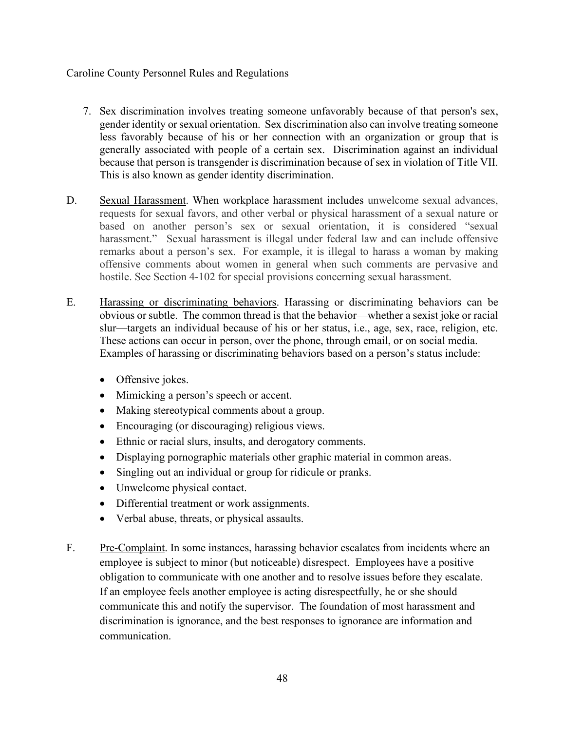- 7. Sex discrimination involves treating someone unfavorably because of that person's sex, gender identity or sexual orientation. Sex discrimination also can involve treating someone less favorably because of his or her connection with an organization or group that is generally associated with people of a certain sex. Discrimination against an individual because that person is transgender is discrimination because of sex in violation of Title VII. This is also known as gender identity discrimination.
- D. Sexual Harassment. When workplace harassment includes unwelcome sexual advances, requests for sexual favors, and other verbal or physical harassment of a sexual nature or based on another person's sex or sexual orientation, it is considered "sexual harassment." Sexual harassment is illegal under federal law and can include offensive remarks about a person's sex. For example, it is illegal to harass a woman by making offensive comments about women in general when such comments are pervasive and hostile. See Section 4-102 for special provisions concerning sexual harassment.
- E. Harassing or discriminating behaviors. Harassing or discriminating behaviors can be obvious or subtle. The common thread is that the behavior—whether a sexist joke or racial slur—targets an individual because of his or her status, i.e., age, sex, race, religion, etc. These actions can occur in person, over the phone, through email, or on social media. Examples of harassing or discriminating behaviors based on a person's status include:
	- Offensive jokes.
	- Mimicking a person's speech or accent.
	- Making stereotypical comments about a group.
	- Encouraging (or discouraging) religious views.
	- Ethnic or racial slurs, insults, and derogatory comments.
	- Displaying pornographic materials other graphic material in common areas.
	- Singling out an individual or group for ridicule or pranks.
	- Unwelcome physical contact.
	- Differential treatment or work assignments.
	- Verbal abuse, threats, or physical assaults.
- F. Pre-Complaint. In some instances, harassing behavior escalates from incidents where an employee is subject to minor (but noticeable) disrespect. Employees have a positive obligation to communicate with one another and to resolve issues before they escalate. If an employee feels another employee is acting disrespectfully, he or she should communicate this and notify the supervisor. The foundation of most harassment and discrimination is ignorance, and the best responses to ignorance are information and communication.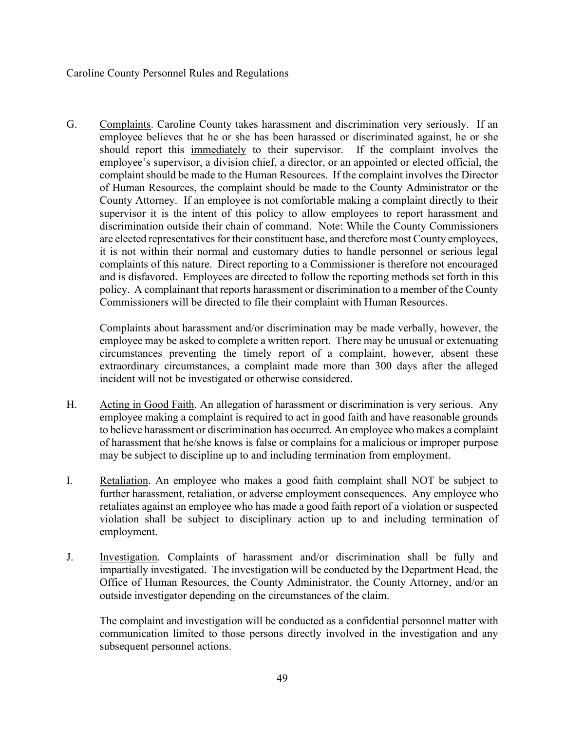G. Complaints. Caroline County takes harassment and discrimination very seriously. If an employee believes that he or she has been harassed or discriminated against, he or she should report this immediately to their supervisor. If the complaint involves the employee's supervisor, a division chief, a director, or an appointed or elected official, the complaint should be made to the Human Resources. If the complaint involves the Director of Human Resources, the complaint should be made to the County Administrator or the County Attorney. If an employee is not comfortable making a complaint directly to their supervisor it is the intent of this policy to allow employees to report harassment and discrimination outside their chain of command. Note: While the County Commissioners are elected representatives for their constituent base, and therefore most County employees, it is not within their normal and customary duties to handle personnel or serious legal complaints of this nature. Direct reporting to a Commissioner is therefore not encouraged and is disfavored. Employees are directed to follow the reporting methods set forth in this policy. A complainant that reports harassment or discrimination to a member of the County Commissioners will be directed to file their complaint with Human Resources.

Complaints about harassment and/or discrimination may be made verbally, however, the employee may be asked to complete a written report. There may be unusual or extenuating circumstances preventing the timely report of a complaint, however, absent these extraordinary circumstances, a complaint made more than 300 days after the alleged incident will not be investigated or otherwise considered.

- H. Acting in Good Faith. An allegation of harassment or discrimination is very serious. Any employee making a complaint is required to act in good faith and have reasonable grounds to believe harassment or discrimination has occurred. An employee who makes a complaint of harassment that he/she knows is false or complains for a malicious or improper purpose may be subject to discipline up to and including termination from employment.
- I. Retaliation. An employee who makes a good faith complaint shall NOT be subject to further harassment, retaliation, or adverse employment consequences. Any employee who retaliates against an employee who has made a good faith report of a violation or suspected violation shall be subject to disciplinary action up to and including termination of employment.
- J. Investigation. Complaints of harassment and/or discrimination shall be fully and impartially investigated. The investigation will be conducted by the Department Head, the Office of Human Resources, the County Administrator, the County Attorney, and/or an outside investigator depending on the circumstances of the claim.

The complaint and investigation will be conducted as a confidential personnel matter with communication limited to those persons directly involved in the investigation and any subsequent personnel actions.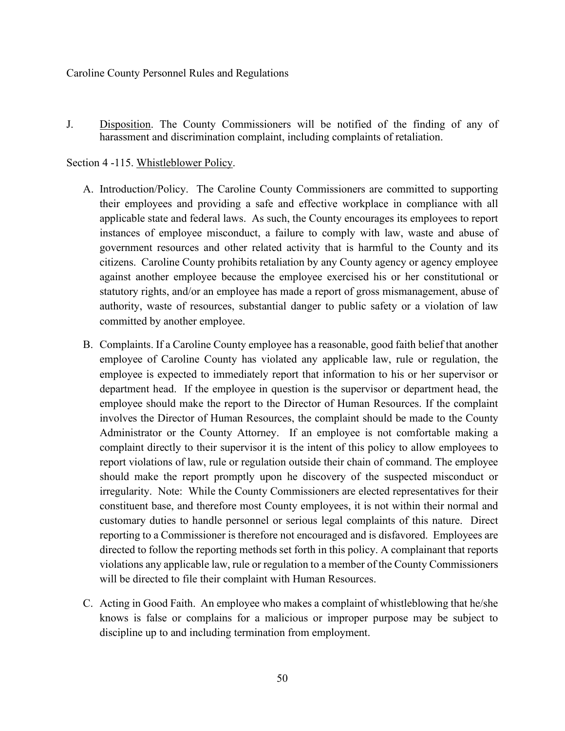J. Disposition. The County Commissioners will be notified of the finding of any of harassment and discrimination complaint, including complaints of retaliation.

### Section 4 -115. Whistleblower Policy.

- A. Introduction/Policy. The Caroline County Commissioners are committed to supporting their employees and providing a safe and effective workplace in compliance with all applicable state and federal laws. As such, the County encourages its employees to report instances of employee misconduct, a failure to comply with law, waste and abuse of government resources and other related activity that is harmful to the County and its citizens. Caroline County prohibits retaliation by any County agency or agency employee against another employee because the employee exercised his or her constitutional or statutory rights, and/or an employee has made a report of gross mismanagement, abuse of authority, waste of resources, substantial danger to public safety or a violation of law committed by another employee.
- B. Complaints. If a Caroline County employee has a reasonable, good faith belief that another employee of Caroline County has violated any applicable law, rule or regulation, the employee is expected to immediately report that information to his or her supervisor or department head. If the employee in question is the supervisor or department head, the employee should make the report to the Director of Human Resources. If the complaint involves the Director of Human Resources, the complaint should be made to the County Administrator or the County Attorney. If an employee is not comfortable making a complaint directly to their supervisor it is the intent of this policy to allow employees to report violations of law, rule or regulation outside their chain of command. The employee should make the report promptly upon he discovery of the suspected misconduct or irregularity. Note: While the County Commissioners are elected representatives for their constituent base, and therefore most County employees, it is not within their normal and customary duties to handle personnel or serious legal complaints of this nature. Direct reporting to a Commissioner is therefore not encouraged and is disfavored. Employees are directed to follow the reporting methods set forth in this policy. A complainant that reports violations any applicable law, rule or regulation to a member of the County Commissioners will be directed to file their complaint with Human Resources.
- C. Acting in Good Faith. An employee who makes a complaint of whistleblowing that he/she knows is false or complains for a malicious or improper purpose may be subject to discipline up to and including termination from employment.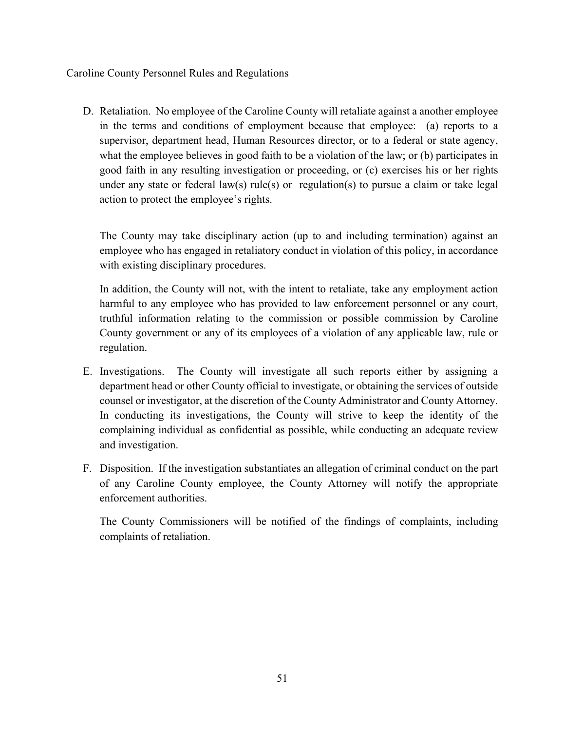D. Retaliation. No employee of the Caroline County will retaliate against a another employee in the terms and conditions of employment because that employee: (a) reports to a supervisor, department head, Human Resources director, or to a federal or state agency, what the employee believes in good faith to be a violation of the law; or (b) participates in good faith in any resulting investigation or proceeding, or (c) exercises his or her rights under any state or federal law(s) rule(s) or regulation(s) to pursue a claim or take legal action to protect the employee's rights.

The County may take disciplinary action (up to and including termination) against an employee who has engaged in retaliatory conduct in violation of this policy, in accordance with existing disciplinary procedures.

In addition, the County will not, with the intent to retaliate, take any employment action harmful to any employee who has provided to law enforcement personnel or any court, truthful information relating to the commission or possible commission by Caroline County government or any of its employees of a violation of any applicable law, rule or regulation.

- E. Investigations. The County will investigate all such reports either by assigning a department head or other County official to investigate, or obtaining the services of outside counsel or investigator, at the discretion of the County Administrator and County Attorney. In conducting its investigations, the County will strive to keep the identity of the complaining individual as confidential as possible, while conducting an adequate review and investigation.
- F. Disposition. If the investigation substantiates an allegation of criminal conduct on the part of any Caroline County employee, the County Attorney will notify the appropriate enforcement authorities.

The County Commissioners will be notified of the findings of complaints, including complaints of retaliation.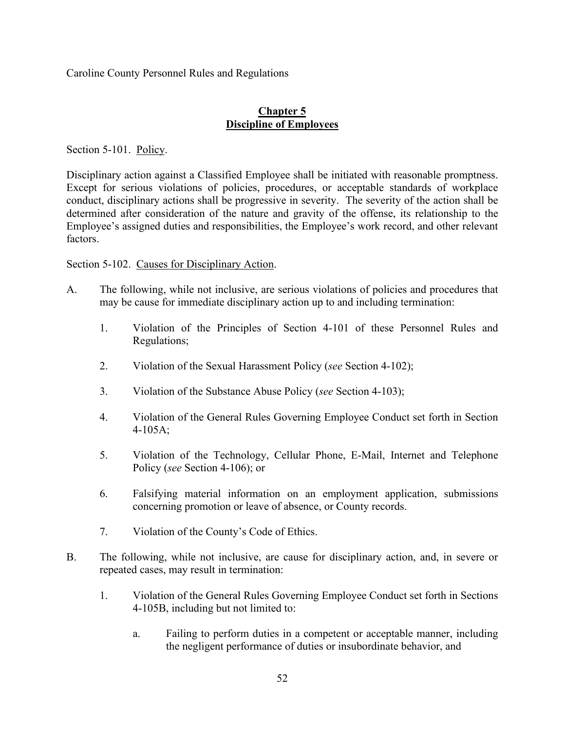# **Chapter 5 Discipline of Employees**

Section 5-101. Policy.

Disciplinary action against a Classified Employee shall be initiated with reasonable promptness. Except for serious violations of policies, procedures, or acceptable standards of workplace conduct, disciplinary actions shall be progressive in severity. The severity of the action shall be determined after consideration of the nature and gravity of the offense, its relationship to the Employee's assigned duties and responsibilities, the Employee's work record, and other relevant factors.

Section 5-102. Causes for Disciplinary Action.

- A. The following, while not inclusive, are serious violations of policies and procedures that may be cause for immediate disciplinary action up to and including termination:
	- 1. Violation of the Principles of Section 4-101 of these Personnel Rules and Regulations;
	- 2. Violation of the Sexual Harassment Policy (*see* Section 4-102);
	- 3. Violation of the Substance Abuse Policy (*see* Section 4-103);
	- 4. Violation of the General Rules Governing Employee Conduct set forth in Section 4-105A;
	- 5. Violation of the Technology, Cellular Phone, E-Mail, Internet and Telephone Policy (*see* Section 4-106); or
	- 6. Falsifying material information on an employment application, submissions concerning promotion or leave of absence, or County records.
	- 7. Violation of the County's Code of Ethics.
- B. The following, while not inclusive, are cause for disciplinary action, and, in severe or repeated cases, may result in termination:
	- 1. Violation of the General Rules Governing Employee Conduct set forth in Sections 4-105B, including but not limited to:
		- a. Failing to perform duties in a competent or acceptable manner, including the negligent performance of duties or insubordinate behavior, and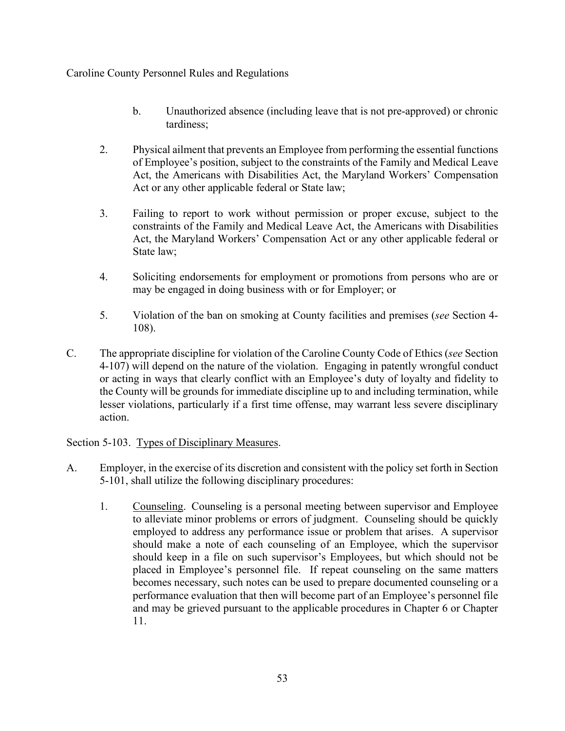- b. Unauthorized absence (including leave that is not pre-approved) or chronic tardiness;
- 2. Physical ailment that prevents an Employee from performing the essential functions of Employee's position, subject to the constraints of the Family and Medical Leave Act, the Americans with Disabilities Act, the Maryland Workers' Compensation Act or any other applicable federal or State law;
- 3. Failing to report to work without permission or proper excuse, subject to the constraints of the Family and Medical Leave Act, the Americans with Disabilities Act, the Maryland Workers' Compensation Act or any other applicable federal or State law;
- 4. Soliciting endorsements for employment or promotions from persons who are or may be engaged in doing business with or for Employer; or
- 5. Violation of the ban on smoking at County facilities and premises (*see* Section 4- 108).
- C. The appropriate discipline for violation of the Caroline County Code of Ethics (*see* Section 4-107) will depend on the nature of the violation. Engaging in patently wrongful conduct or acting in ways that clearly conflict with an Employee's duty of loyalty and fidelity to the County will be grounds for immediate discipline up to and including termination, while lesser violations, particularly if a first time offense, may warrant less severe disciplinary action.

Section 5-103. Types of Disciplinary Measures.

- A. Employer, in the exercise of its discretion and consistent with the policy set forth in Section 5-101, shall utilize the following disciplinary procedures:
	- 1. Counseling. Counseling is a personal meeting between supervisor and Employee to alleviate minor problems or errors of judgment. Counseling should be quickly employed to address any performance issue or problem that arises. A supervisor should make a note of each counseling of an Employee, which the supervisor should keep in a file on such supervisor's Employees, but which should not be placed in Employee's personnel file. If repeat counseling on the same matters becomes necessary, such notes can be used to prepare documented counseling or a performance evaluation that then will become part of an Employee's personnel file and may be grieved pursuant to the applicable procedures in Chapter 6 or Chapter 11.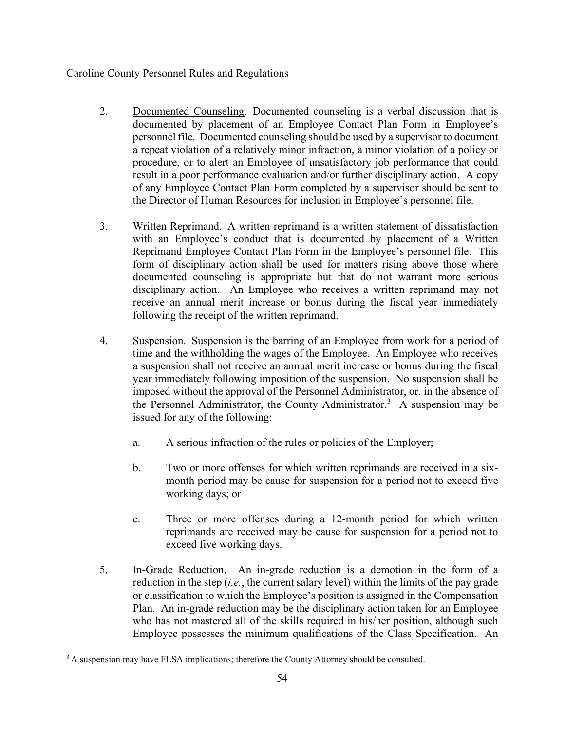- 2. Documented Counseling. Documented counseling is a verbal discussion that is documented by placement of an Employee Contact Plan Form in Employee's personnel file. Documented counseling should be used by a supervisor to document a repeat violation of a relatively minor infraction, a minor violation of a policy or procedure, or to alert an Employee of unsatisfactory job performance that could result in a poor performance evaluation and/or further disciplinary action. A copy of any Employee Contact Plan Form completed by a supervisor should be sent to the Director of Human Resources for inclusion in Employee's personnel file.
- 3. Written Reprimand. A written reprimand is a written statement of dissatisfaction with an Employee's conduct that is documented by placement of a Written Reprimand Employee Contact Plan Form in the Employee's personnel file. This form of disciplinary action shall be used for matters rising above those where documented counseling is appropriate but that do not warrant more serious disciplinary action. An Employee who receives a written reprimand may not receive an annual merit increase or bonus during the fiscal year immediately following the receipt of the written reprimand.
- 4. Suspension. Suspension is the barring of an Employee from work for a period of time and the withholding the wages of the Employee. An Employee who receives a suspension shall not receive an annual merit increase or bonus during the fiscal year immediately following imposition of the suspension. No suspension shall be imposed without the approval of the Personnel Administrator, or, in the absence of the Personnel Administrator, the County Administrator.<sup>3</sup> A suspension may be issued for any of the following:
	- a. A serious infraction of the rules or policies of the Employer;
	- b. Two or more offenses for which written reprimands are received in a sixmonth period may be cause for suspension for a period not to exceed five working days; or
	- c. Three or more offenses during a 12-month period for which written reprimands are received may be cause for suspension for a period not to exceed five working days.
- 5. In-Grade Reduction. An in-grade reduction is a demotion in the form of a reduction in the step (*i.e.*, the current salary level) within the limits of the pay grade or classification to which the Employee's position is assigned in the Compensation Plan. An in-grade reduction may be the disciplinary action taken for an Employee who has not mastered all of the skills required in his/her position, although such Employee possesses the minimum qualifications of the Class Specification. An

<sup>&</sup>lt;sup>3</sup> A suspension may have FLSA implications; therefore the County Attorney should be consulted.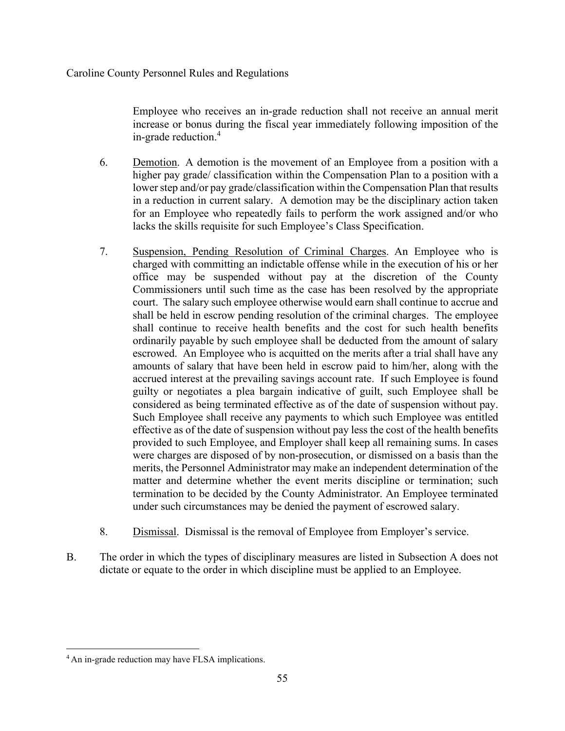Employee who receives an in-grade reduction shall not receive an annual merit increase or bonus during the fiscal year immediately following imposition of the in-grade reduction.<sup>4</sup>

- 6. Demotion. A demotion is the movement of an Employee from a position with a higher pay grade/ classification within the Compensation Plan to a position with a lower step and/or pay grade/classification within the Compensation Plan that results in a reduction in current salary. A demotion may be the disciplinary action taken for an Employee who repeatedly fails to perform the work assigned and/or who lacks the skills requisite for such Employee's Class Specification.
- 7. Suspension, Pending Resolution of Criminal Charges. An Employee who is charged with committing an indictable offense while in the execution of his or her office may be suspended without pay at the discretion of the County Commissioners until such time as the case has been resolved by the appropriate court. The salary such employee otherwise would earn shall continue to accrue and shall be held in escrow pending resolution of the criminal charges. The employee shall continue to receive health benefits and the cost for such health benefits ordinarily payable by such employee shall be deducted from the amount of salary escrowed. An Employee who is acquitted on the merits after a trial shall have any amounts of salary that have been held in escrow paid to him/her, along with the accrued interest at the prevailing savings account rate. If such Employee is found guilty or negotiates a plea bargain indicative of guilt, such Employee shall be considered as being terminated effective as of the date of suspension without pay. Such Employee shall receive any payments to which such Employee was entitled effective as of the date of suspension without pay less the cost of the health benefits provided to such Employee, and Employer shall keep all remaining sums. In cases were charges are disposed of by non-prosecution, or dismissed on a basis than the merits, the Personnel Administrator may make an independent determination of the matter and determine whether the event merits discipline or termination; such termination to be decided by the County Administrator. An Employee terminated under such circumstances may be denied the payment of escrowed salary.
- 8. Dismissal. Dismissal is the removal of Employee from Employer's service.
- B. The order in which the types of disciplinary measures are listed in Subsection A does not dictate or equate to the order in which discipline must be applied to an Employee.

<sup>&</sup>lt;sup>4</sup> An in-grade reduction may have FLSA implications.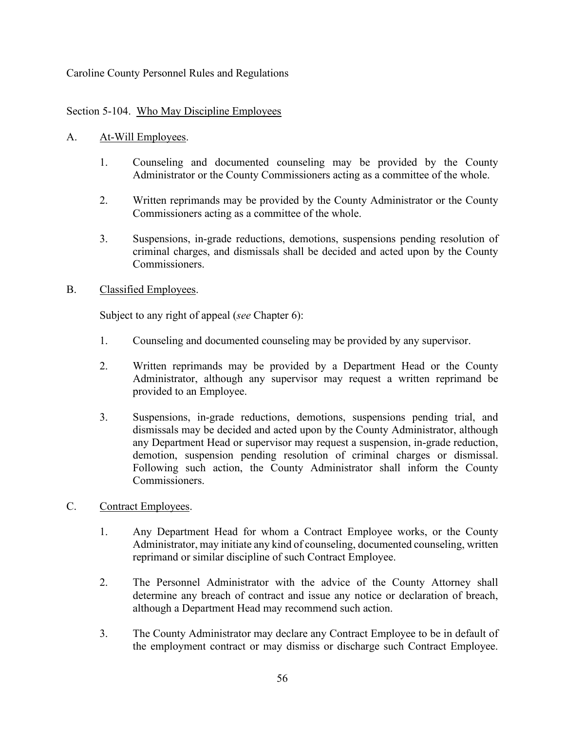# Section 5-104. Who May Discipline Employees

### A. At-Will Employees.

- 1. Counseling and documented counseling may be provided by the County Administrator or the County Commissioners acting as a committee of the whole.
- 2. Written reprimands may be provided by the County Administrator or the County Commissioners acting as a committee of the whole.
- 3. Suspensions, in-grade reductions, demotions, suspensions pending resolution of criminal charges, and dismissals shall be decided and acted upon by the County Commissioners.

### B. Classified Employees.

Subject to any right of appeal (*see* Chapter 6):

- 1. Counseling and documented counseling may be provided by any supervisor.
- 2. Written reprimands may be provided by a Department Head or the County Administrator, although any supervisor may request a written reprimand be provided to an Employee.
- 3. Suspensions, in-grade reductions, demotions, suspensions pending trial, and dismissals may be decided and acted upon by the County Administrator, although any Department Head or supervisor may request a suspension, in-grade reduction, demotion, suspension pending resolution of criminal charges or dismissal. Following such action, the County Administrator shall inform the County Commissioners.
- C. Contract Employees.
	- 1. Any Department Head for whom a Contract Employee works, or the County Administrator, may initiate any kind of counseling, documented counseling, written reprimand or similar discipline of such Contract Employee.
	- 2. The Personnel Administrator with the advice of the County Attorney shall determine any breach of contract and issue any notice or declaration of breach, although a Department Head may recommend such action.
	- 3. The County Administrator may declare any Contract Employee to be in default of the employment contract or may dismiss or discharge such Contract Employee.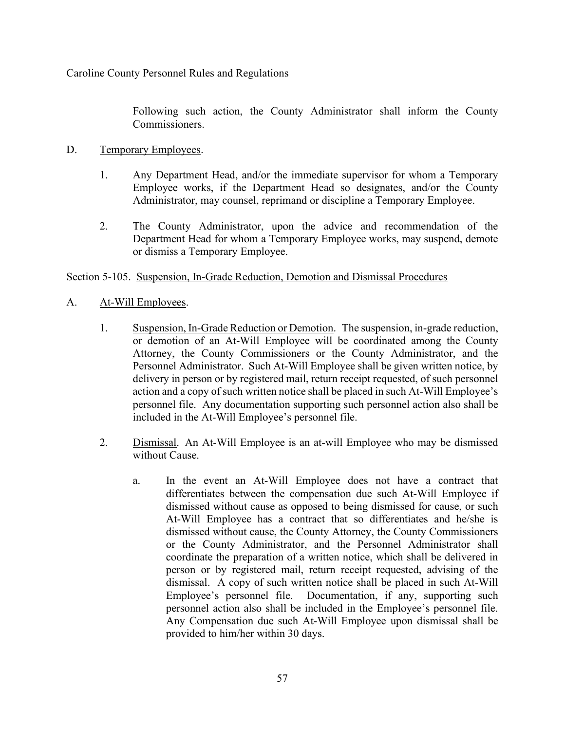Following such action, the County Administrator shall inform the County Commissioners.

# D. Temporary Employees.

- 1. Any Department Head, and/or the immediate supervisor for whom a Temporary Employee works, if the Department Head so designates, and/or the County Administrator, may counsel, reprimand or discipline a Temporary Employee.
- 2. The County Administrator, upon the advice and recommendation of the Department Head for whom a Temporary Employee works, may suspend, demote or dismiss a Temporary Employee.

### Section 5-105. Suspension, In-Grade Reduction, Demotion and Dismissal Procedures

# A. At-Will Employees.

- 1. Suspension, In-Grade Reduction or Demotion. The suspension, in-grade reduction, or demotion of an At-Will Employee will be coordinated among the County Attorney, the County Commissioners or the County Administrator, and the Personnel Administrator. Such At-Will Employee shall be given written notice, by delivery in person or by registered mail, return receipt requested, of such personnel action and a copy of such written notice shall be placed in such At-Will Employee's personnel file. Any documentation supporting such personnel action also shall be included in the At-Will Employee's personnel file.
- 2. Dismissal. An At-Will Employee is an at-will Employee who may be dismissed without Cause.
	- a. In the event an At-Will Employee does not have a contract that differentiates between the compensation due such At-Will Employee if dismissed without cause as opposed to being dismissed for cause, or such At-Will Employee has a contract that so differentiates and he/she is dismissed without cause, the County Attorney, the County Commissioners or the County Administrator, and the Personnel Administrator shall coordinate the preparation of a written notice, which shall be delivered in person or by registered mail, return receipt requested, advising of the dismissal. A copy of such written notice shall be placed in such At-Will Employee's personnel file. Documentation, if any, supporting such personnel action also shall be included in the Employee's personnel file. Any Compensation due such At-Will Employee upon dismissal shall be provided to him/her within 30 days.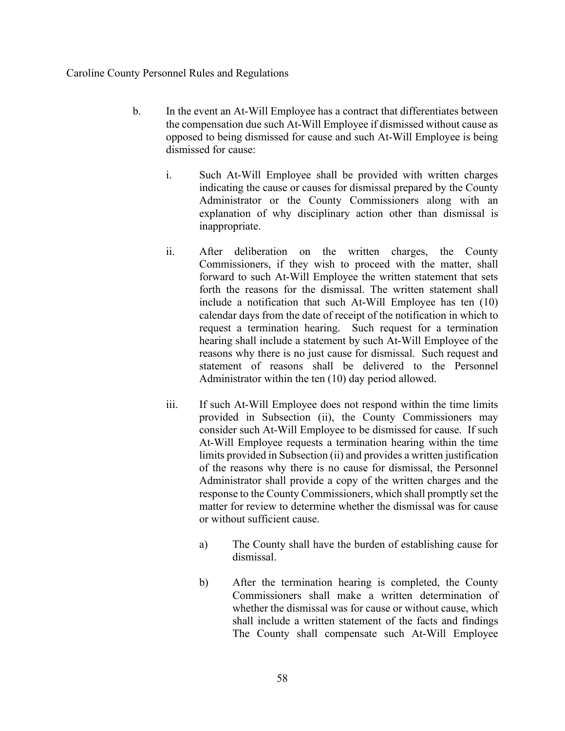- b. In the event an At-Will Employee has a contract that differentiates between the compensation due such At-Will Employee if dismissed without cause as opposed to being dismissed for cause and such At-Will Employee is being dismissed for cause:
	- i. Such At-Will Employee shall be provided with written charges indicating the cause or causes for dismissal prepared by the County Administrator or the County Commissioners along with an explanation of why disciplinary action other than dismissal is inappropriate.
	- ii. After deliberation on the written charges, the County Commissioners, if they wish to proceed with the matter, shall forward to such At-Will Employee the written statement that sets forth the reasons for the dismissal. The written statement shall include a notification that such At-Will Employee has ten (10) calendar days from the date of receipt of the notification in which to request a termination hearing. Such request for a termination hearing shall include a statement by such At-Will Employee of the reasons why there is no just cause for dismissal. Such request and statement of reasons shall be delivered to the Personnel Administrator within the ten (10) day period allowed.
	- iii. If such At-Will Employee does not respond within the time limits provided in Subsection (ii), the County Commissioners may consider such At-Will Employee to be dismissed for cause. If such At-Will Employee requests a termination hearing within the time limits provided in Subsection (ii) and provides a written justification of the reasons why there is no cause for dismissal, the Personnel Administrator shall provide a copy of the written charges and the response to the County Commissioners, which shall promptly set the matter for review to determine whether the dismissal was for cause or without sufficient cause.
		- a) The County shall have the burden of establishing cause for dismissal.
		- b) After the termination hearing is completed, the County Commissioners shall make a written determination of whether the dismissal was for cause or without cause, which shall include a written statement of the facts and findings The County shall compensate such At-Will Employee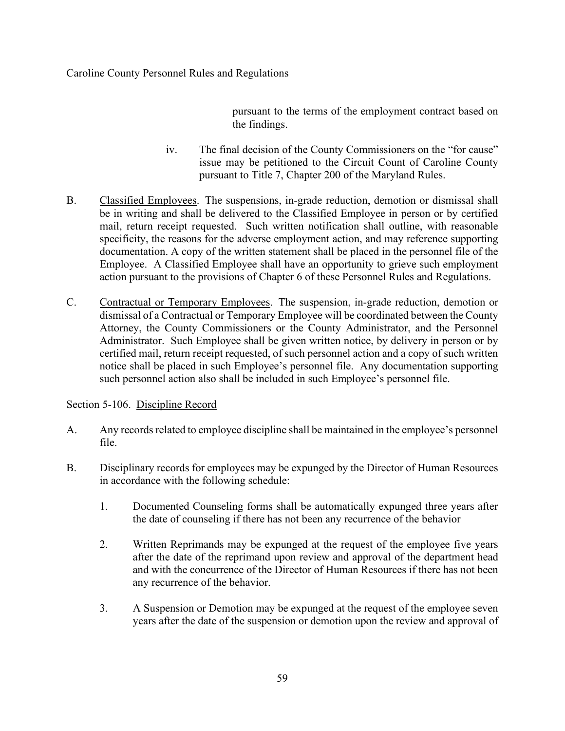pursuant to the terms of the employment contract based on the findings.

- iv. The final decision of the County Commissioners on the "for cause" issue may be petitioned to the Circuit Count of Caroline County pursuant to Title 7, Chapter 200 of the Maryland Rules.
- B. Classified Employees. The suspensions, in-grade reduction, demotion or dismissal shall be in writing and shall be delivered to the Classified Employee in person or by certified mail, return receipt requested. Such written notification shall outline, with reasonable specificity, the reasons for the adverse employment action, and may reference supporting documentation. A copy of the written statement shall be placed in the personnel file of the Employee. A Classified Employee shall have an opportunity to grieve such employment action pursuant to the provisions of Chapter 6 of these Personnel Rules and Regulations.
- C. Contractual or Temporary Employees. The suspension, in-grade reduction, demotion or dismissal of a Contractual or Temporary Employee will be coordinated between the County Attorney, the County Commissioners or the County Administrator, and the Personnel Administrator. Such Employee shall be given written notice, by delivery in person or by certified mail, return receipt requested, of such personnel action and a copy of such written notice shall be placed in such Employee's personnel file. Any documentation supporting such personnel action also shall be included in such Employee's personnel file.

Section 5-106. Discipline Record

- A. Any records related to employee discipline shall be maintained in the employee's personnel file.
- B. Disciplinary records for employees may be expunged by the Director of Human Resources in accordance with the following schedule:
	- 1. Documented Counseling forms shall be automatically expunged three years after the date of counseling if there has not been any recurrence of the behavior
	- 2. Written Reprimands may be expunged at the request of the employee five years after the date of the reprimand upon review and approval of the department head and with the concurrence of the Director of Human Resources if there has not been any recurrence of the behavior.
	- 3. A Suspension or Demotion may be expunged at the request of the employee seven years after the date of the suspension or demotion upon the review and approval of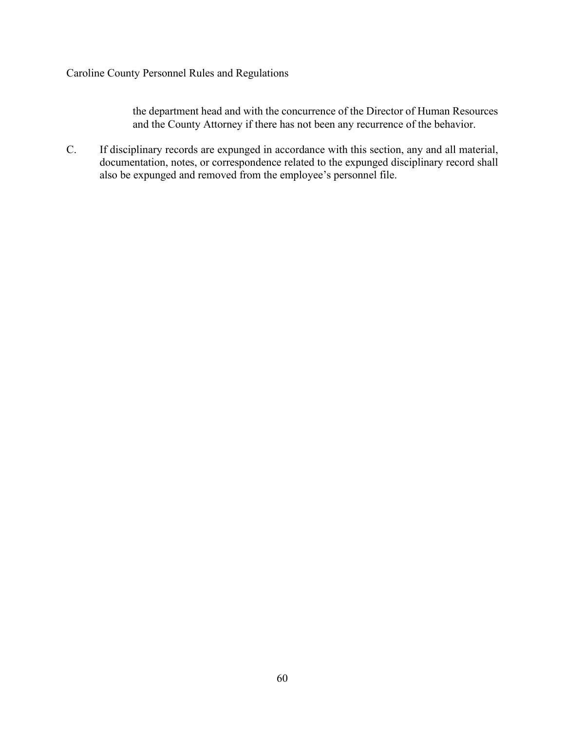the department head and with the concurrence of the Director of Human Resources and the County Attorney if there has not been any recurrence of the behavior.

C. If disciplinary records are expunged in accordance with this section, any and all material, documentation, notes, or correspondence related to the expunged disciplinary record shall also be expunged and removed from the employee's personnel file.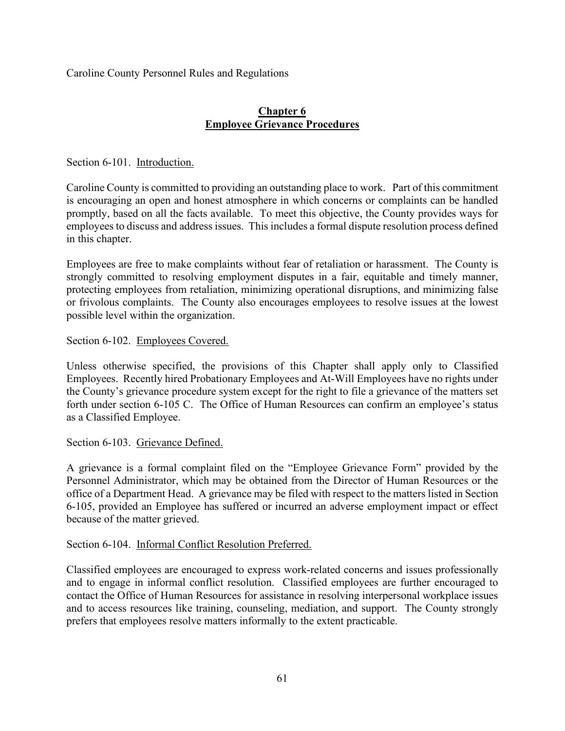# **Chapter 6 Employee Grievance Procedures**

Section 6-101. Introduction.

Caroline County is committed to providing an outstanding place to work. Part of this commitment is encouraging an open and honest atmosphere in which concerns or complaints can be handled promptly, based on all the facts available. To meet this objective, the County provides ways for employees to discuss and address issues. This includes a formal dispute resolution process defined in this chapter.

Employees are free to make complaints without fear of retaliation or harassment. The County is strongly committed to resolving employment disputes in a fair, equitable and timely manner, protecting employees from retaliation, minimizing operational disruptions, and minimizing false or frivolous complaints. The County also encourages employees to resolve issues at the lowest possible level within the organization.

Section 6-102. Employees Covered.

Unless otherwise specified, the provisions of this Chapter shall apply only to Classified Employees. Recently hired Probationary Employees and At-Will Employees have no rights under the County's grievance procedure system except for the right to file a grievance of the matters set forth under section 6-105 C. The Office of Human Resources can confirm an employee's status as a Classified Employee.

Section 6-103. Grievance Defined.

A grievance is a formal complaint filed on the "Employee Grievance Form" provided by the Personnel Administrator, which may be obtained from the Director of Human Resources or the office of a Department Head. A grievance may be filed with respect to the matters listed in Section 6-105, provided an Employee has suffered or incurred an adverse employment impact or effect because of the matter grieved.

### Section 6-104. Informal Conflict Resolution Preferred.

Classified employees are encouraged to express work-related concerns and issues professionally and to engage in informal conflict resolution. Classified employees are further encouraged to contact the Office of Human Resources for assistance in resolving interpersonal workplace issues and to access resources like training, counseling, mediation, and support. The County strongly prefers that employees resolve matters informally to the extent practicable.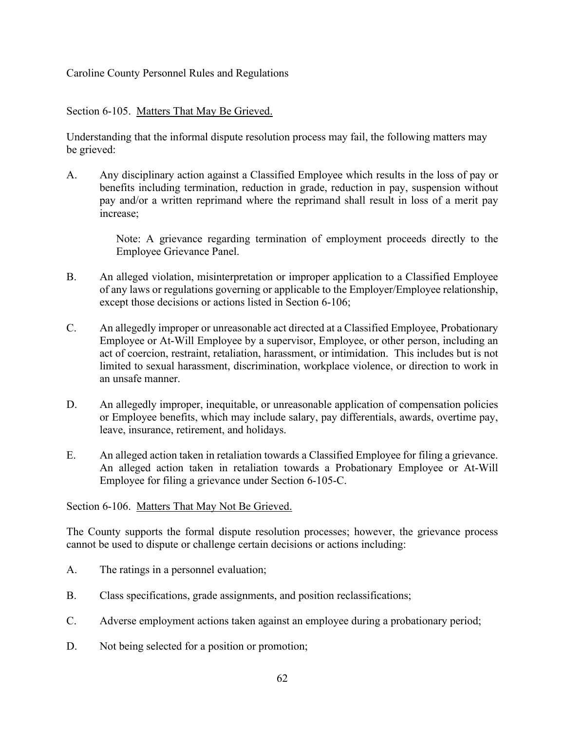# Section 6-105. Matters That May Be Grieved.

Understanding that the informal dispute resolution process may fail, the following matters may be grieved:

A. Any disciplinary action against a Classified Employee which results in the loss of pay or benefits including termination, reduction in grade, reduction in pay, suspension without pay and/or a written reprimand where the reprimand shall result in loss of a merit pay increase;

> Note: A grievance regarding termination of employment proceeds directly to the Employee Grievance Panel.

- B. An alleged violation, misinterpretation or improper application to a Classified Employee of any laws or regulations governing or applicable to the Employer/Employee relationship, except those decisions or actions listed in Section 6-106;
- C. An allegedly improper or unreasonable act directed at a Classified Employee, Probationary Employee or At-Will Employee by a supervisor, Employee, or other person, including an act of coercion, restraint, retaliation, harassment, or intimidation. This includes but is not limited to sexual harassment, discrimination, workplace violence, or direction to work in an unsafe manner.
- D. An allegedly improper, inequitable, or unreasonable application of compensation policies or Employee benefits, which may include salary, pay differentials, awards, overtime pay, leave, insurance, retirement, and holidays.
- E. An alleged action taken in retaliation towards a Classified Employee for filing a grievance. An alleged action taken in retaliation towards a Probationary Employee or At-Will Employee for filing a grievance under Section 6-105-C.

### Section 6-106. Matters That May Not Be Grieved.

The County supports the formal dispute resolution processes; however, the grievance process cannot be used to dispute or challenge certain decisions or actions including:

- A. The ratings in a personnel evaluation;
- B. Class specifications, grade assignments, and position reclassifications;
- C. Adverse employment actions taken against an employee during a probationary period;
- D. Not being selected for a position or promotion;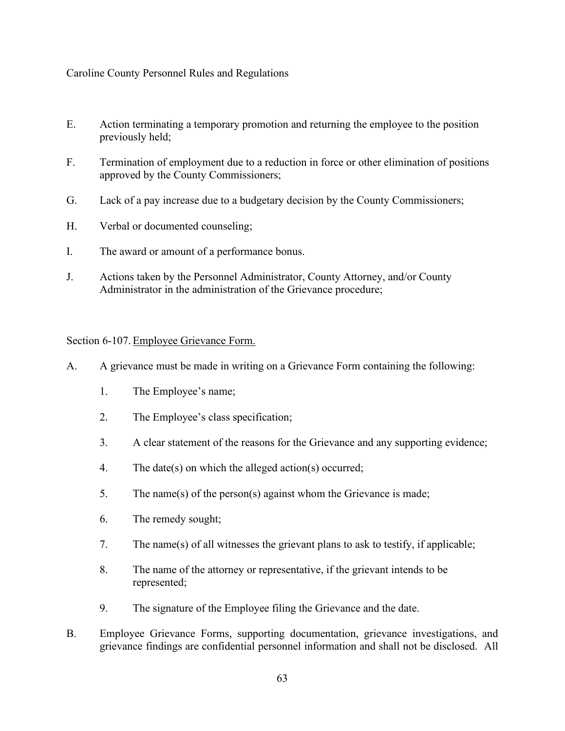- E. Action terminating a temporary promotion and returning the employee to the position previously held;
- F. Termination of employment due to a reduction in force or other elimination of positions approved by the County Commissioners;
- G. Lack of a pay increase due to a budgetary decision by the County Commissioners;
- H. Verbal or documented counseling;
- I. The award or amount of a performance bonus.
- J. Actions taken by the Personnel Administrator, County Attorney, and/or County Administrator in the administration of the Grievance procedure;

# Section 6-107. Employee Grievance Form.

- A. A grievance must be made in writing on a Grievance Form containing the following:
	- 1. The Employee's name;
	- 2. The Employee's class specification;
	- 3. A clear statement of the reasons for the Grievance and any supporting evidence;
	- 4. The date(s) on which the alleged action(s) occurred;
	- 5. The name(s) of the person(s) against whom the Grievance is made;
	- 6. The remedy sought;
	- 7. The name(s) of all witnesses the grievant plans to ask to testify, if applicable;
	- 8. The name of the attorney or representative, if the grievant intends to be represented;
	- 9. The signature of the Employee filing the Grievance and the date.
- B. Employee Grievance Forms, supporting documentation, grievance investigations, and grievance findings are confidential personnel information and shall not be disclosed. All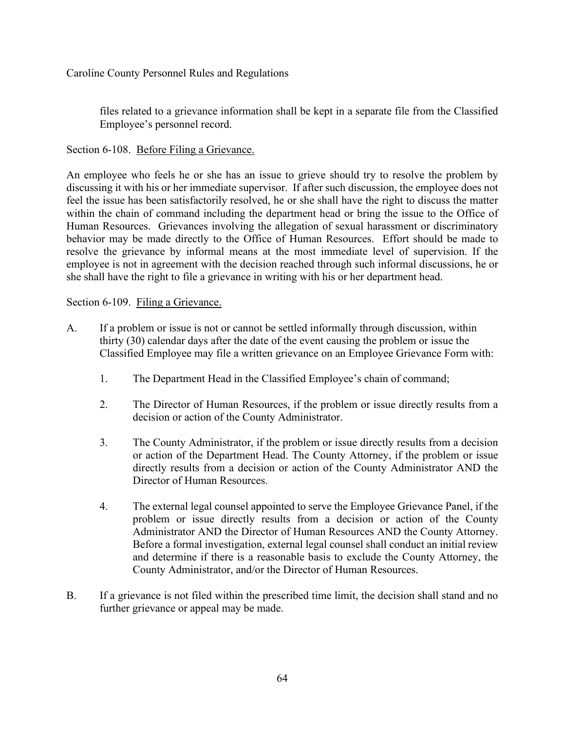files related to a grievance information shall be kept in a separate file from the Classified Employee's personnel record.

### Section 6-108. Before Filing a Grievance.

An employee who feels he or she has an issue to grieve should try to resolve the problem by discussing it with his or her immediate supervisor. If after such discussion, the employee does not feel the issue has been satisfactorily resolved, he or she shall have the right to discuss the matter within the chain of command including the department head or bring the issue to the Office of Human Resources. Grievances involving the allegation of sexual harassment or discriminatory behavior may be made directly to the Office of Human Resources. Effort should be made to resolve the grievance by informal means at the most immediate level of supervision. If the employee is not in agreement with the decision reached through such informal discussions, he or she shall have the right to file a grievance in writing with his or her department head.

### Section 6-109. Filing a Grievance.

- A. If a problem or issue is not or cannot be settled informally through discussion, within thirty (30) calendar days after the date of the event causing the problem or issue the Classified Employee may file a written grievance on an Employee Grievance Form with:
	- 1. The Department Head in the Classified Employee's chain of command;
	- 2. The Director of Human Resources, if the problem or issue directly results from a decision or action of the County Administrator.
	- 3. The County Administrator, if the problem or issue directly results from a decision or action of the Department Head. The County Attorney, if the problem or issue directly results from a decision or action of the County Administrator AND the Director of Human Resources.
	- 4. The external legal counsel appointed to serve the Employee Grievance Panel, if the problem or issue directly results from a decision or action of the County Administrator AND the Director of Human Resources AND the County Attorney. Before a formal investigation, external legal counsel shall conduct an initial review and determine if there is a reasonable basis to exclude the County Attorney, the County Administrator, and/or the Director of Human Resources.
- B. If a grievance is not filed within the prescribed time limit, the decision shall stand and no further grievance or appeal may be made.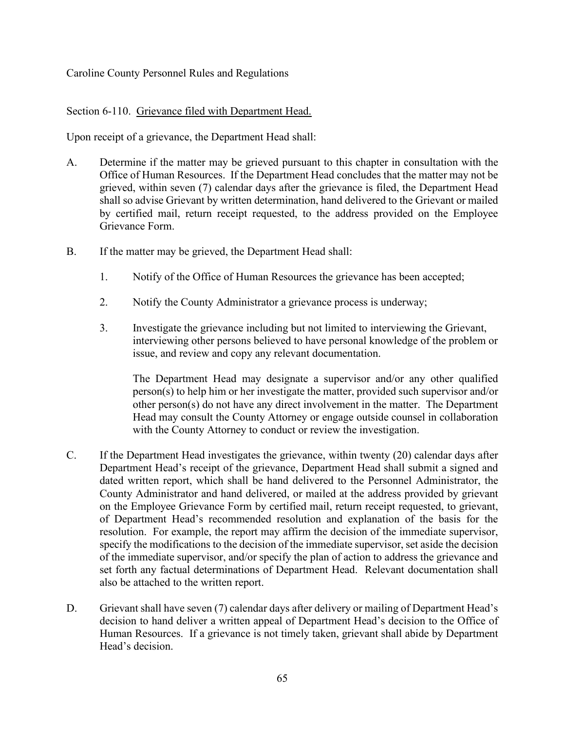# Section 6-110. Grievance filed with Department Head.

Upon receipt of a grievance, the Department Head shall:

- A. Determine if the matter may be grieved pursuant to this chapter in consultation with the Office of Human Resources. If the Department Head concludes that the matter may not be grieved, within seven (7) calendar days after the grievance is filed, the Department Head shall so advise Grievant by written determination, hand delivered to the Grievant or mailed by certified mail, return receipt requested, to the address provided on the Employee Grievance Form.
- B. If the matter may be grieved, the Department Head shall:
	- 1. Notify of the Office of Human Resources the grievance has been accepted;
	- 2. Notify the County Administrator a grievance process is underway;
	- 3. Investigate the grievance including but not limited to interviewing the Grievant, interviewing other persons believed to have personal knowledge of the problem or issue, and review and copy any relevant documentation.

The Department Head may designate a supervisor and/or any other qualified person(s) to help him or her investigate the matter, provided such supervisor and/or other person(s) do not have any direct involvement in the matter. The Department Head may consult the County Attorney or engage outside counsel in collaboration with the County Attorney to conduct or review the investigation.

- C. If the Department Head investigates the grievance, within twenty (20) calendar days after Department Head's receipt of the grievance, Department Head shall submit a signed and dated written report, which shall be hand delivered to the Personnel Administrator, the County Administrator and hand delivered, or mailed at the address provided by grievant on the Employee Grievance Form by certified mail, return receipt requested, to grievant, of Department Head's recommended resolution and explanation of the basis for the resolution. For example, the report may affirm the decision of the immediate supervisor, specify the modifications to the decision of the immediate supervisor, set aside the decision of the immediate supervisor, and/or specify the plan of action to address the grievance and set forth any factual determinations of Department Head. Relevant documentation shall also be attached to the written report.
- D. Grievant shall have seven (7) calendar days after delivery or mailing of Department Head's decision to hand deliver a written appeal of Department Head's decision to the Office of Human Resources. If a grievance is not timely taken, grievant shall abide by Department Head's decision.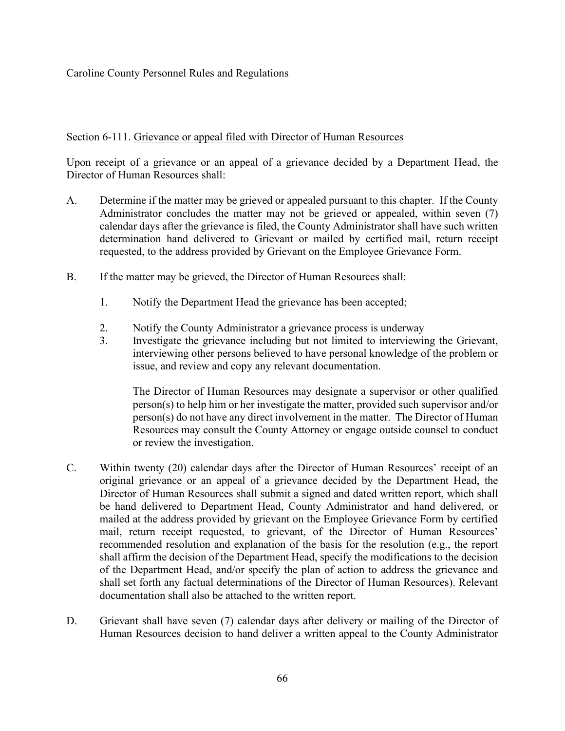### Section 6-111. Grievance or appeal filed with Director of Human Resources

Upon receipt of a grievance or an appeal of a grievance decided by a Department Head, the Director of Human Resources shall:

- A. Determine if the matter may be grieved or appealed pursuant to this chapter. If the County Administrator concludes the matter may not be grieved or appealed, within seven (7) calendar days after the grievance is filed, the County Administrator shall have such written determination hand delivered to Grievant or mailed by certified mail, return receipt requested, to the address provided by Grievant on the Employee Grievance Form.
- B. If the matter may be grieved, the Director of Human Resources shall:
	- 1. Notify the Department Head the grievance has been accepted;
	- 2. Notify the County Administrator a grievance process is underway
	- 3. Investigate the grievance including but not limited to interviewing the Grievant, interviewing other persons believed to have personal knowledge of the problem or issue, and review and copy any relevant documentation.

The Director of Human Resources may designate a supervisor or other qualified person(s) to help him or her investigate the matter, provided such supervisor and/or person(s) do not have any direct involvement in the matter. The Director of Human Resources may consult the County Attorney or engage outside counsel to conduct or review the investigation.

- C. Within twenty (20) calendar days after the Director of Human Resources' receipt of an original grievance or an appeal of a grievance decided by the Department Head, the Director of Human Resources shall submit a signed and dated written report, which shall be hand delivered to Department Head, County Administrator and hand delivered, or mailed at the address provided by grievant on the Employee Grievance Form by certified mail, return receipt requested, to grievant, of the Director of Human Resources' recommended resolution and explanation of the basis for the resolution (e.g., the report shall affirm the decision of the Department Head, specify the modifications to the decision of the Department Head, and/or specify the plan of action to address the grievance and shall set forth any factual determinations of the Director of Human Resources). Relevant documentation shall also be attached to the written report.
- D. Grievant shall have seven (7) calendar days after delivery or mailing of the Director of Human Resources decision to hand deliver a written appeal to the County Administrator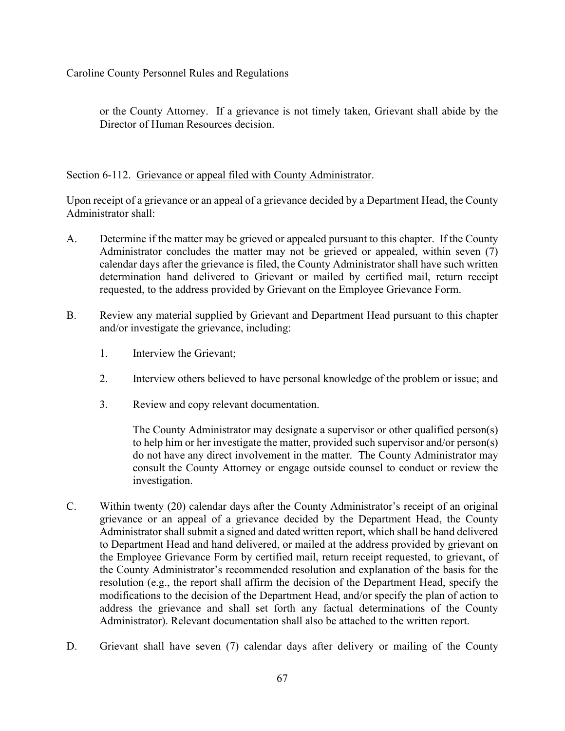or the County Attorney. If a grievance is not timely taken, Grievant shall abide by the Director of Human Resources decision.

# Section 6-112. Grievance or appeal filed with County Administrator.

Upon receipt of a grievance or an appeal of a grievance decided by a Department Head, the County Administrator shall:

- A. Determine if the matter may be grieved or appealed pursuant to this chapter. If the County Administrator concludes the matter may not be grieved or appealed, within seven (7) calendar days after the grievance is filed, the County Administrator shall have such written determination hand delivered to Grievant or mailed by certified mail, return receipt requested, to the address provided by Grievant on the Employee Grievance Form.
- B. Review any material supplied by Grievant and Department Head pursuant to this chapter and/or investigate the grievance, including:
	- 1. Interview the Grievant;
	- 2. Interview others believed to have personal knowledge of the problem or issue; and
	- 3. Review and copy relevant documentation.

The County Administrator may designate a supervisor or other qualified person(s) to help him or her investigate the matter, provided such supervisor and/or person(s) do not have any direct involvement in the matter. The County Administrator may consult the County Attorney or engage outside counsel to conduct or review the investigation.

- C. Within twenty (20) calendar days after the County Administrator's receipt of an original grievance or an appeal of a grievance decided by the Department Head, the County Administrator shall submit a signed and dated written report, which shall be hand delivered to Department Head and hand delivered, or mailed at the address provided by grievant on the Employee Grievance Form by certified mail, return receipt requested, to grievant, of the County Administrator's recommended resolution and explanation of the basis for the resolution (e.g., the report shall affirm the decision of the Department Head, specify the modifications to the decision of the Department Head, and/or specify the plan of action to address the grievance and shall set forth any factual determinations of the County Administrator). Relevant documentation shall also be attached to the written report.
- D. Grievant shall have seven (7) calendar days after delivery or mailing of the County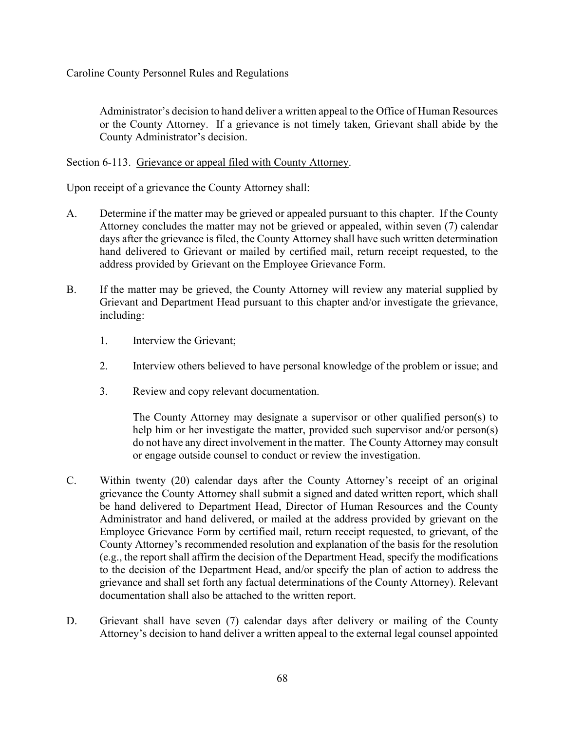Administrator's decision to hand deliver a written appeal to the Office of Human Resources or the County Attorney. If a grievance is not timely taken, Grievant shall abide by the County Administrator's decision.

Section 6-113. Grievance or appeal filed with County Attorney.

Upon receipt of a grievance the County Attorney shall:

- A. Determine if the matter may be grieved or appealed pursuant to this chapter. If the County Attorney concludes the matter may not be grieved or appealed, within seven (7) calendar days after the grievance is filed, the County Attorney shall have such written determination hand delivered to Grievant or mailed by certified mail, return receipt requested, to the address provided by Grievant on the Employee Grievance Form.
- B. If the matter may be grieved, the County Attorney will review any material supplied by Grievant and Department Head pursuant to this chapter and/or investigate the grievance, including:
	- 1. Interview the Grievant;
	- 2. Interview others believed to have personal knowledge of the problem or issue; and
	- 3. Review and copy relevant documentation.

The County Attorney may designate a supervisor or other qualified person(s) to help him or her investigate the matter, provided such supervisor and/or person(s) do not have any direct involvement in the matter. The County Attorney may consult or engage outside counsel to conduct or review the investigation.

- C. Within twenty (20) calendar days after the County Attorney's receipt of an original grievance the County Attorney shall submit a signed and dated written report, which shall be hand delivered to Department Head, Director of Human Resources and the County Administrator and hand delivered, or mailed at the address provided by grievant on the Employee Grievance Form by certified mail, return receipt requested, to grievant, of the County Attorney's recommended resolution and explanation of the basis for the resolution (e.g., the report shall affirm the decision of the Department Head, specify the modifications to the decision of the Department Head, and/or specify the plan of action to address the grievance and shall set forth any factual determinations of the County Attorney). Relevant documentation shall also be attached to the written report.
- D. Grievant shall have seven (7) calendar days after delivery or mailing of the County Attorney's decision to hand deliver a written appeal to the external legal counsel appointed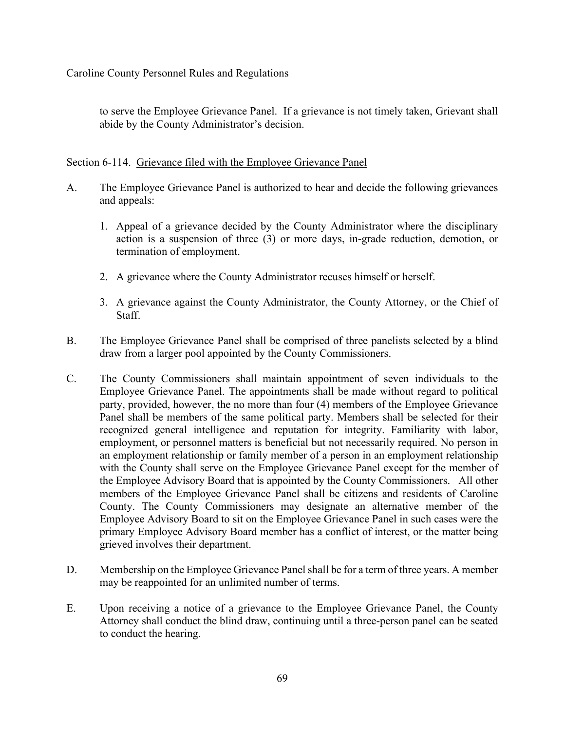to serve the Employee Grievance Panel. If a grievance is not timely taken, Grievant shall abide by the County Administrator's decision.

Section 6-114. Grievance filed with the Employee Grievance Panel

- A. The Employee Grievance Panel is authorized to hear and decide the following grievances and appeals:
	- 1. Appeal of a grievance decided by the County Administrator where the disciplinary action is a suspension of three (3) or more days, in-grade reduction, demotion, or termination of employment.
	- 2. A grievance where the County Administrator recuses himself or herself.
	- 3. A grievance against the County Administrator, the County Attorney, or the Chief of Staff.
- B. The Employee Grievance Panel shall be comprised of three panelists selected by a blind draw from a larger pool appointed by the County Commissioners.
- C. The County Commissioners shall maintain appointment of seven individuals to the Employee Grievance Panel. The appointments shall be made without regard to political party, provided, however, the no more than four (4) members of the Employee Grievance Panel shall be members of the same political party. Members shall be selected for their recognized general intelligence and reputation for integrity. Familiarity with labor, employment, or personnel matters is beneficial but not necessarily required. No person in an employment relationship or family member of a person in an employment relationship with the County shall serve on the Employee Grievance Panel except for the member of the Employee Advisory Board that is appointed by the County Commissioners. All other members of the Employee Grievance Panel shall be citizens and residents of Caroline County. The County Commissioners may designate an alternative member of the Employee Advisory Board to sit on the Employee Grievance Panel in such cases were the primary Employee Advisory Board member has a conflict of interest, or the matter being grieved involves their department.
- D. Membership on the Employee Grievance Panel shall be for a term of three years. A member may be reappointed for an unlimited number of terms.
- E. Upon receiving a notice of a grievance to the Employee Grievance Panel, the County Attorney shall conduct the blind draw, continuing until a three-person panel can be seated to conduct the hearing.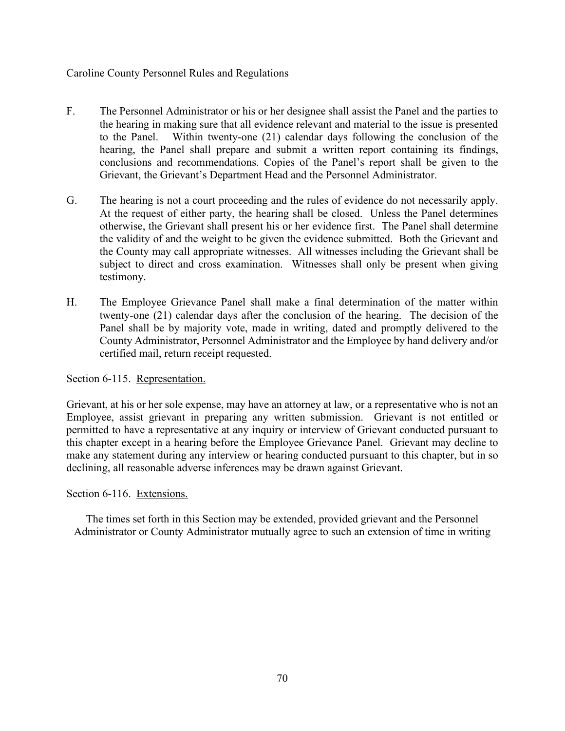- F. The Personnel Administrator or his or her designee shall assist the Panel and the parties to the hearing in making sure that all evidence relevant and material to the issue is presented to the Panel. Within twenty-one (21) calendar days following the conclusion of the hearing, the Panel shall prepare and submit a written report containing its findings, conclusions and recommendations. Copies of the Panel's report shall be given to the Grievant, the Grievant's Department Head and the Personnel Administrator.
- G. The hearing is not a court proceeding and the rules of evidence do not necessarily apply. At the request of either party, the hearing shall be closed. Unless the Panel determines otherwise, the Grievant shall present his or her evidence first. The Panel shall determine the validity of and the weight to be given the evidence submitted. Both the Grievant and the County may call appropriate witnesses. All witnesses including the Grievant shall be subject to direct and cross examination. Witnesses shall only be present when giving testimony.
- H. The Employee Grievance Panel shall make a final determination of the matter within twenty-one (21) calendar days after the conclusion of the hearing. The decision of the Panel shall be by majority vote, made in writing, dated and promptly delivered to the County Administrator, Personnel Administrator and the Employee by hand delivery and/or certified mail, return receipt requested.

Section 6-115. Representation.

Grievant, at his or her sole expense, may have an attorney at law, or a representative who is not an Employee, assist grievant in preparing any written submission. Grievant is not entitled or permitted to have a representative at any inquiry or interview of Grievant conducted pursuant to this chapter except in a hearing before the Employee Grievance Panel. Grievant may decline to make any statement during any interview or hearing conducted pursuant to this chapter, but in so declining, all reasonable adverse inferences may be drawn against Grievant.

#### Section 6-116. Extensions.

The times set forth in this Section may be extended, provided grievant and the Personnel Administrator or County Administrator mutually agree to such an extension of time in writing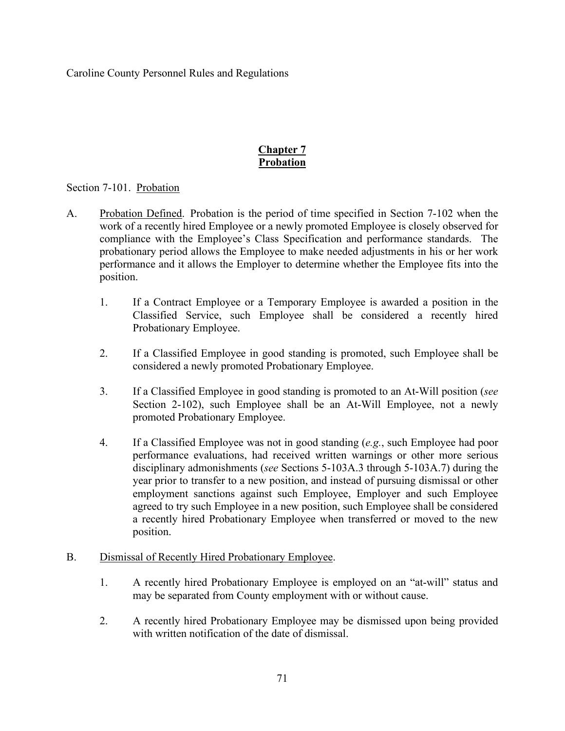# **Chapter 7 Probation**

# Section 7-101. Probation

- A. Probation Defined. Probation is the period of time specified in Section 7-102 when the work of a recently hired Employee or a newly promoted Employee is closely observed for compliance with the Employee's Class Specification and performance standards. The probationary period allows the Employee to make needed adjustments in his or her work performance and it allows the Employer to determine whether the Employee fits into the position.
	- 1. If a Contract Employee or a Temporary Employee is awarded a position in the Classified Service, such Employee shall be considered a recently hired Probationary Employee.
	- 2. If a Classified Employee in good standing is promoted, such Employee shall be considered a newly promoted Probationary Employee.
	- 3. If a Classified Employee in good standing is promoted to an At-Will position (*see* Section 2-102), such Employee shall be an At-Will Employee, not a newly promoted Probationary Employee.
	- 4. If a Classified Employee was not in good standing (*e.g.*, such Employee had poor performance evaluations, had received written warnings or other more serious disciplinary admonishments (*see* Sections 5-103A.3 through 5-103A.7) during the year prior to transfer to a new position, and instead of pursuing dismissal or other employment sanctions against such Employee, Employer and such Employee agreed to try such Employee in a new position, such Employee shall be considered a recently hired Probationary Employee when transferred or moved to the new position.

# B. Dismissal of Recently Hired Probationary Employee.

- 1. A recently hired Probationary Employee is employed on an "at-will" status and may be separated from County employment with or without cause.
- 2. A recently hired Probationary Employee may be dismissed upon being provided with written notification of the date of dismissal.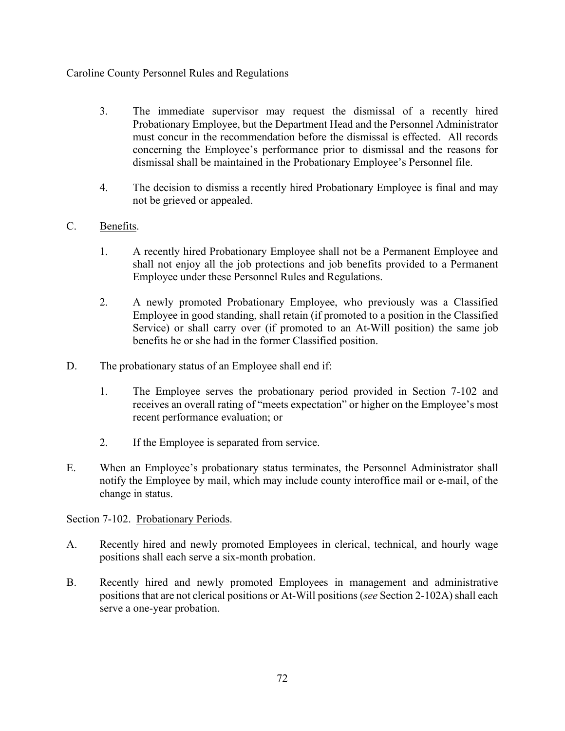- 3. The immediate supervisor may request the dismissal of a recently hired Probationary Employee, but the Department Head and the Personnel Administrator must concur in the recommendation before the dismissal is effected. All records concerning the Employee's performance prior to dismissal and the reasons for dismissal shall be maintained in the Probationary Employee's Personnel file.
- 4. The decision to dismiss a recently hired Probationary Employee is final and may not be grieved or appealed.
- C. Benefits.
	- 1. A recently hired Probationary Employee shall not be a Permanent Employee and shall not enjoy all the job protections and job benefits provided to a Permanent Employee under these Personnel Rules and Regulations.
	- 2. A newly promoted Probationary Employee, who previously was a Classified Employee in good standing, shall retain (if promoted to a position in the Classified Service) or shall carry over (if promoted to an At-Will position) the same job benefits he or she had in the former Classified position.
- D. The probationary status of an Employee shall end if:
	- 1. The Employee serves the probationary period provided in Section 7-102 and receives an overall rating of "meets expectation" or higher on the Employee's most recent performance evaluation; or
	- 2. If the Employee is separated from service.
- E. When an Employee's probationary status terminates, the Personnel Administrator shall notify the Employee by mail, which may include county interoffice mail or e-mail, of the change in status.

Section 7-102. Probationary Periods.

- A. Recently hired and newly promoted Employees in clerical, technical, and hourly wage positions shall each serve a six-month probation.
- B. Recently hired and newly promoted Employees in management and administrative positions that are not clerical positions or At-Will positions (*see* Section 2-102A) shall each serve a one-year probation.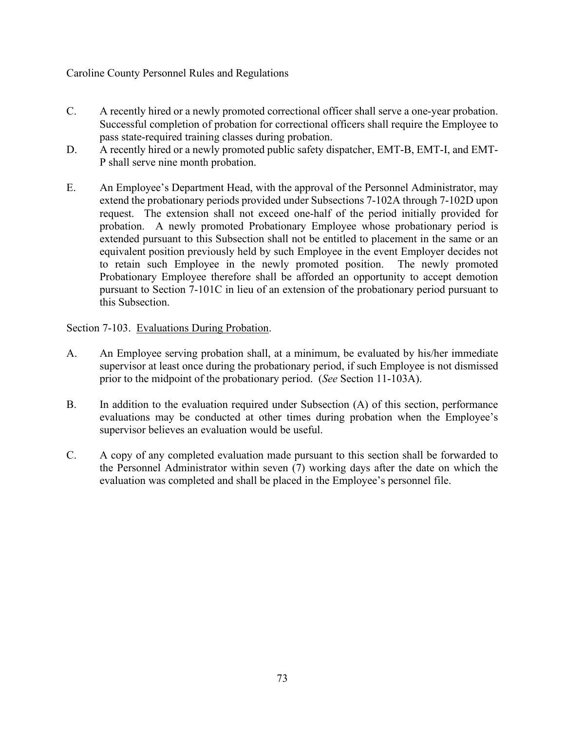- C. A recently hired or a newly promoted correctional officer shall serve a one-year probation. Successful completion of probation for correctional officers shall require the Employee to pass state-required training classes during probation.
- D. A recently hired or a newly promoted public safety dispatcher, EMT-B, EMT-I, and EMT-P shall serve nine month probation.
- E. An Employee's Department Head, with the approval of the Personnel Administrator, may extend the probationary periods provided under Subsections 7-102A through 7-102D upon request. The extension shall not exceed one-half of the period initially provided for probation. A newly promoted Probationary Employee whose probationary period is extended pursuant to this Subsection shall not be entitled to placement in the same or an equivalent position previously held by such Employee in the event Employer decides not to retain such Employee in the newly promoted position. The newly promoted Probationary Employee therefore shall be afforded an opportunity to accept demotion pursuant to Section 7-101C in lieu of an extension of the probationary period pursuant to this Subsection.

Section 7-103. Evaluations During Probation.

- A. An Employee serving probation shall, at a minimum, be evaluated by his/her immediate supervisor at least once during the probationary period, if such Employee is not dismissed prior to the midpoint of the probationary period. (*See* Section 11-103A).
- B. In addition to the evaluation required under Subsection (A) of this section, performance evaluations may be conducted at other times during probation when the Employee's supervisor believes an evaluation would be useful.
- C. A copy of any completed evaluation made pursuant to this section shall be forwarded to the Personnel Administrator within seven (7) working days after the date on which the evaluation was completed and shall be placed in the Employee's personnel file.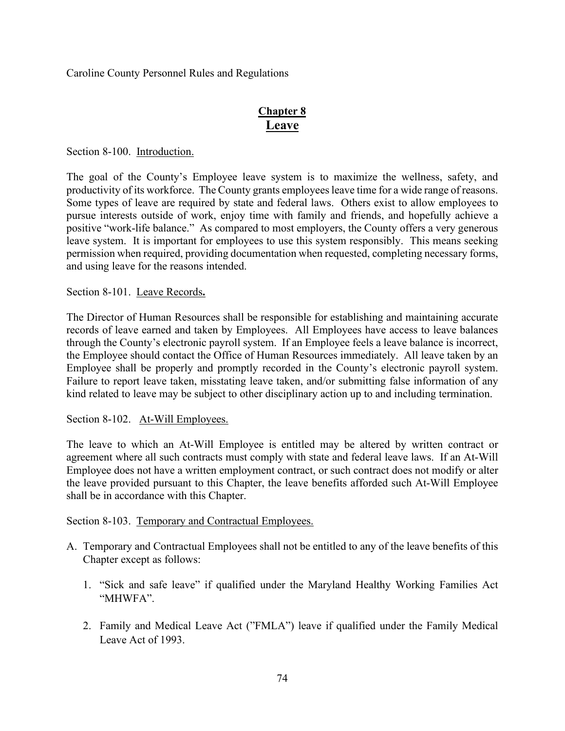# **Chapter 8 Leave**

Section 8-100. Introduction.

The goal of the County's Employee leave system is to maximize the wellness, safety, and productivity of its workforce. The County grants employees leave time for a wide range of reasons. Some types of leave are required by state and federal laws. Others exist to allow employees to pursue interests outside of work, enjoy time with family and friends, and hopefully achieve a positive "work-life balance." As compared to most employers, the County offers a very generous leave system. It is important for employees to use this system responsibly. This means seeking permission when required, providing documentation when requested, completing necessary forms, and using leave for the reasons intended.

Section 8-101. Leave Records**.**

The Director of Human Resources shall be responsible for establishing and maintaining accurate records of leave earned and taken by Employees. All Employees have access to leave balances through the County's electronic payroll system. If an Employee feels a leave balance is incorrect, the Employee should contact the Office of Human Resources immediately. All leave taken by an Employee shall be properly and promptly recorded in the County's electronic payroll system. Failure to report leave taken, misstating leave taken, and/or submitting false information of any kind related to leave may be subject to other disciplinary action up to and including termination.

Section 8-102. At-Will Employees.

The leave to which an At-Will Employee is entitled may be altered by written contract or agreement where all such contracts must comply with state and federal leave laws. If an At-Will Employee does not have a written employment contract, or such contract does not modify or alter the leave provided pursuant to this Chapter, the leave benefits afforded such At-Will Employee shall be in accordance with this Chapter.

Section 8-103. Temporary and Contractual Employees.

- A. Temporary and Contractual Employees shall not be entitled to any of the leave benefits of this Chapter except as follows:
	- 1. "Sick and safe leave" if qualified under the Maryland Healthy Working Families Act "MHWFA".
	- 2. Family and Medical Leave Act ("FMLA") leave if qualified under the Family Medical Leave Act of 1993.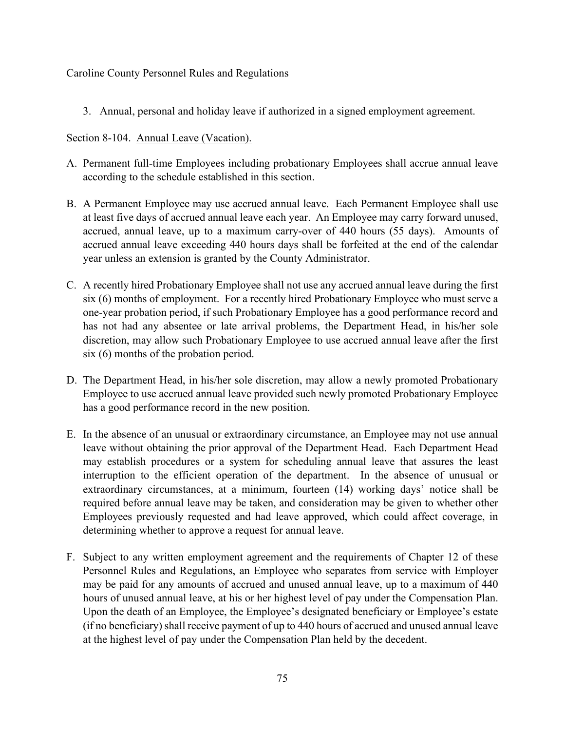3. Annual, personal and holiday leave if authorized in a signed employment agreement.

#### Section 8-104. Annual Leave (Vacation).

- A. Permanent full-time Employees including probationary Employees shall accrue annual leave according to the schedule established in this section.
- B. A Permanent Employee may use accrued annual leave. Each Permanent Employee shall use at least five days of accrued annual leave each year. An Employee may carry forward unused, accrued, annual leave, up to a maximum carry-over of 440 hours (55 days). Amounts of accrued annual leave exceeding 440 hours days shall be forfeited at the end of the calendar year unless an extension is granted by the County Administrator.
- C. A recently hired Probationary Employee shall not use any accrued annual leave during the first six (6) months of employment. For a recently hired Probationary Employee who must serve a one-year probation period, if such Probationary Employee has a good performance record and has not had any absentee or late arrival problems, the Department Head, in his/her sole discretion, may allow such Probationary Employee to use accrued annual leave after the first six (6) months of the probation period.
- D. The Department Head, in his/her sole discretion, may allow a newly promoted Probationary Employee to use accrued annual leave provided such newly promoted Probationary Employee has a good performance record in the new position.
- E. In the absence of an unusual or extraordinary circumstance, an Employee may not use annual leave without obtaining the prior approval of the Department Head. Each Department Head may establish procedures or a system for scheduling annual leave that assures the least interruption to the efficient operation of the department. In the absence of unusual or extraordinary circumstances, at a minimum, fourteen (14) working days' notice shall be required before annual leave may be taken, and consideration may be given to whether other Employees previously requested and had leave approved, which could affect coverage, in determining whether to approve a request for annual leave.
- F. Subject to any written employment agreement and the requirements of Chapter 12 of these Personnel Rules and Regulations, an Employee who separates from service with Employer may be paid for any amounts of accrued and unused annual leave, up to a maximum of 440 hours of unused annual leave, at his or her highest level of pay under the Compensation Plan. Upon the death of an Employee, the Employee's designated beneficiary or Employee's estate (if no beneficiary) shall receive payment of up to 440 hours of accrued and unused annual leave at the highest level of pay under the Compensation Plan held by the decedent.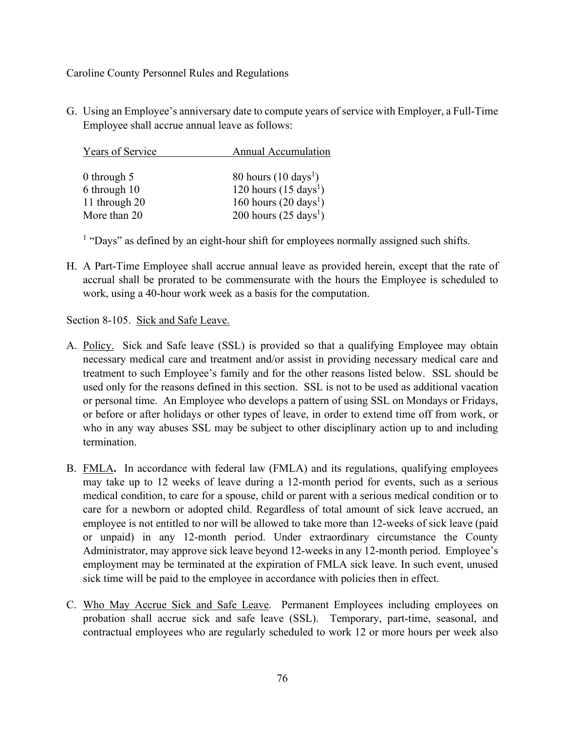G. Using an Employee's anniversary date to compute years of service with Employer, a Full-Time Employee shall accrue annual leave as follows:

| Years of Service | <b>Annual Accumulation</b>      |
|------------------|---------------------------------|
| 0 through $5$    | 80 hours $(10 \text{ days}^1)$  |
| 6 through 10     | 120 hours $(15 \text{ days}^1)$ |
| 11 through 20    | 160 hours $(20 \text{ days}^1)$ |
| More than 20     | 200 hours $(25 \text{ days}^1)$ |

 $<sup>1</sup>$  "Days" as defined by an eight-hour shift for employees normally assigned such shifts.</sup>

H. A Part-Time Employee shall accrue annual leave as provided herein, except that the rate of accrual shall be prorated to be commensurate with the hours the Employee is scheduled to work, using a 40-hour work week as a basis for the computation.

Section 8-105. Sick and Safe Leave.

- A. Policy. Sick and Safe leave (SSL) is provided so that a qualifying Employee may obtain necessary medical care and treatment and/or assist in providing necessary medical care and treatment to such Employee's family and for the other reasons listed below. SSL should be used only for the reasons defined in this section. SSL is not to be used as additional vacation or personal time. An Employee who develops a pattern of using SSL on Mondays or Fridays, or before or after holidays or other types of leave, in order to extend time off from work, or who in any way abuses SSL may be subject to other disciplinary action up to and including termination.
- B. FMLA**.** In accordance with federal law (FMLA) and its regulations, qualifying employees may take up to 12 weeks of leave during a 12-month period for events, such as a serious medical condition, to care for a spouse, child or parent with a serious medical condition or to care for a newborn or adopted child. Regardless of total amount of sick leave accrued, an employee is not entitled to nor will be allowed to take more than 12-weeks of sick leave (paid or unpaid) in any 12-month period. Under extraordinary circumstance the County Administrator, may approve sick leave beyond 12-weeks in any 12-month period. Employee's employment may be terminated at the expiration of FMLA sick leave. In such event, unused sick time will be paid to the employee in accordance with policies then in effect.
- C. Who May Accrue Sick and Safe Leave. Permanent Employees including employees on probation shall accrue sick and safe leave (SSL). Temporary, part-time, seasonal, and contractual employees who are regularly scheduled to work 12 or more hours per week also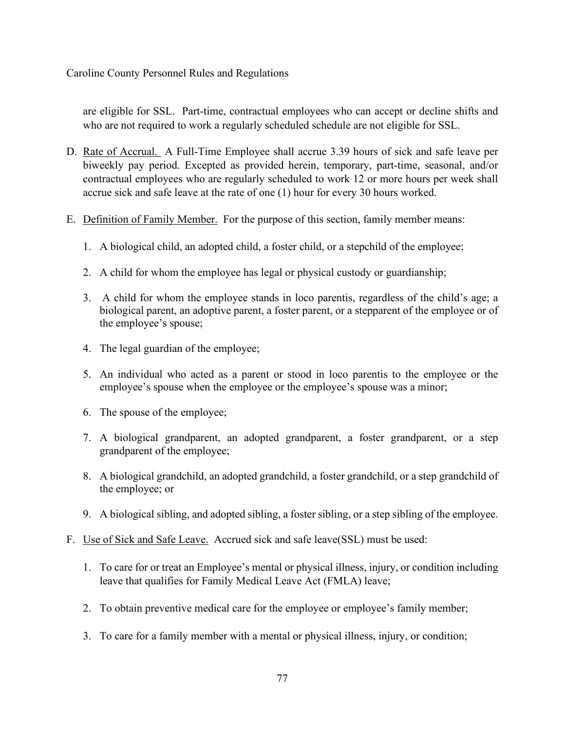are eligible for SSL. Part-time, contractual employees who can accept or decline shifts and who are not required to work a regularly scheduled schedule are not eligible for SSL.

- D. Rate of Accrual. A Full-Time Employee shall accrue 3.39 hours of sick and safe leave per biweekly pay period. Excepted as provided herein, temporary, part-time, seasonal, and/or contractual employees who are regularly scheduled to work 12 or more hours per week shall accrue sick and safe leave at the rate of one (1) hour for every 30 hours worked.
- E. Definition of Family Member. For the purpose of this section, family member means:
	- 1. A biological child, an adopted child, a foster child, or a stepchild of the employee;
	- 2. A child for whom the employee has legal or physical custody or guardianship;
	- 3. A child for whom the employee stands in loco parentis, regardless of the child's age; a biological parent, an adoptive parent, a foster parent, or a stepparent of the employee or of the employee's spouse;
	- 4. The legal guardian of the employee;
	- 5. An individual who acted as a parent or stood in loco parentis to the employee or the employee's spouse when the employee or the employee's spouse was a minor;
	- 6. The spouse of the employee;
	- 7. A biological grandparent, an adopted grandparent, a foster grandparent, or a step grandparent of the employee;
	- 8. A biological grandchild, an adopted grandchild, a foster grandchild, or a step grandchild of the employee; or
	- 9. A biological sibling, and adopted sibling, a foster sibling, or a step sibling of the employee.
- F. Use of Sick and Safe Leave. Accrued sick and safe leave(SSL) must be used:
	- 1. To care for or treat an Employee's mental or physical illness, injury, or condition including leave that qualifies for Family Medical Leave Act (FMLA) leave;
	- 2. To obtain preventive medical care for the employee or employee's family member;
	- 3. To care for a family member with a mental or physical illness, injury, or condition;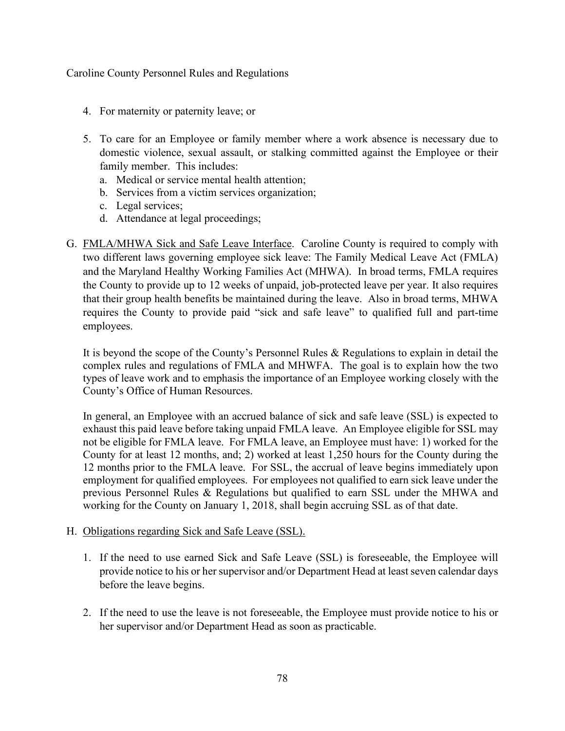- 4. For maternity or paternity leave; or
- 5. To care for an Employee or family member where a work absence is necessary due to domestic violence, sexual assault, or stalking committed against the Employee or their family member. This includes:
	- a. Medical or service mental health attention;
	- b. Services from a victim services organization;
	- c. Legal services;
	- d. Attendance at legal proceedings;
- G. FMLA/MHWA Sick and Safe Leave Interface. Caroline County is required to comply with two different laws governing employee sick leave: The Family Medical Leave Act (FMLA) and the Maryland Healthy Working Families Act (MHWA). In broad terms, FMLA requires the County to provide up to 12 weeks of unpaid, job-protected leave per year. It also requires that their group health benefits be maintained during the leave. Also in broad terms, MHWA requires the County to provide paid "sick and safe leave" to qualified full and part-time employees.

It is beyond the scope of the County's Personnel Rules & Regulations to explain in detail the complex rules and regulations of FMLA and MHWFA. The goal is to explain how the two types of leave work and to emphasis the importance of an Employee working closely with the County's Office of Human Resources.

In general, an Employee with an accrued balance of sick and safe leave (SSL) is expected to exhaust this paid leave before taking unpaid FMLA leave. An Employee eligible for SSL may not be eligible for FMLA leave. For FMLA leave, an Employee must have: 1) worked for the County for at least 12 months, and; 2) worked at least 1,250 hours for the County during the 12 months prior to the FMLA leave. For SSL, the accrual of leave begins immediately upon employment for qualified employees. For employees not qualified to earn sick leave under the previous Personnel Rules & Regulations but qualified to earn SSL under the MHWA and working for the County on January 1, 2018, shall begin accruing SSL as of that date.

#### H. Obligations regarding Sick and Safe Leave (SSL).

- 1. If the need to use earned Sick and Safe Leave (SSL) is foreseeable, the Employee will provide notice to his or her supervisor and/or Department Head at least seven calendar days before the leave begins.
- 2. If the need to use the leave is not foreseeable, the Employee must provide notice to his or her supervisor and/or Department Head as soon as practicable.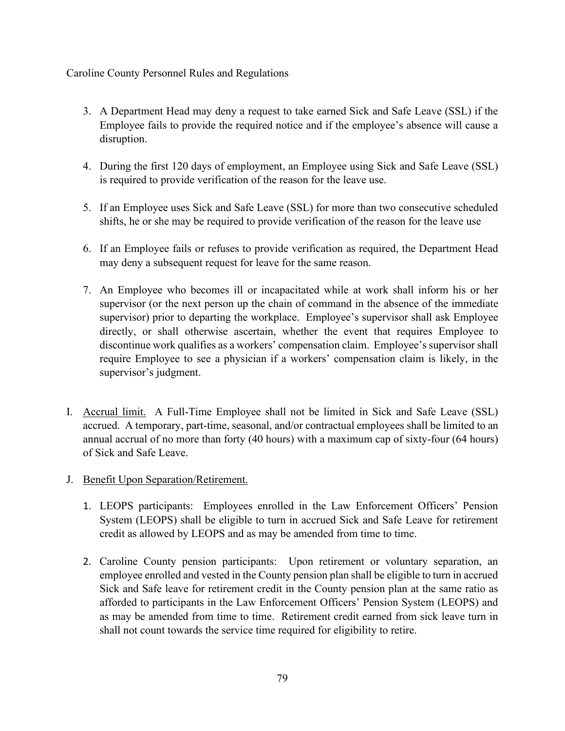- 3. A Department Head may deny a request to take earned Sick and Safe Leave (SSL) if the Employee fails to provide the required notice and if the employee's absence will cause a disruption.
- 4. During the first 120 days of employment, an Employee using Sick and Safe Leave (SSL) is required to provide verification of the reason for the leave use.
- 5. If an Employee uses Sick and Safe Leave (SSL) for more than two consecutive scheduled shifts, he or she may be required to provide verification of the reason for the leave use
- 6. If an Employee fails or refuses to provide verification as required, the Department Head may deny a subsequent request for leave for the same reason.
- 7. An Employee who becomes ill or incapacitated while at work shall inform his or her supervisor (or the next person up the chain of command in the absence of the immediate supervisor) prior to departing the workplace. Employee's supervisor shall ask Employee directly, or shall otherwise ascertain, whether the event that requires Employee to discontinue work qualifies as a workers' compensation claim. Employee's supervisor shall require Employee to see a physician if a workers' compensation claim is likely, in the supervisor's judgment.
- I. Accrual limit. A Full-Time Employee shall not be limited in Sick and Safe Leave (SSL) accrued. A temporary, part-time, seasonal, and/or contractual employees shall be limited to an annual accrual of no more than forty (40 hours) with a maximum cap of sixty-four (64 hours) of Sick and Safe Leave.
- J. Benefit Upon Separation/Retirement.
	- 1. LEOPS participants: Employees enrolled in the Law Enforcement Officers' Pension System (LEOPS) shall be eligible to turn in accrued Sick and Safe Leave for retirement credit as allowed by LEOPS and as may be amended from time to time.
	- 2. Caroline County pension participants: Upon retirement or voluntary separation, an employee enrolled and vested in the County pension plan shall be eligible to turn in accrued Sick and Safe leave for retirement credit in the County pension plan at the same ratio as afforded to participants in the Law Enforcement Officers' Pension System (LEOPS) and as may be amended from time to time. Retirement credit earned from sick leave turn in shall not count towards the service time required for eligibility to retire.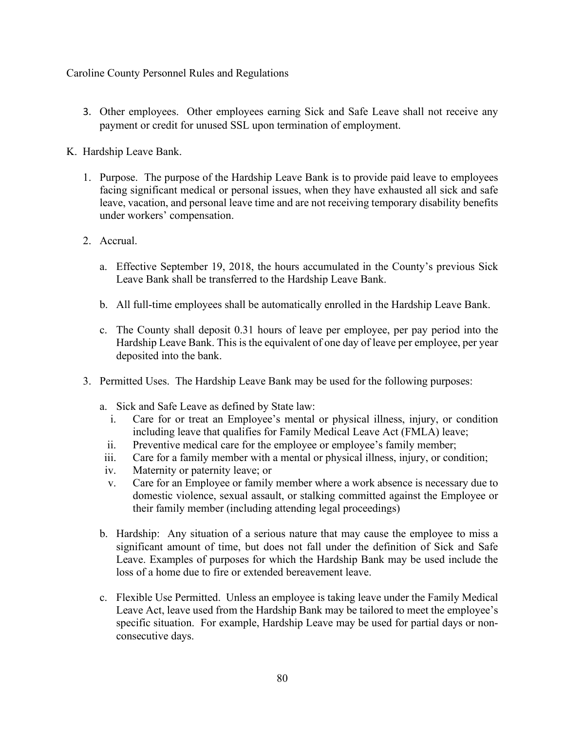- 3. Other employees. Other employees earning Sick and Safe Leave shall not receive any payment or credit for unused SSL upon termination of employment.
- K. Hardship Leave Bank.
	- 1. Purpose. The purpose of the Hardship Leave Bank is to provide paid leave to employees facing significant medical or personal issues, when they have exhausted all sick and safe leave, vacation, and personal leave time and are not receiving temporary disability benefits under workers' compensation.
	- 2. Accrual.
		- a. Effective September 19, 2018, the hours accumulated in the County's previous Sick Leave Bank shall be transferred to the Hardship Leave Bank.
		- b. All full-time employees shall be automatically enrolled in the Hardship Leave Bank.
		- c. The County shall deposit 0.31 hours of leave per employee, per pay period into the Hardship Leave Bank. This is the equivalent of one day of leave per employee, per year deposited into the bank.
	- 3. Permitted Uses. The Hardship Leave Bank may be used for the following purposes:
		- a. Sick and Safe Leave as defined by State law:
			- i. Care for or treat an Employee's mental or physical illness, injury, or condition including leave that qualifies for Family Medical Leave Act (FMLA) leave;
			- ii. Preventive medical care for the employee or employee's family member;
		- iii. Care for a family member with a mental or physical illness, injury, or condition;
		- iv. Maternity or paternity leave; or
		- v. Care for an Employee or family member where a work absence is necessary due to domestic violence, sexual assault, or stalking committed against the Employee or their family member (including attending legal proceedings)
		- b. Hardship: Any situation of a serious nature that may cause the employee to miss a significant amount of time, but does not fall under the definition of Sick and Safe Leave. Examples of purposes for which the Hardship Bank may be used include the loss of a home due to fire or extended bereavement leave.
		- c. Flexible Use Permitted. Unless an employee is taking leave under the Family Medical Leave Act, leave used from the Hardship Bank may be tailored to meet the employee's specific situation. For example, Hardship Leave may be used for partial days or nonconsecutive days.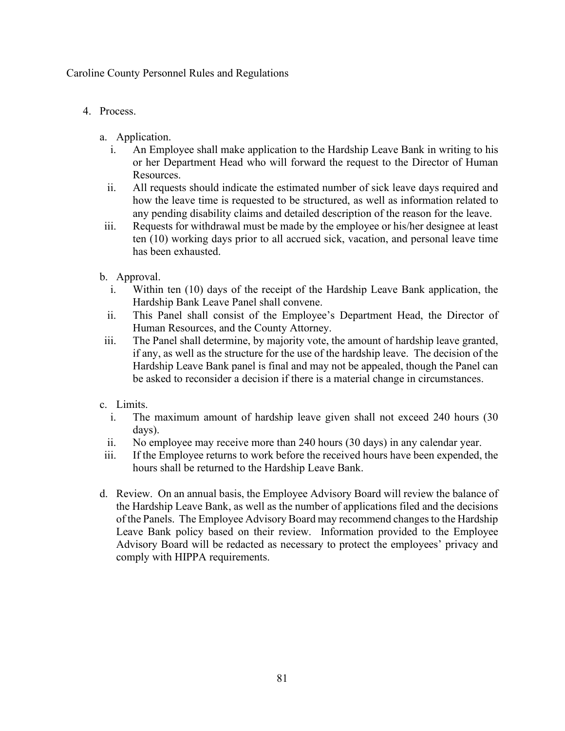# 4. Process.

- a. Application.
	- i. An Employee shall make application to the Hardship Leave Bank in writing to his or her Department Head who will forward the request to the Director of Human Resources.
	- ii. All requests should indicate the estimated number of sick leave days required and how the leave time is requested to be structured, as well as information related to any pending disability claims and detailed description of the reason for the leave.
- iii. Requests for withdrawal must be made by the employee or his/her designee at least ten (10) working days prior to all accrued sick, vacation, and personal leave time has been exhausted.
- b. Approval.
	- i. Within ten (10) days of the receipt of the Hardship Leave Bank application, the Hardship Bank Leave Panel shall convene.
	- ii. This Panel shall consist of the Employee's Department Head, the Director of Human Resources, and the County Attorney.
- iii. The Panel shall determine, by majority vote, the amount of hardship leave granted, if any, as well as the structure for the use of the hardship leave. The decision of the Hardship Leave Bank panel is final and may not be appealed, though the Panel can be asked to reconsider a decision if there is a material change in circumstances.
- c. Limits.
	- i. The maximum amount of hardship leave given shall not exceed 240 hours (30 days).
	- ii. No employee may receive more than 240 hours (30 days) in any calendar year.
- iii. If the Employee returns to work before the received hours have been expended, the hours shall be returned to the Hardship Leave Bank.
- d. Review. On an annual basis, the Employee Advisory Board will review the balance of the Hardship Leave Bank, as well as the number of applications filed and the decisions of the Panels. The Employee Advisory Board may recommend changes to the Hardship Leave Bank policy based on their review. Information provided to the Employee Advisory Board will be redacted as necessary to protect the employees' privacy and comply with HIPPA requirements.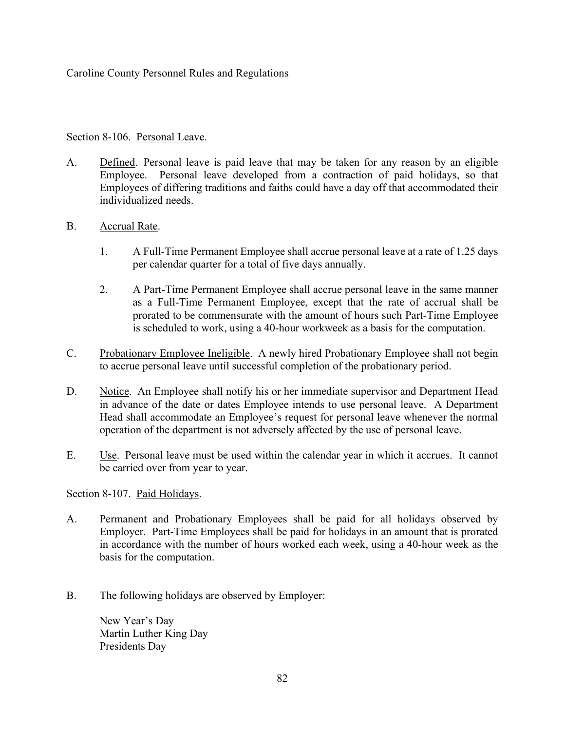Section 8-106. Personal Leave.

- A. Defined. Personal leave is paid leave that may be taken for any reason by an eligible Employee. Personal leave developed from a contraction of paid holidays, so that Employees of differing traditions and faiths could have a day off that accommodated their individualized needs.
- B. Accrual Rate.
	- 1. A Full-Time Permanent Employee shall accrue personal leave at a rate of 1.25 days per calendar quarter for a total of five days annually.
	- 2. A Part-Time Permanent Employee shall accrue personal leave in the same manner as a Full-Time Permanent Employee, except that the rate of accrual shall be prorated to be commensurate with the amount of hours such Part-Time Employee is scheduled to work, using a 40-hour workweek as a basis for the computation.
- C. Probationary Employee Ineligible. A newly hired Probationary Employee shall not begin to accrue personal leave until successful completion of the probationary period.
- D. Notice. An Employee shall notify his or her immediate supervisor and Department Head in advance of the date or dates Employee intends to use personal leave. A Department Head shall accommodate an Employee's request for personal leave whenever the normal operation of the department is not adversely affected by the use of personal leave.
- E. Use. Personal leave must be used within the calendar year in which it accrues. It cannot be carried over from year to year.

Section 8-107. Paid Holidays.

- A. Permanent and Probationary Employees shall be paid for all holidays observed by Employer. Part-Time Employees shall be paid for holidays in an amount that is prorated in accordance with the number of hours worked each week, using a 40-hour week as the basis for the computation.
- B. The following holidays are observed by Employer:

New Year's Day Martin Luther King Day Presidents Day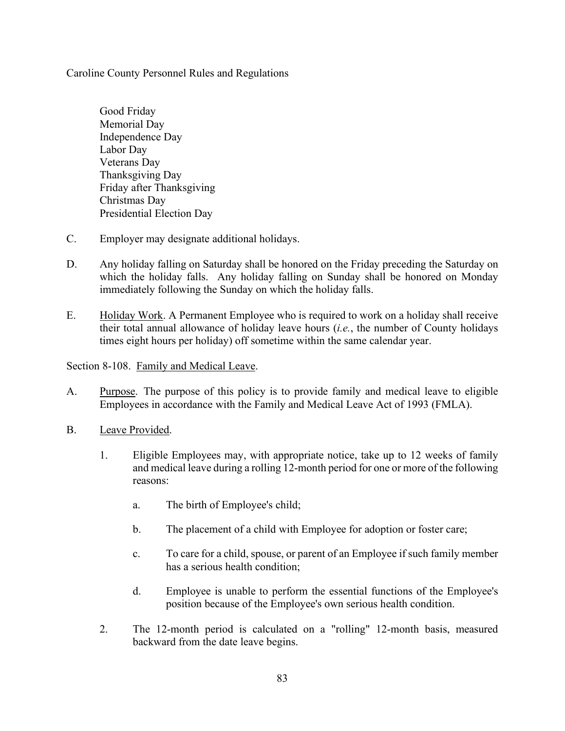Good Friday Memorial Day Independence Day Labor Day Veterans Day Thanksgiving Day Friday after Thanksgiving Christmas Day Presidential Election Day

- C. Employer may designate additional holidays.
- D. Any holiday falling on Saturday shall be honored on the Friday preceding the Saturday on which the holiday falls. Any holiday falling on Sunday shall be honored on Monday immediately following the Sunday on which the holiday falls.
- E. Holiday Work. A Permanent Employee who is required to work on a holiday shall receive their total annual allowance of holiday leave hours (*i.e.*, the number of County holidays times eight hours per holiday) off sometime within the same calendar year.

#### Section 8-108. Family and Medical Leave.

- A. Purpose. The purpose of this policy is to provide family and medical leave to eligible Employees in accordance with the Family and Medical Leave Act of 1993 (FMLA).
- B. Leave Provided.
	- 1. Eligible Employees may, with appropriate notice, take up to 12 weeks of family and medical leave during a rolling 12-month period for one or more of the following reasons:
		- a. The birth of Employee's child;
		- b. The placement of a child with Employee for adoption or foster care;
		- c. To care for a child, spouse, or parent of an Employee if such family member has a serious health condition;
		- d. Employee is unable to perform the essential functions of the Employee's position because of the Employee's own serious health condition.
	- 2. The 12-month period is calculated on a "rolling" 12-month basis, measured backward from the date leave begins.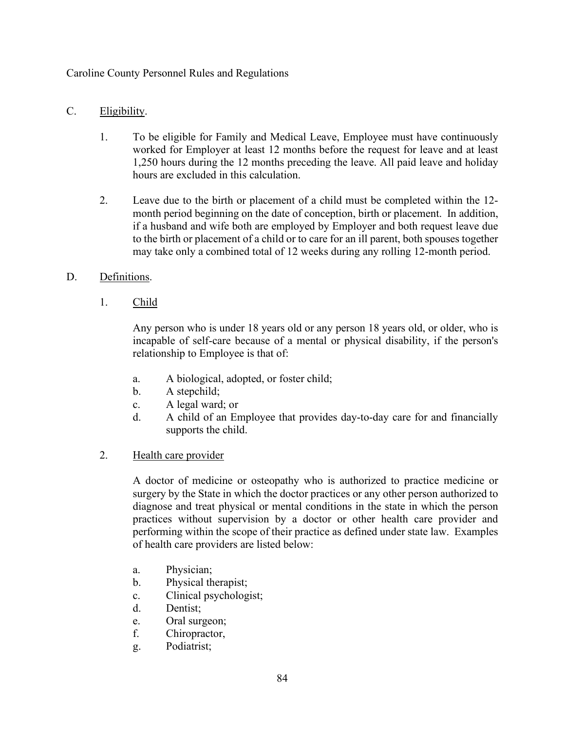# C. Eligibility.

- 1. To be eligible for Family and Medical Leave, Employee must have continuously worked for Employer at least 12 months before the request for leave and at least 1,250 hours during the 12 months preceding the leave. All paid leave and holiday hours are excluded in this calculation.
- 2. Leave due to the birth or placement of a child must be completed within the 12 month period beginning on the date of conception, birth or placement. In addition, if a husband and wife both are employed by Employer and both request leave due to the birth or placement of a child or to care for an ill parent, both spouses together may take only a combined total of 12 weeks during any rolling 12-month period.

## D. Definitions.

1. Child

Any person who is under 18 years old or any person 18 years old, or older, who is incapable of self-care because of a mental or physical disability, if the person's relationship to Employee is that of:

- a. A biological, adopted, or foster child;
- b. A stepchild;
- c. A legal ward; or
- d. A child of an Employee that provides day-to-day care for and financially supports the child.
- 2. Health care provider

A doctor of medicine or osteopathy who is authorized to practice medicine or surgery by the State in which the doctor practices or any other person authorized to diagnose and treat physical or mental conditions in the state in which the person practices without supervision by a doctor or other health care provider and performing within the scope of their practice as defined under state law. Examples of health care providers are listed below:

- a. Physician;
- b. Physical therapist;
- c. Clinical psychologist;
- d. Dentist;
- e. Oral surgeon;
- f. Chiropractor,
- g. Podiatrist;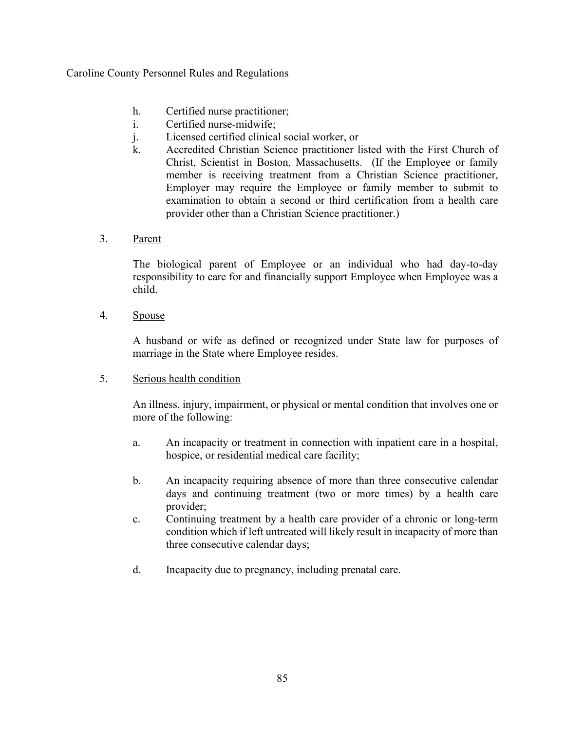- h. Certified nurse practitioner;
- i. Certified nurse-midwife;
- j. Licensed certified clinical social worker, or
- k. Accredited Christian Science practitioner listed with the First Church of Christ, Scientist in Boston, Massachusetts. (If the Employee or family member is receiving treatment from a Christian Science practitioner, Employer may require the Employee or family member to submit to examination to obtain a second or third certification from a health care provider other than a Christian Science practitioner.)
- 3. Parent

The biological parent of Employee or an individual who had day-to-day responsibility to care for and financially support Employee when Employee was a child.

4. Spouse

A husband or wife as defined or recognized under State law for purposes of marriage in the State where Employee resides.

5. Serious health condition

An illness, injury, impairment, or physical or mental condition that involves one or more of the following:

- a. An incapacity or treatment in connection with inpatient care in a hospital, hospice, or residential medical care facility;
- b. An incapacity requiring absence of more than three consecutive calendar days and continuing treatment (two or more times) by a health care provider;
- c. Continuing treatment by a health care provider of a chronic or long-term condition which if left untreated will likely result in incapacity of more than three consecutive calendar days;
- d. Incapacity due to pregnancy, including prenatal care.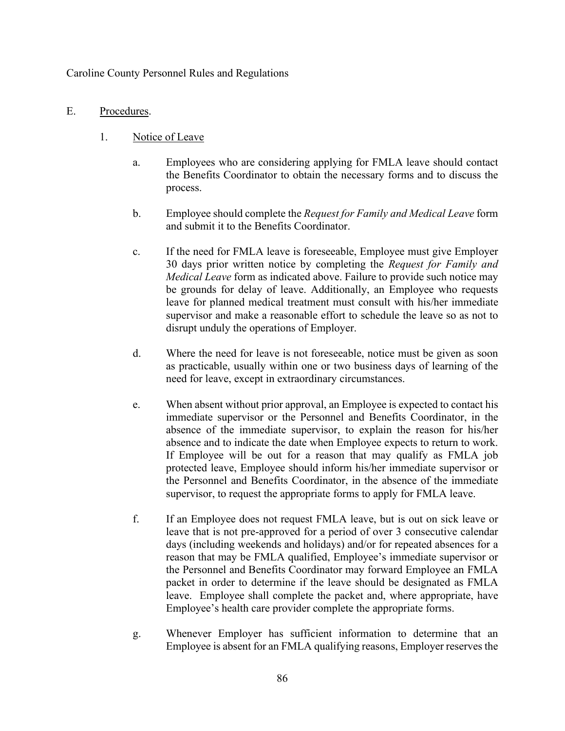## E. Procedures.

- 1. Notice of Leave
	- a. Employees who are considering applying for FMLA leave should contact the Benefits Coordinator to obtain the necessary forms and to discuss the process.
	- b. Employee should complete the *Request for Family and Medical Leave* form and submit it to the Benefits Coordinator.
	- c. If the need for FMLA leave is foreseeable, Employee must give Employer 30 days prior written notice by completing the *Request for Family and Medical Leave* form as indicated above. Failure to provide such notice may be grounds for delay of leave. Additionally, an Employee who requests leave for planned medical treatment must consult with his/her immediate supervisor and make a reasonable effort to schedule the leave so as not to disrupt unduly the operations of Employer.
	- d. Where the need for leave is not foreseeable, notice must be given as soon as practicable, usually within one or two business days of learning of the need for leave, except in extraordinary circumstances.
	- e. When absent without prior approval, an Employee is expected to contact his immediate supervisor or the Personnel and Benefits Coordinator, in the absence of the immediate supervisor, to explain the reason for his/her absence and to indicate the date when Employee expects to return to work. If Employee will be out for a reason that may qualify as FMLA job protected leave, Employee should inform his/her immediate supervisor or the Personnel and Benefits Coordinator, in the absence of the immediate supervisor, to request the appropriate forms to apply for FMLA leave.
	- f. If an Employee does not request FMLA leave, but is out on sick leave or leave that is not pre-approved for a period of over 3 consecutive calendar days (including weekends and holidays) and/or for repeated absences for a reason that may be FMLA qualified, Employee's immediate supervisor or the Personnel and Benefits Coordinator may forward Employee an FMLA packet in order to determine if the leave should be designated as FMLA leave. Employee shall complete the packet and, where appropriate, have Employee's health care provider complete the appropriate forms.
	- g. Whenever Employer has sufficient information to determine that an Employee is absent for an FMLA qualifying reasons, Employer reserves the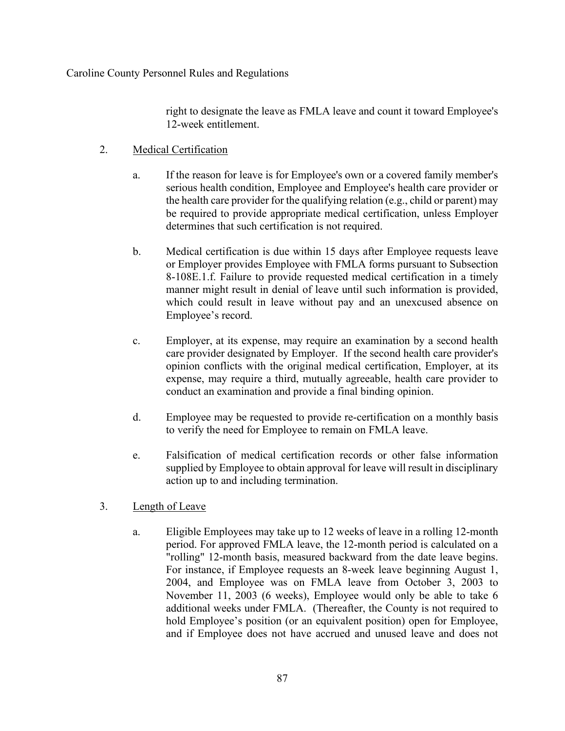right to designate the leave as FMLA leave and count it toward Employee's 12-week entitlement.

# 2. Medical Certification

- a. If the reason for leave is for Employee's own or a covered family member's serious health condition, Employee and Employee's health care provider or the health care provider for the qualifying relation (e.g., child or parent) may be required to provide appropriate medical certification, unless Employer determines that such certification is not required.
- b. Medical certification is due within 15 days after Employee requests leave or Employer provides Employee with FMLA forms pursuant to Subsection 8-108E.1.f. Failure to provide requested medical certification in a timely manner might result in denial of leave until such information is provided, which could result in leave without pay and an unexcused absence on Employee's record.
- c. Employer, at its expense, may require an examination by a second health care provider designated by Employer. If the second health care provider's opinion conflicts with the original medical certification, Employer, at its expense, may require a third, mutually agreeable, health care provider to conduct an examination and provide a final binding opinion.
- d. Employee may be requested to provide re-certification on a monthly basis to verify the need for Employee to remain on FMLA leave.
- e. Falsification of medical certification records or other false information supplied by Employee to obtain approval for leave will result in disciplinary action up to and including termination.
- 3. Length of Leave
	- a. Eligible Employees may take up to 12 weeks of leave in a rolling 12-month period. For approved FMLA leave, the 12-month period is calculated on a "rolling" 12-month basis, measured backward from the date leave begins. For instance, if Employee requests an 8-week leave beginning August 1, 2004, and Employee was on FMLA leave from October 3, 2003 to November 11, 2003 (6 weeks), Employee would only be able to take 6 additional weeks under FMLA. (Thereafter, the County is not required to hold Employee's position (or an equivalent position) open for Employee, and if Employee does not have accrued and unused leave and does not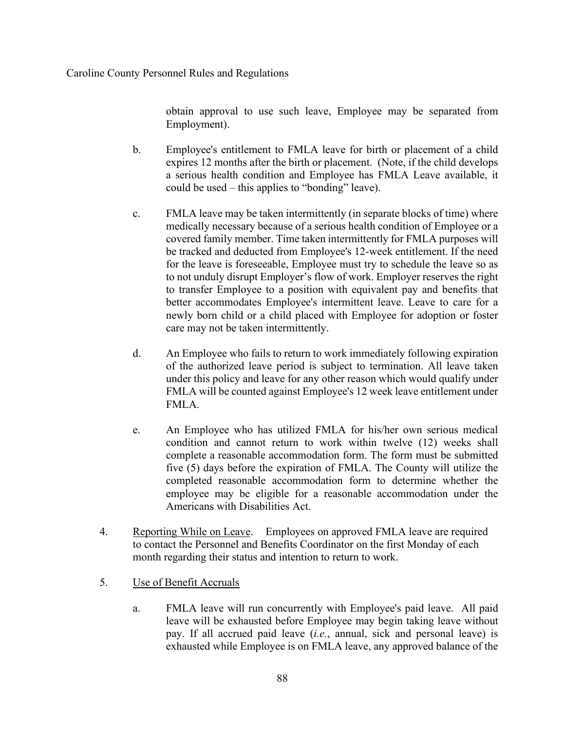obtain approval to use such leave, Employee may be separated from Employment).

- b. Employee's entitlement to FMLA leave for birth or placement of a child expires 12 months after the birth or placement. (Note, if the child develops a serious health condition and Employee has FMLA Leave available, it could be used – this applies to "bonding" leave).
- c. FMLA leave may be taken intermittently (in separate blocks of time) where medically necessary because of a serious health condition of Employee or a covered family member. Time taken intermittently for FMLA purposes will be tracked and deducted from Employee's 12-week entitlement. If the need for the leave is foreseeable, Employee must try to schedule the leave so as to not unduly disrupt Employer's flow of work. Employer reserves the right to transfer Employee to a position with equivalent pay and benefits that better accommodates Employee's intermittent leave. Leave to care for a newly born child or a child placed with Employee for adoption or foster care may not be taken intermittently.
- d. An Employee who fails to return to work immediately following expiration of the authorized leave period is subject to termination. All leave taken under this policy and leave for any other reason which would qualify under FMLA will be counted against Employee's 12 week leave entitlement under FMLA.
- e. An Employee who has utilized FMLA for his/her own serious medical condition and cannot return to work within twelve (12) weeks shall complete a reasonable accommodation form. The form must be submitted five (5) days before the expiration of FMLA. The County will utilize the completed reasonable accommodation form to determine whether the employee may be eligible for a reasonable accommodation under the Americans with Disabilities Act.
- 4. Reporting While on Leave. Employees on approved FMLA leave are required to contact the Personnel and Benefits Coordinator on the first Monday of each month regarding their status and intention to return to work.
- 5. Use of Benefit Accruals
	- a. FMLA leave will run concurrently with Employee's paid leave. All paid leave will be exhausted before Employee may begin taking leave without pay. If all accrued paid leave (*i.e.*, annual, sick and personal leave) is exhausted while Employee is on FMLA leave, any approved balance of the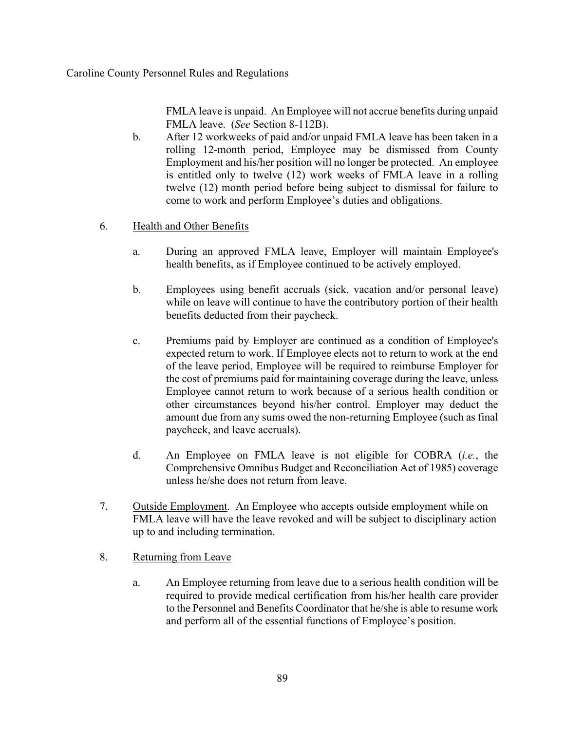FMLA leave is unpaid. An Employee will not accrue benefits during unpaid FMLA leave. (*See* Section 8-112B).

b. After 12 workweeks of paid and/or unpaid FMLA leave has been taken in a rolling 12-month period, Employee may be dismissed from County Employment and his/her position will no longer be protected. An employee is entitled only to twelve (12) work weeks of FMLA leave in a rolling twelve (12) month period before being subject to dismissal for failure to come to work and perform Employee's duties and obligations.

# 6. Health and Other Benefits

- a. During an approved FMLA leave, Employer will maintain Employee's health benefits, as if Employee continued to be actively employed.
- b. Employees using benefit accruals (sick, vacation and/or personal leave) while on leave will continue to have the contributory portion of their health benefits deducted from their paycheck.
- c. Premiums paid by Employer are continued as a condition of Employee's expected return to work. If Employee elects not to return to work at the end of the leave period, Employee will be required to reimburse Employer for the cost of premiums paid for maintaining coverage during the leave, unless Employee cannot return to work because of a serious health condition or other circumstances beyond his/her control. Employer may deduct the amount due from any sums owed the non-returning Employee (such as final paycheck, and leave accruals).
- d. An Employee on FMLA leave is not eligible for COBRA (*i.e.*, the Comprehensive Omnibus Budget and Reconciliation Act of 1985) coverage unless he/she does not return from leave.
- 7. Outside Employment. An Employee who accepts outside employment while on FMLA leave will have the leave revoked and will be subject to disciplinary action up to and including termination.
- 8. Returning from Leave
	- a. An Employee returning from leave due to a serious health condition will be required to provide medical certification from his/her health care provider to the Personnel and Benefits Coordinator that he/she is able to resume work and perform all of the essential functions of Employee's position.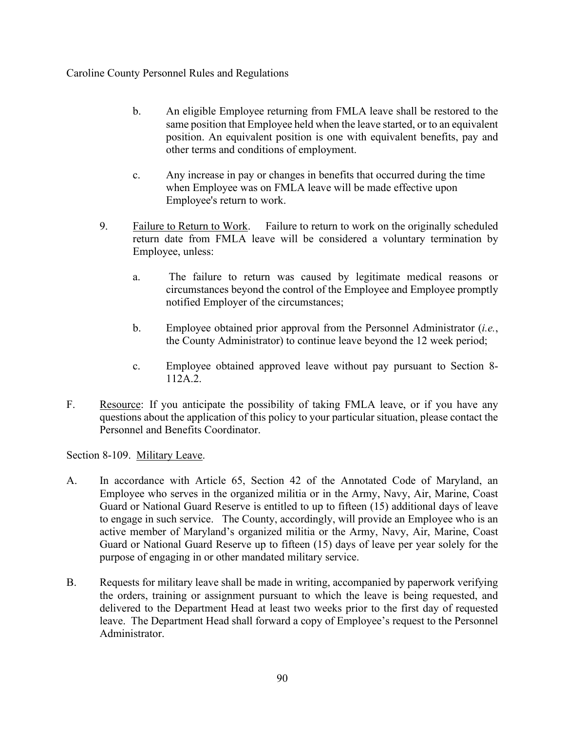- b. An eligible Employee returning from FMLA leave shall be restored to the same position that Employee held when the leave started, or to an equivalent position. An equivalent position is one with equivalent benefits, pay and other terms and conditions of employment.
- c. Any increase in pay or changes in benefits that occurred during the time when Employee was on FMLA leave will be made effective upon Employee's return to work.
- 9. Failure to Return to Work. Failure to return to work on the originally scheduled return date from FMLA leave will be considered a voluntary termination by Employee, unless:
	- a. The failure to return was caused by legitimate medical reasons or circumstances beyond the control of the Employee and Employee promptly notified Employer of the circumstances;
	- b. Employee obtained prior approval from the Personnel Administrator (*i.e.*, the County Administrator) to continue leave beyond the 12 week period;
	- c. Employee obtained approved leave without pay pursuant to Section 8- 112A.2.
- F. Resource: If you anticipate the possibility of taking FMLA leave, or if you have any questions about the application of this policy to your particular situation, please contact the Personnel and Benefits Coordinator.

Section 8-109. Military Leave.

- A. In accordance with Article 65, Section 42 of the Annotated Code of Maryland, an Employee who serves in the organized militia or in the Army, Navy, Air, Marine, Coast Guard or National Guard Reserve is entitled to up to fifteen (15) additional days of leave to engage in such service. The County, accordingly, will provide an Employee who is an active member of Maryland's organized militia or the Army, Navy, Air, Marine, Coast Guard or National Guard Reserve up to fifteen (15) days of leave per year solely for the purpose of engaging in or other mandated military service.
- B. Requests for military leave shall be made in writing, accompanied by paperwork verifying the orders, training or assignment pursuant to which the leave is being requested, and delivered to the Department Head at least two weeks prior to the first day of requested leave. The Department Head shall forward a copy of Employee's request to the Personnel Administrator.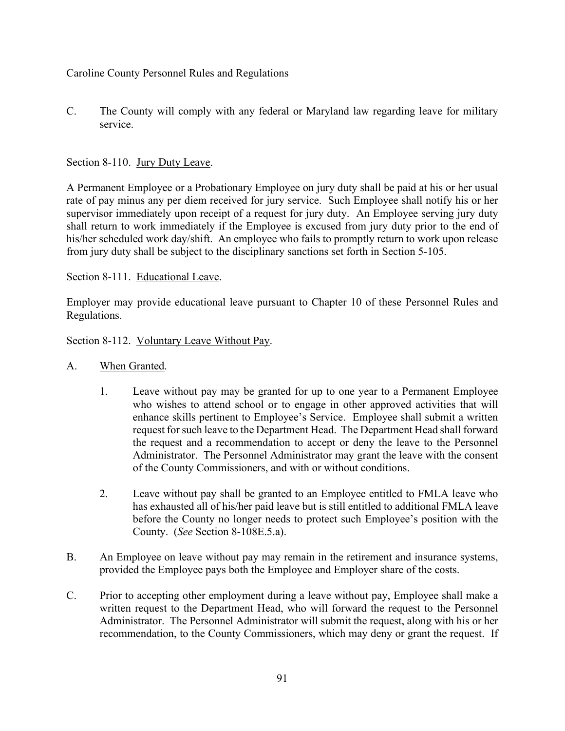C. The County will comply with any federal or Maryland law regarding leave for military service.

Section 8-110. Jury Duty Leave.

A Permanent Employee or a Probationary Employee on jury duty shall be paid at his or her usual rate of pay minus any per diem received for jury service. Such Employee shall notify his or her supervisor immediately upon receipt of a request for jury duty. An Employee serving jury duty shall return to work immediately if the Employee is excused from jury duty prior to the end of his/her scheduled work day/shift. An employee who fails to promptly return to work upon release from jury duty shall be subject to the disciplinary sanctions set forth in Section 5-105.

Section 8-111. Educational Leave.

Employer may provide educational leave pursuant to Chapter 10 of these Personnel Rules and Regulations.

Section 8-112. Voluntary Leave Without Pay.

- A. When Granted.
	- 1. Leave without pay may be granted for up to one year to a Permanent Employee who wishes to attend school or to engage in other approved activities that will enhance skills pertinent to Employee's Service. Employee shall submit a written request for such leave to the Department Head. The Department Head shall forward the request and a recommendation to accept or deny the leave to the Personnel Administrator. The Personnel Administrator may grant the leave with the consent of the County Commissioners, and with or without conditions.
	- 2. Leave without pay shall be granted to an Employee entitled to FMLA leave who has exhausted all of his/her paid leave but is still entitled to additional FMLA leave before the County no longer needs to protect such Employee's position with the County. (*See* Section 8-108E.5.a).
- B. An Employee on leave without pay may remain in the retirement and insurance systems, provided the Employee pays both the Employee and Employer share of the costs.
- C. Prior to accepting other employment during a leave without pay, Employee shall make a written request to the Department Head, who will forward the request to the Personnel Administrator. The Personnel Administrator will submit the request, along with his or her recommendation, to the County Commissioners, which may deny or grant the request. If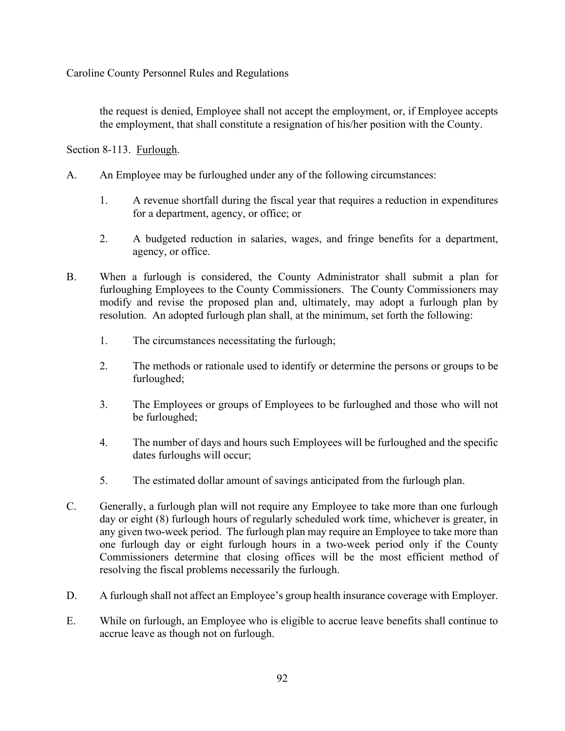the request is denied, Employee shall not accept the employment, or, if Employee accepts the employment, that shall constitute a resignation of his/her position with the County.

Section 8-113. Furlough.

- A. An Employee may be furloughed under any of the following circumstances:
	- 1. A revenue shortfall during the fiscal year that requires a reduction in expenditures for a department, agency, or office; or
	- 2. A budgeted reduction in salaries, wages, and fringe benefits for a department, agency, or office.
- B. When a furlough is considered, the County Administrator shall submit a plan for furloughing Employees to the County Commissioners. The County Commissioners may modify and revise the proposed plan and, ultimately, may adopt a furlough plan by resolution. An adopted furlough plan shall, at the minimum, set forth the following:
	- 1. The circumstances necessitating the furlough;
	- 2. The methods or rationale used to identify or determine the persons or groups to be furloughed;
	- 3. The Employees or groups of Employees to be furloughed and those who will not be furloughed;
	- 4. The number of days and hours such Employees will be furloughed and the specific dates furloughs will occur;
	- 5. The estimated dollar amount of savings anticipated from the furlough plan.
- C. Generally, a furlough plan will not require any Employee to take more than one furlough day or eight (8) furlough hours of regularly scheduled work time, whichever is greater, in any given two-week period. The furlough plan may require an Employee to take more than one furlough day or eight furlough hours in a two-week period only if the County Commissioners determine that closing offices will be the most efficient method of resolving the fiscal problems necessarily the furlough.
- D. A furlough shall not affect an Employee's group health insurance coverage with Employer.
- E. While on furlough, an Employee who is eligible to accrue leave benefits shall continue to accrue leave as though not on furlough.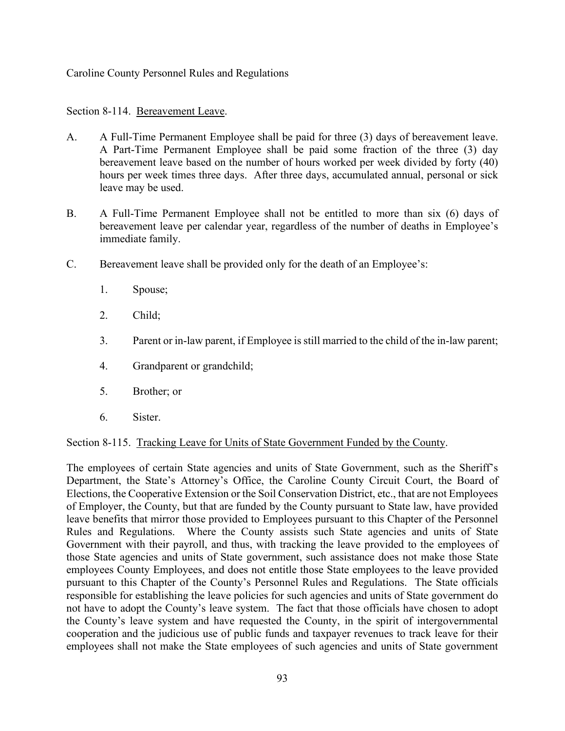Section 8-114. Bereavement Leave.

- A. A Full-Time Permanent Employee shall be paid for three (3) days of bereavement leave. A Part-Time Permanent Employee shall be paid some fraction of the three (3) day bereavement leave based on the number of hours worked per week divided by forty (40) hours per week times three days. After three days, accumulated annual, personal or sick leave may be used.
- B. A Full-Time Permanent Employee shall not be entitled to more than six (6) days of bereavement leave per calendar year, regardless of the number of deaths in Employee's immediate family.
- C. Bereavement leave shall be provided only for the death of an Employee's:
	- 1. Spouse;
	- 2. Child;
	- 3. Parent or in-law parent, if Employee is still married to the child of the in-law parent;
	- 4. Grandparent or grandchild;
	- 5. Brother; or
	- 6. Sister.

#### Section 8-115. Tracking Leave for Units of State Government Funded by the County.

The employees of certain State agencies and units of State Government, such as the Sheriff's Department, the State's Attorney's Office, the Caroline County Circuit Court, the Board of Elections, the Cooperative Extension or the Soil Conservation District, etc., that are not Employees of Employer, the County, but that are funded by the County pursuant to State law, have provided leave benefits that mirror those provided to Employees pursuant to this Chapter of the Personnel Rules and Regulations. Where the County assists such State agencies and units of State Government with their payroll, and thus, with tracking the leave provided to the employees of those State agencies and units of State government, such assistance does not make those State employees County Employees, and does not entitle those State employees to the leave provided pursuant to this Chapter of the County's Personnel Rules and Regulations. The State officials responsible for establishing the leave policies for such agencies and units of State government do not have to adopt the County's leave system. The fact that those officials have chosen to adopt the County's leave system and have requested the County, in the spirit of intergovernmental cooperation and the judicious use of public funds and taxpayer revenues to track leave for their employees shall not make the State employees of such agencies and units of State government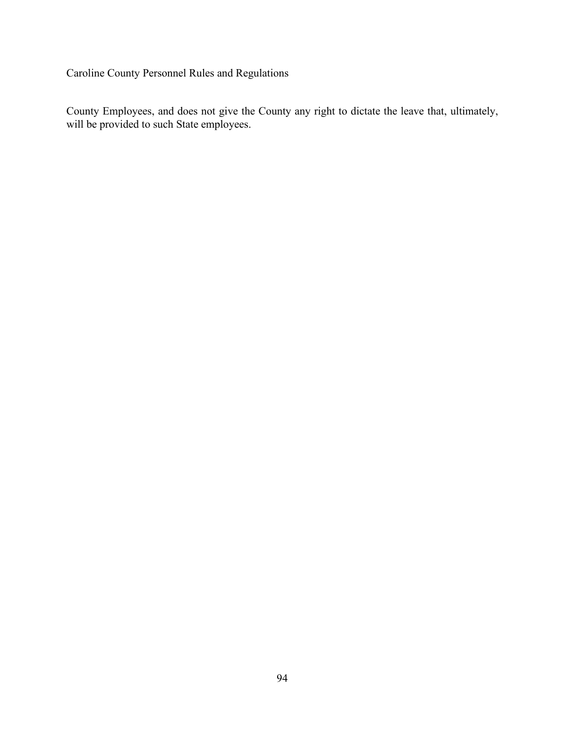County Employees, and does not give the County any right to dictate the leave that, ultimately, will be provided to such State employees.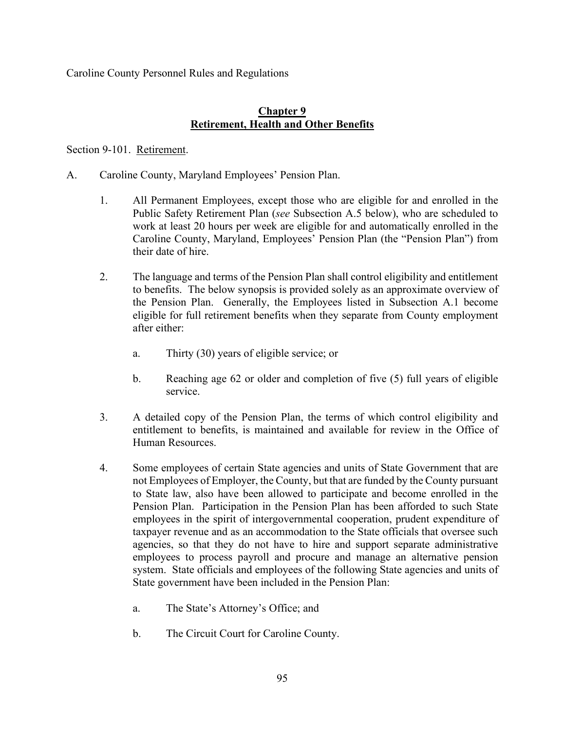## **Chapter 9 Retirement, Health and Other Benefits**

Section 9-101. Retirement.

- A. Caroline County, Maryland Employees' Pension Plan.
	- 1. All Permanent Employees, except those who are eligible for and enrolled in the Public Safety Retirement Plan (*see* Subsection A.5 below), who are scheduled to work at least 20 hours per week are eligible for and automatically enrolled in the Caroline County, Maryland, Employees' Pension Plan (the "Pension Plan") from their date of hire.
	- 2. The language and terms of the Pension Plan shall control eligibility and entitlement to benefits. The below synopsis is provided solely as an approximate overview of the Pension Plan. Generally, the Employees listed in Subsection A.1 become eligible for full retirement benefits when they separate from County employment after either:
		- a. Thirty (30) years of eligible service; or
		- b. Reaching age 62 or older and completion of five (5) full years of eligible service.
	- 3. A detailed copy of the Pension Plan, the terms of which control eligibility and entitlement to benefits, is maintained and available for review in the Office of Human Resources.
	- 4. Some employees of certain State agencies and units of State Government that are not Employees of Employer, the County, but that are funded by the County pursuant to State law, also have been allowed to participate and become enrolled in the Pension Plan. Participation in the Pension Plan has been afforded to such State employees in the spirit of intergovernmental cooperation, prudent expenditure of taxpayer revenue and as an accommodation to the State officials that oversee such agencies, so that they do not have to hire and support separate administrative employees to process payroll and procure and manage an alternative pension system. State officials and employees of the following State agencies and units of State government have been included in the Pension Plan:
		- a. The State's Attorney's Office; and
		- b. The Circuit Court for Caroline County.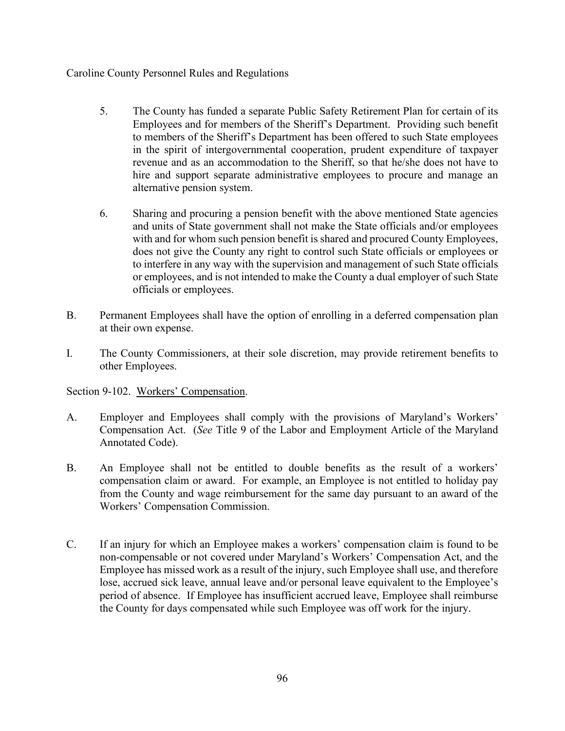- 5. The County has funded a separate Public Safety Retirement Plan for certain of its Employees and for members of the Sheriff's Department. Providing such benefit to members of the Sheriff's Department has been offered to such State employees in the spirit of intergovernmental cooperation, prudent expenditure of taxpayer revenue and as an accommodation to the Sheriff, so that he/she does not have to hire and support separate administrative employees to procure and manage an alternative pension system.
- 6. Sharing and procuring a pension benefit with the above mentioned State agencies and units of State government shall not make the State officials and/or employees with and for whom such pension benefit is shared and procured County Employees, does not give the County any right to control such State officials or employees or to interfere in any way with the supervision and management of such State officials or employees, and is not intended to make the County a dual employer of such State officials or employees.
- B. Permanent Employees shall have the option of enrolling in a deferred compensation plan at their own expense.
- I. The County Commissioners, at their sole discretion, may provide retirement benefits to other Employees.

Section 9-102. Workers' Compensation.

- A. Employer and Employees shall comply with the provisions of Maryland's Workers' Compensation Act. (*See* Title 9 of the Labor and Employment Article of the Maryland Annotated Code).
- B. An Employee shall not be entitled to double benefits as the result of a workers' compensation claim or award. For example, an Employee is not entitled to holiday pay from the County and wage reimbursement for the same day pursuant to an award of the Workers' Compensation Commission.
- C. If an injury for which an Employee makes a workers' compensation claim is found to be non-compensable or not covered under Maryland's Workers' Compensation Act, and the Employee has missed work as a result of the injury, such Employee shall use, and therefore lose, accrued sick leave, annual leave and/or personal leave equivalent to the Employee's period of absence. If Employee has insufficient accrued leave, Employee shall reimburse the County for days compensated while such Employee was off work for the injury.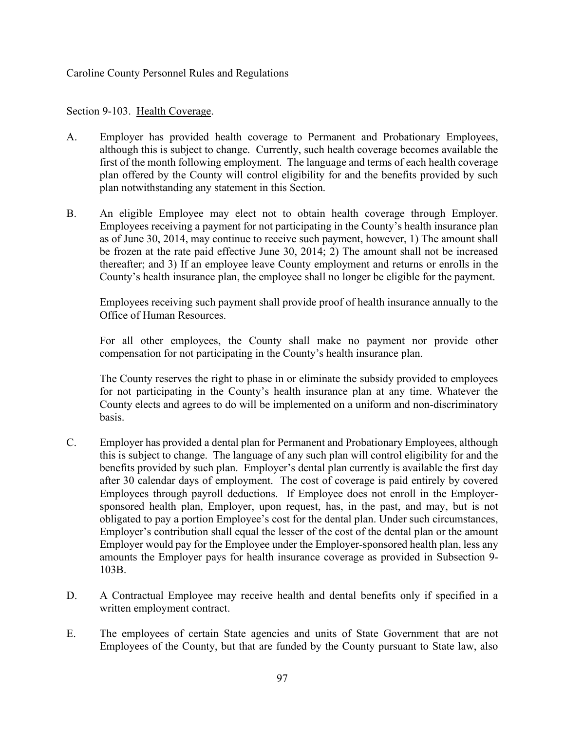Section 9-103. Health Coverage.

- A. Employer has provided health coverage to Permanent and Probationary Employees, although this is subject to change. Currently, such health coverage becomes available the first of the month following employment. The language and terms of each health coverage plan offered by the County will control eligibility for and the benefits provided by such plan notwithstanding any statement in this Section.
- B. An eligible Employee may elect not to obtain health coverage through Employer. Employees receiving a payment for not participating in the County's health insurance plan as of June 30, 2014, may continue to receive such payment, however, 1) The amount shall be frozen at the rate paid effective June 30, 2014; 2) The amount shall not be increased thereafter; and 3) If an employee leave County employment and returns or enrolls in the County's health insurance plan, the employee shall no longer be eligible for the payment.

Employees receiving such payment shall provide proof of health insurance annually to the Office of Human Resources.

For all other employees, the County shall make no payment nor provide other compensation for not participating in the County's health insurance plan.

The County reserves the right to phase in or eliminate the subsidy provided to employees for not participating in the County's health insurance plan at any time. Whatever the County elects and agrees to do will be implemented on a uniform and non-discriminatory basis.

- C. Employer has provided a dental plan for Permanent and Probationary Employees, although this is subject to change. The language of any such plan will control eligibility for and the benefits provided by such plan. Employer's dental plan currently is available the first day after 30 calendar days of employment. The cost of coverage is paid entirely by covered Employees through payroll deductions. If Employee does not enroll in the Employersponsored health plan, Employer, upon request, has, in the past, and may, but is not obligated to pay a portion Employee's cost for the dental plan. Under such circumstances, Employer's contribution shall equal the lesser of the cost of the dental plan or the amount Employer would pay for the Employee under the Employer-sponsored health plan, less any amounts the Employer pays for health insurance coverage as provided in Subsection 9- 103B.
- D. A Contractual Employee may receive health and dental benefits only if specified in a written employment contract.
- E. The employees of certain State agencies and units of State Government that are not Employees of the County, but that are funded by the County pursuant to State law, also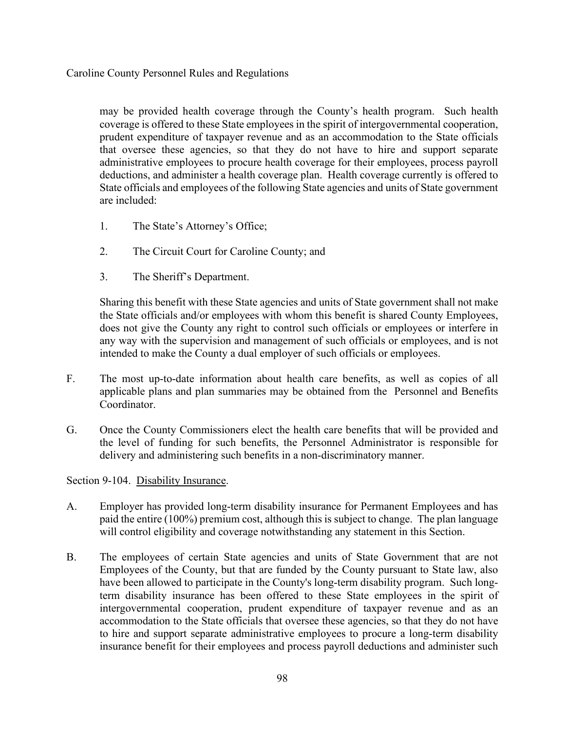may be provided health coverage through the County's health program. Such health coverage is offered to these State employees in the spirit of intergovernmental cooperation, prudent expenditure of taxpayer revenue and as an accommodation to the State officials that oversee these agencies, so that they do not have to hire and support separate administrative employees to procure health coverage for their employees, process payroll deductions, and administer a health coverage plan. Health coverage currently is offered to State officials and employees of the following State agencies and units of State government are included:

- 1. The State's Attorney's Office;
- 2. The Circuit Court for Caroline County; and
- 3. The Sheriff's Department.

Sharing this benefit with these State agencies and units of State government shall not make the State officials and/or employees with whom this benefit is shared County Employees, does not give the County any right to control such officials or employees or interfere in any way with the supervision and management of such officials or employees, and is not intended to make the County a dual employer of such officials or employees.

- F. The most up-to-date information about health care benefits, as well as copies of all applicable plans and plan summaries may be obtained from the Personnel and Benefits Coordinator.
- G. Once the County Commissioners elect the health care benefits that will be provided and the level of funding for such benefits, the Personnel Administrator is responsible for delivery and administering such benefits in a non-discriminatory manner.

Section 9-104. Disability Insurance.

- A. Employer has provided long-term disability insurance for Permanent Employees and has paid the entire (100%) premium cost, although this is subject to change. The plan language will control eligibility and coverage notwithstanding any statement in this Section.
- B. The employees of certain State agencies and units of State Government that are not Employees of the County, but that are funded by the County pursuant to State law, also have been allowed to participate in the County's long-term disability program. Such longterm disability insurance has been offered to these State employees in the spirit of intergovernmental cooperation, prudent expenditure of taxpayer revenue and as an accommodation to the State officials that oversee these agencies, so that they do not have to hire and support separate administrative employees to procure a long-term disability insurance benefit for their employees and process payroll deductions and administer such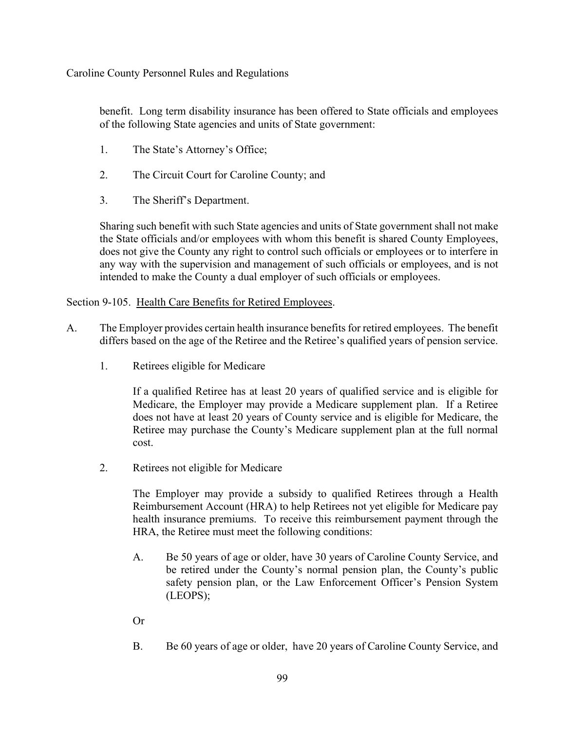benefit. Long term disability insurance has been offered to State officials and employees of the following State agencies and units of State government:

- 1. The State's Attorney's Office;
- 2. The Circuit Court for Caroline County; and
- 3. The Sheriff's Department.

Sharing such benefit with such State agencies and units of State government shall not make the State officials and/or employees with whom this benefit is shared County Employees, does not give the County any right to control such officials or employees or to interfere in any way with the supervision and management of such officials or employees, and is not intended to make the County a dual employer of such officials or employees.

Section 9-105. Health Care Benefits for Retired Employees.

- A. The Employer provides certain health insurance benefits for retired employees. The benefit differs based on the age of the Retiree and the Retiree's qualified years of pension service.
	- 1. Retirees eligible for Medicare

If a qualified Retiree has at least 20 years of qualified service and is eligible for Medicare, the Employer may provide a Medicare supplement plan. If a Retiree does not have at least 20 years of County service and is eligible for Medicare, the Retiree may purchase the County's Medicare supplement plan at the full normal cost.

2. Retirees not eligible for Medicare

The Employer may provide a subsidy to qualified Retirees through a Health Reimbursement Account (HRA) to help Retirees not yet eligible for Medicare pay health insurance premiums. To receive this reimbursement payment through the HRA, the Retiree must meet the following conditions:

- A. Be 50 years of age or older, have 30 years of Caroline County Service, and be retired under the County's normal pension plan, the County's public safety pension plan, or the Law Enforcement Officer's Pension System (LEOPS);
- Or
- B. Be 60 years of age or older, have 20 years of Caroline County Service, and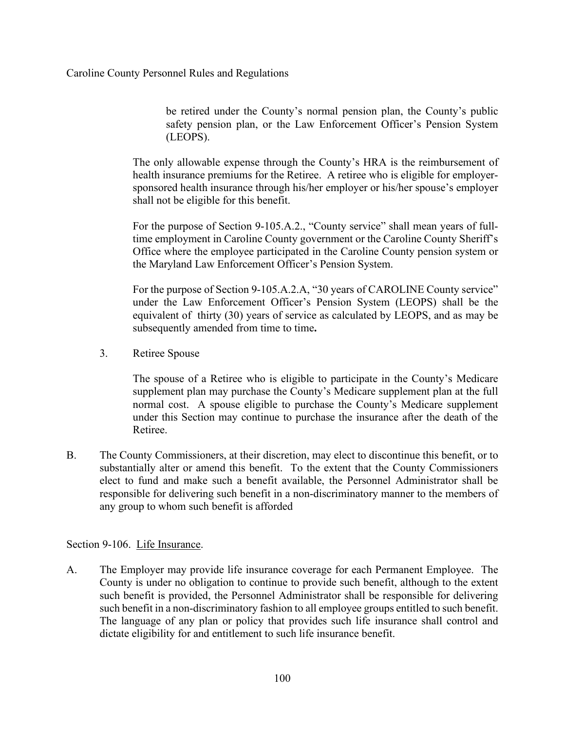be retired under the County's normal pension plan, the County's public safety pension plan, or the Law Enforcement Officer's Pension System (LEOPS).

The only allowable expense through the County's HRA is the reimbursement of health insurance premiums for the Retiree. A retiree who is eligible for employersponsored health insurance through his/her employer or his/her spouse's employer shall not be eligible for this benefit.

For the purpose of Section 9-105.A.2., "County service" shall mean years of fulltime employment in Caroline County government or the Caroline County Sheriff's Office where the employee participated in the Caroline County pension system or the Maryland Law Enforcement Officer's Pension System.

For the purpose of Section 9-105.A.2.A, "30 years of CAROLINE County service" under the Law Enforcement Officer's Pension System (LEOPS) shall be the equivalent of thirty (30) years of service as calculated by LEOPS, and as may be subsequently amended from time to time**.** 

3. Retiree Spouse

The spouse of a Retiree who is eligible to participate in the County's Medicare supplement plan may purchase the County's Medicare supplement plan at the full normal cost. A spouse eligible to purchase the County's Medicare supplement under this Section may continue to purchase the insurance after the death of the Retiree.

B. The County Commissioners, at their discretion, may elect to discontinue this benefit, or to substantially alter or amend this benefit. To the extent that the County Commissioners elect to fund and make such a benefit available, the Personnel Administrator shall be responsible for delivering such benefit in a non-discriminatory manner to the members of any group to whom such benefit is afforded

#### Section 9-106. Life Insurance.

A. The Employer may provide life insurance coverage for each Permanent Employee. The County is under no obligation to continue to provide such benefit, although to the extent such benefit is provided, the Personnel Administrator shall be responsible for delivering such benefit in a non-discriminatory fashion to all employee groups entitled to such benefit. The language of any plan or policy that provides such life insurance shall control and dictate eligibility for and entitlement to such life insurance benefit.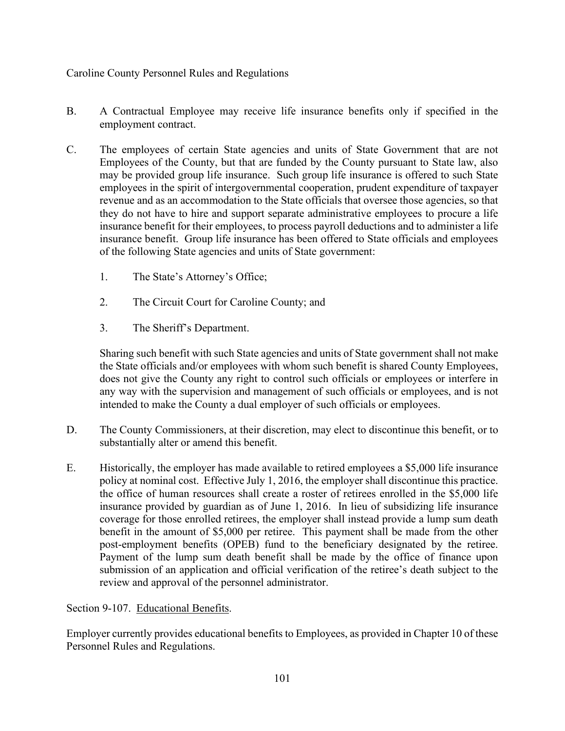- B. A Contractual Employee may receive life insurance benefits only if specified in the employment contract.
- C. The employees of certain State agencies and units of State Government that are not Employees of the County, but that are funded by the County pursuant to State law, also may be provided group life insurance. Such group life insurance is offered to such State employees in the spirit of intergovernmental cooperation, prudent expenditure of taxpayer revenue and as an accommodation to the State officials that oversee those agencies, so that they do not have to hire and support separate administrative employees to procure a life insurance benefit for their employees, to process payroll deductions and to administer a life insurance benefit. Group life insurance has been offered to State officials and employees of the following State agencies and units of State government:
	- 1. The State's Attorney's Office;
	- 2. The Circuit Court for Caroline County; and
	- 3. The Sheriff's Department.

Sharing such benefit with such State agencies and units of State government shall not make the State officials and/or employees with whom such benefit is shared County Employees, does not give the County any right to control such officials or employees or interfere in any way with the supervision and management of such officials or employees, and is not intended to make the County a dual employer of such officials or employees.

- D. The County Commissioners, at their discretion, may elect to discontinue this benefit, or to substantially alter or amend this benefit.
- E. Historically, the employer has made available to retired employees a \$5,000 life insurance policy at nominal cost. Effective July 1, 2016, the employer shall discontinue this practice. the office of human resources shall create a roster of retirees enrolled in the \$5,000 life insurance provided by guardian as of June 1, 2016. In lieu of subsidizing life insurance coverage for those enrolled retirees, the employer shall instead provide a lump sum death benefit in the amount of \$5,000 per retiree. This payment shall be made from the other post-employment benefits (OPEB) fund to the beneficiary designated by the retiree. Payment of the lump sum death benefit shall be made by the office of finance upon submission of an application and official verification of the retiree's death subject to the review and approval of the personnel administrator.

Section 9-107. Educational Benefits.

Employer currently provides educational benefits to Employees, as provided in Chapter 10 of these Personnel Rules and Regulations.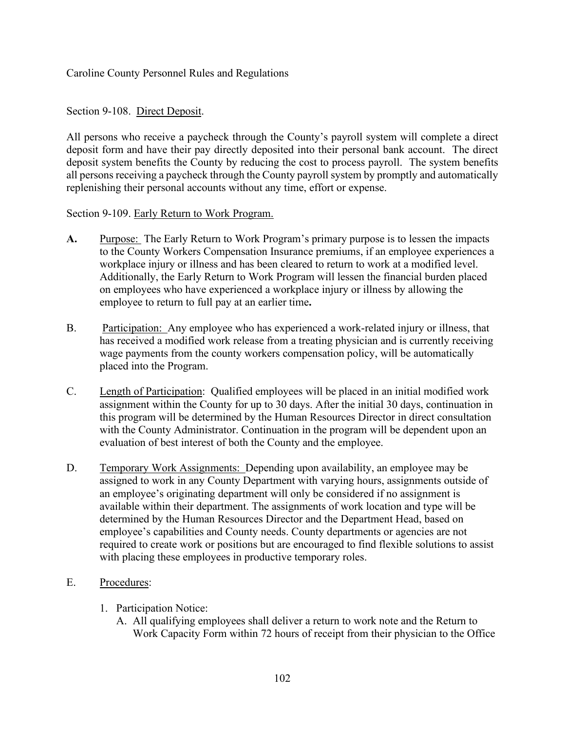Section 9-108. Direct Deposit.

All persons who receive a paycheck through the County's payroll system will complete a direct deposit form and have their pay directly deposited into their personal bank account. The direct deposit system benefits the County by reducing the cost to process payroll. The system benefits all persons receiving a paycheck through the County payroll system by promptly and automatically replenishing their personal accounts without any time, effort or expense.

Section 9-109. Early Return to Work Program.

- **A.** Purpose: The Early Return to Work Program's primary purpose is to lessen the impacts to the County Workers Compensation Insurance premiums, if an employee experiences a workplace injury or illness and has been cleared to return to work at a modified level. Additionally, the Early Return to Work Program will lessen the financial burden placed on employees who have experienced a workplace injury or illness by allowing the employee to return to full pay at an earlier time**.**
- B. Participation: Any employee who has experienced a work-related injury or illness, that has received a modified work release from a treating physician and is currently receiving wage payments from the county workers compensation policy, will be automatically placed into the Program.
- C. Length of Participation: Qualified employees will be placed in an initial modified work assignment within the County for up to 30 days. After the initial 30 days, continuation in this program will be determined by the Human Resources Director in direct consultation with the County Administrator. Continuation in the program will be dependent upon an evaluation of best interest of both the County and the employee.
- D. Temporary Work Assignments: Depending upon availability, an employee may be assigned to work in any County Department with varying hours, assignments outside of an employee's originating department will only be considered if no assignment is available within their department. The assignments of work location and type will be determined by the Human Resources Director and the Department Head, based on employee's capabilities and County needs. County departments or agencies are not required to create work or positions but are encouraged to find flexible solutions to assist with placing these employees in productive temporary roles.
- E. Procedures:
	- 1. Participation Notice:
		- A. All qualifying employees shall deliver a return to work note and the Return to Work Capacity Form within 72 hours of receipt from their physician to the Office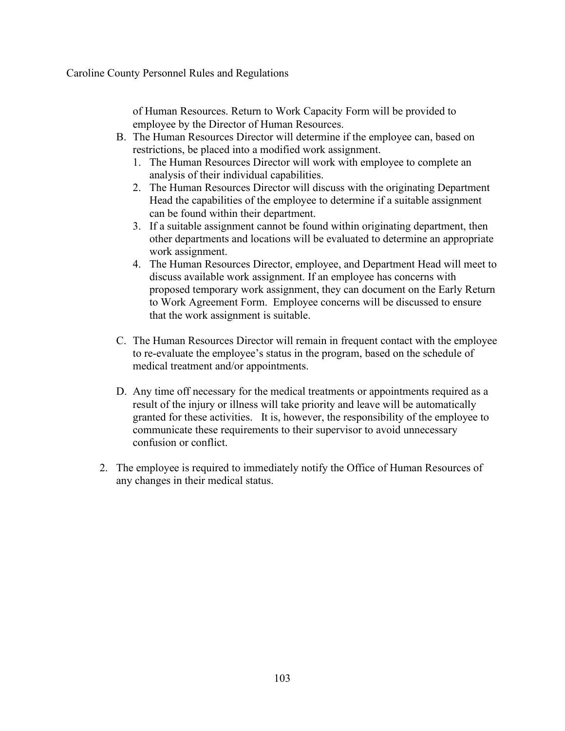of Human Resources. Return to Work Capacity Form will be provided to employee by the Director of Human Resources.

- B. The Human Resources Director will determine if the employee can, based on restrictions, be placed into a modified work assignment.
	- 1. The Human Resources Director will work with employee to complete an analysis of their individual capabilities.
	- 2. The Human Resources Director will discuss with the originating Department Head the capabilities of the employee to determine if a suitable assignment can be found within their department.
	- 3. If a suitable assignment cannot be found within originating department, then other departments and locations will be evaluated to determine an appropriate work assignment.
	- 4. The Human Resources Director, employee, and Department Head will meet to discuss available work assignment. If an employee has concerns with proposed temporary work assignment, they can document on the Early Return to Work Agreement Form. Employee concerns will be discussed to ensure that the work assignment is suitable.
- C. The Human Resources Director will remain in frequent contact with the employee to re-evaluate the employee's status in the program, based on the schedule of medical treatment and/or appointments.
- D. Any time off necessary for the medical treatments or appointments required as a result of the injury or illness will take priority and leave will be automatically granted for these activities. It is, however, the responsibility of the employee to communicate these requirements to their supervisor to avoid unnecessary confusion or conflict.
- 2. The employee is required to immediately notify the Office of Human Resources of any changes in their medical status.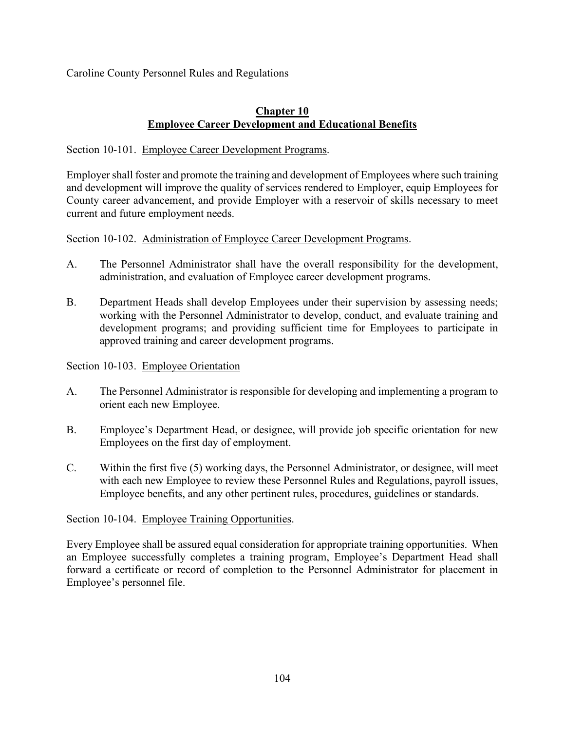## **Chapter 10 Employee Career Development and Educational Benefits**

Section 10-101. Employee Career Development Programs.

Employer shall foster and promote the training and development of Employees where such training and development will improve the quality of services rendered to Employer, equip Employees for County career advancement, and provide Employer with a reservoir of skills necessary to meet current and future employment needs.

Section 10-102. Administration of Employee Career Development Programs.

- A. The Personnel Administrator shall have the overall responsibility for the development, administration, and evaluation of Employee career development programs.
- B. Department Heads shall develop Employees under their supervision by assessing needs; working with the Personnel Administrator to develop, conduct, and evaluate training and development programs; and providing sufficient time for Employees to participate in approved training and career development programs.

Section 10-103. Employee Orientation

- A. The Personnel Administrator is responsible for developing and implementing a program to orient each new Employee.
- B. Employee's Department Head, or designee, will provide job specific orientation for new Employees on the first day of employment.
- C. Within the first five (5) working days, the Personnel Administrator, or designee, will meet with each new Employee to review these Personnel Rules and Regulations, payroll issues, Employee benefits, and any other pertinent rules, procedures, guidelines or standards.

#### Section 10-104. Employee Training Opportunities.

Every Employee shall be assured equal consideration for appropriate training opportunities. When an Employee successfully completes a training program, Employee's Department Head shall forward a certificate or record of completion to the Personnel Administrator for placement in Employee's personnel file.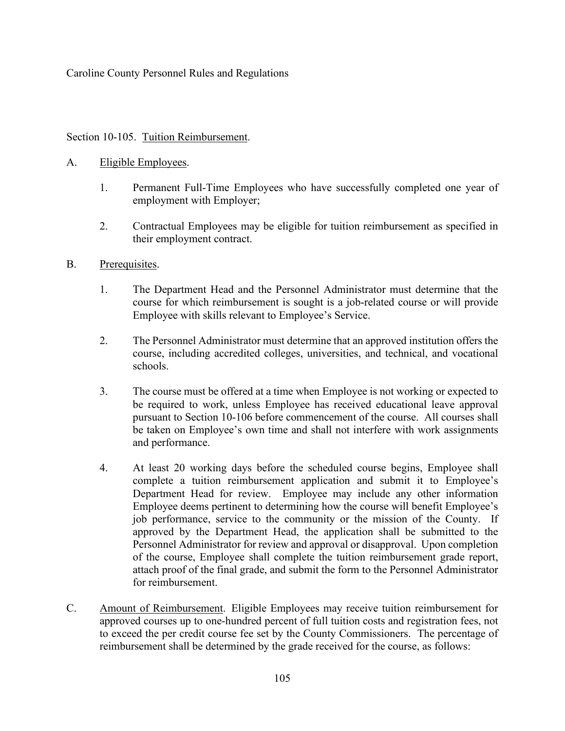## Section 10-105. Tuition Reimbursement.

### A. Eligible Employees.

- 1. Permanent Full-Time Employees who have successfully completed one year of employment with Employer;
- 2. Contractual Employees may be eligible for tuition reimbursement as specified in their employment contract.

## B. Prerequisites.

- 1. The Department Head and the Personnel Administrator must determine that the course for which reimbursement is sought is a job-related course or will provide Employee with skills relevant to Employee's Service.
- 2. The Personnel Administrator must determine that an approved institution offers the course, including accredited colleges, universities, and technical, and vocational schools.
- 3. The course must be offered at a time when Employee is not working or expected to be required to work, unless Employee has received educational leave approval pursuant to Section 10-106 before commencement of the course. All courses shall be taken on Employee's own time and shall not interfere with work assignments and performance.
- 4. At least 20 working days before the scheduled course begins, Employee shall complete a tuition reimbursement application and submit it to Employee's Department Head for review. Employee may include any other information Employee deems pertinent to determining how the course will benefit Employee's job performance, service to the community or the mission of the County. If approved by the Department Head, the application shall be submitted to the Personnel Administrator for review and approval or disapproval. Upon completion of the course, Employee shall complete the tuition reimbursement grade report, attach proof of the final grade, and submit the form to the Personnel Administrator for reimbursement.
- C. Amount of Reimbursement. Eligible Employees may receive tuition reimbursement for approved courses up to one-hundred percent of full tuition costs and registration fees, not to exceed the per credit course fee set by the County Commissioners. The percentage of reimbursement shall be determined by the grade received for the course, as follows: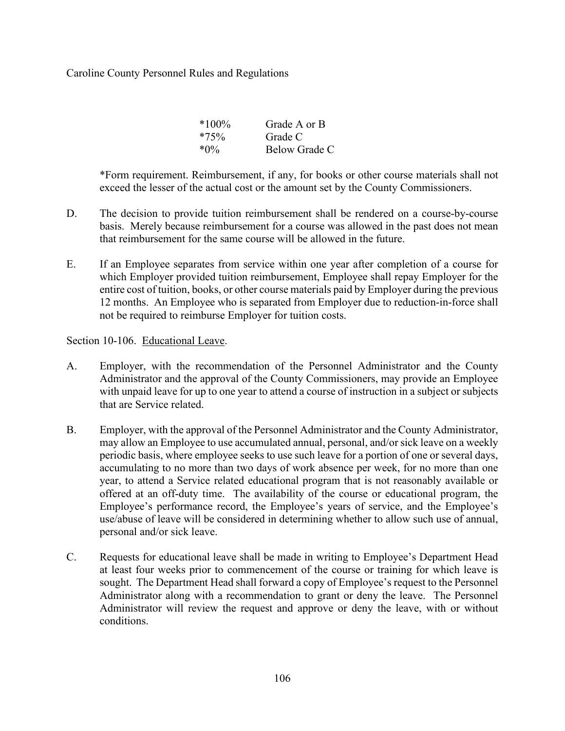| $*100\%$ | Grade A or B  |
|----------|---------------|
| $*75%$   | Grade C       |
| * $0\%$  | Below Grade C |

\*Form requirement. Reimbursement, if any, for books or other course materials shall not exceed the lesser of the actual cost or the amount set by the County Commissioners.

- D. The decision to provide tuition reimbursement shall be rendered on a course-by-course basis. Merely because reimbursement for a course was allowed in the past does not mean that reimbursement for the same course will be allowed in the future.
- E. If an Employee separates from service within one year after completion of a course for which Employer provided tuition reimbursement, Employee shall repay Employer for the entire cost of tuition, books, or other course materials paid by Employer during the previous 12 months. An Employee who is separated from Employer due to reduction-in-force shall not be required to reimburse Employer for tuition costs.

#### Section 10-106. Educational Leave.

- A. Employer, with the recommendation of the Personnel Administrator and the County Administrator and the approval of the County Commissioners, may provide an Employee with unpaid leave for up to one year to attend a course of instruction in a subject or subjects that are Service related.
- B. Employer, with the approval of the Personnel Administrator and the County Administrator, may allow an Employee to use accumulated annual, personal, and/or sick leave on a weekly periodic basis, where employee seeks to use such leave for a portion of one or several days, accumulating to no more than two days of work absence per week, for no more than one year, to attend a Service related educational program that is not reasonably available or offered at an off-duty time. The availability of the course or educational program, the Employee's performance record, the Employee's years of service, and the Employee's use/abuse of leave will be considered in determining whether to allow such use of annual, personal and/or sick leave.
- C. Requests for educational leave shall be made in writing to Employee's Department Head at least four weeks prior to commencement of the course or training for which leave is sought. The Department Head shall forward a copy of Employee's request to the Personnel Administrator along with a recommendation to grant or deny the leave. The Personnel Administrator will review the request and approve or deny the leave, with or without conditions.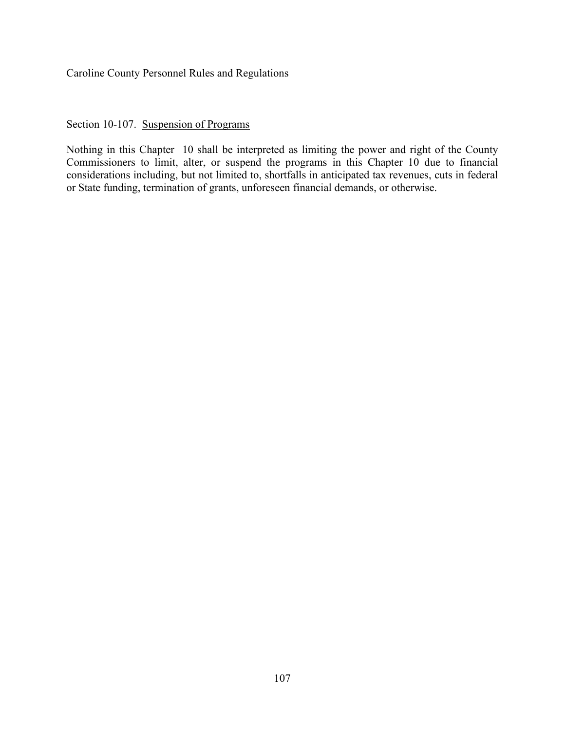Section 10-107. Suspension of Programs

Nothing in this Chapter 10 shall be interpreted as limiting the power and right of the County Commissioners to limit, alter, or suspend the programs in this Chapter 10 due to financial considerations including, but not limited to, shortfalls in anticipated tax revenues, cuts in federal or State funding, termination of grants, unforeseen financial demands, or otherwise.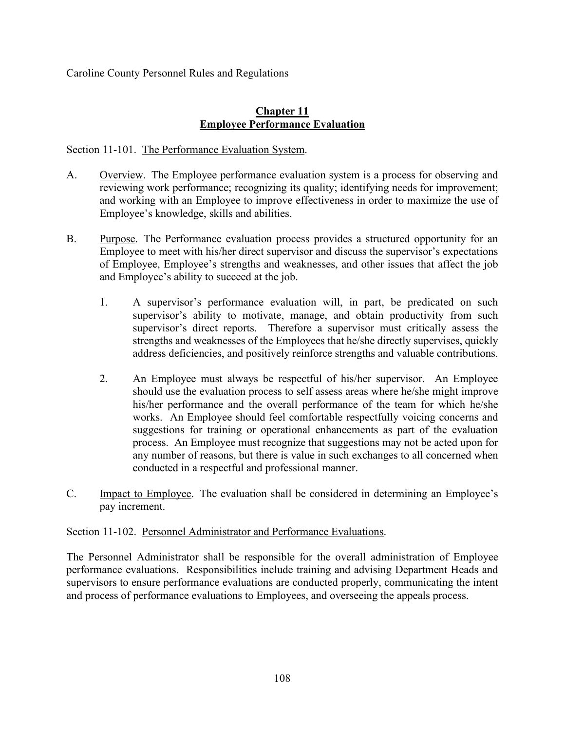## **Chapter 11 Employee Performance Evaluation**

## Section 11-101. The Performance Evaluation System.

- A. Overview. The Employee performance evaluation system is a process for observing and reviewing work performance; recognizing its quality; identifying needs for improvement; and working with an Employee to improve effectiveness in order to maximize the use of Employee's knowledge, skills and abilities.
- B. Purpose. The Performance evaluation process provides a structured opportunity for an Employee to meet with his/her direct supervisor and discuss the supervisor's expectations of Employee, Employee's strengths and weaknesses, and other issues that affect the job and Employee's ability to succeed at the job.
	- 1. A supervisor's performance evaluation will, in part, be predicated on such supervisor's ability to motivate, manage, and obtain productivity from such supervisor's direct reports. Therefore a supervisor must critically assess the strengths and weaknesses of the Employees that he/she directly supervises, quickly address deficiencies, and positively reinforce strengths and valuable contributions.
	- 2. An Employee must always be respectful of his/her supervisor. An Employee should use the evaluation process to self assess areas where he/she might improve his/her performance and the overall performance of the team for which he/she works. An Employee should feel comfortable respectfully voicing concerns and suggestions for training or operational enhancements as part of the evaluation process. An Employee must recognize that suggestions may not be acted upon for any number of reasons, but there is value in such exchanges to all concerned when conducted in a respectful and professional manner.
- C. Impact to Employee. The evaluation shall be considered in determining an Employee's pay increment.

#### Section 11-102. Personnel Administrator and Performance Evaluations.

The Personnel Administrator shall be responsible for the overall administration of Employee performance evaluations. Responsibilities include training and advising Department Heads and supervisors to ensure performance evaluations are conducted properly, communicating the intent and process of performance evaluations to Employees, and overseeing the appeals process.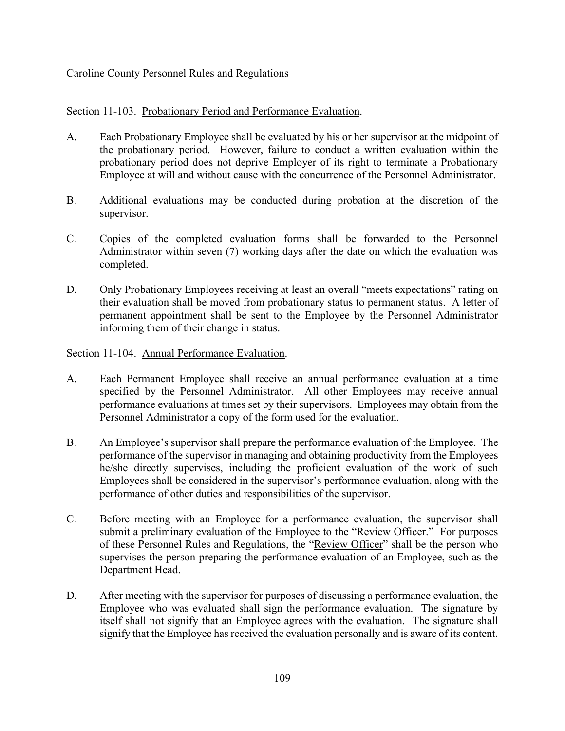## Section 11-103. Probationary Period and Performance Evaluation.

- A. Each Probationary Employee shall be evaluated by his or her supervisor at the midpoint of the probationary period. However, failure to conduct a written evaluation within the probationary period does not deprive Employer of its right to terminate a Probationary Employee at will and without cause with the concurrence of the Personnel Administrator.
- B. Additional evaluations may be conducted during probation at the discretion of the supervisor.
- C. Copies of the completed evaluation forms shall be forwarded to the Personnel Administrator within seven (7) working days after the date on which the evaluation was completed.
- D. Only Probationary Employees receiving at least an overall "meets expectations" rating on their evaluation shall be moved from probationary status to permanent status. A letter of permanent appointment shall be sent to the Employee by the Personnel Administrator informing them of their change in status.

#### Section 11-104. Annual Performance Evaluation.

- A. Each Permanent Employee shall receive an annual performance evaluation at a time specified by the Personnel Administrator. All other Employees may receive annual performance evaluations at times set by their supervisors. Employees may obtain from the Personnel Administrator a copy of the form used for the evaluation.
- B. An Employee's supervisor shall prepare the performance evaluation of the Employee. The performance of the supervisor in managing and obtaining productivity from the Employees he/she directly supervises, including the proficient evaluation of the work of such Employees shall be considered in the supervisor's performance evaluation, along with the performance of other duties and responsibilities of the supervisor.
- C. Before meeting with an Employee for a performance evaluation, the supervisor shall submit a preliminary evaluation of the Employee to the "Review Officer." For purposes of these Personnel Rules and Regulations, the "Review Officer" shall be the person who supervises the person preparing the performance evaluation of an Employee, such as the Department Head.
- D. After meeting with the supervisor for purposes of discussing a performance evaluation, the Employee who was evaluated shall sign the performance evaluation. The signature by itself shall not signify that an Employee agrees with the evaluation. The signature shall signify that the Employee has received the evaluation personally and is aware of its content.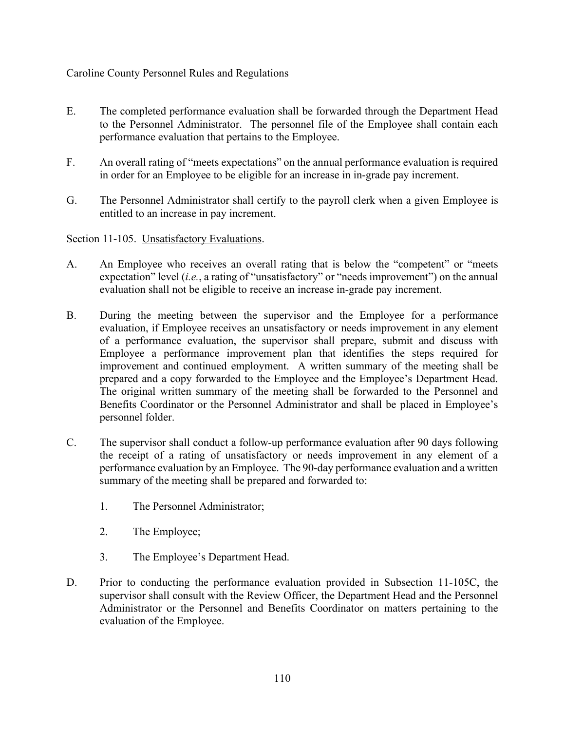- E. The completed performance evaluation shall be forwarded through the Department Head to the Personnel Administrator. The personnel file of the Employee shall contain each performance evaluation that pertains to the Employee.
- F. An overall rating of "meets expectations" on the annual performance evaluation is required in order for an Employee to be eligible for an increase in in-grade pay increment.
- G. The Personnel Administrator shall certify to the payroll clerk when a given Employee is entitled to an increase in pay increment.

Section 11-105. Unsatisfactory Evaluations.

- A. An Employee who receives an overall rating that is below the "competent" or "meets expectation" level (*i.e.*, a rating of "unsatisfactory" or "needs improvement") on the annual evaluation shall not be eligible to receive an increase in-grade pay increment.
- B. During the meeting between the supervisor and the Employee for a performance evaluation, if Employee receives an unsatisfactory or needs improvement in any element of a performance evaluation, the supervisor shall prepare, submit and discuss with Employee a performance improvement plan that identifies the steps required for improvement and continued employment. A written summary of the meeting shall be prepared and a copy forwarded to the Employee and the Employee's Department Head. The original written summary of the meeting shall be forwarded to the Personnel and Benefits Coordinator or the Personnel Administrator and shall be placed in Employee's personnel folder.
- C. The supervisor shall conduct a follow-up performance evaluation after 90 days following the receipt of a rating of unsatisfactory or needs improvement in any element of a performance evaluation by an Employee. The 90-day performance evaluation and a written summary of the meeting shall be prepared and forwarded to:
	- 1. The Personnel Administrator;
	- 2. The Employee;
	- 3. The Employee's Department Head.
- D. Prior to conducting the performance evaluation provided in Subsection 11-105C, the supervisor shall consult with the Review Officer, the Department Head and the Personnel Administrator or the Personnel and Benefits Coordinator on matters pertaining to the evaluation of the Employee.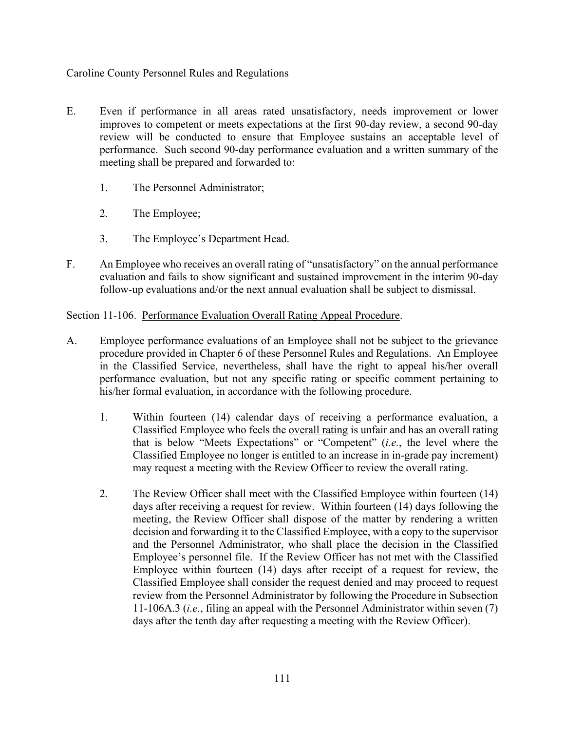- E. Even if performance in all areas rated unsatisfactory, needs improvement or lower improves to competent or meets expectations at the first 90-day review, a second 90-day review will be conducted to ensure that Employee sustains an acceptable level of performance. Such second 90-day performance evaluation and a written summary of the meeting shall be prepared and forwarded to:
	- 1. The Personnel Administrator;
	- 2. The Employee;
	- 3. The Employee's Department Head.
- F. An Employee who receives an overall rating of "unsatisfactory" on the annual performance evaluation and fails to show significant and sustained improvement in the interim 90-day follow-up evaluations and/or the next annual evaluation shall be subject to dismissal.

## Section 11-106. Performance Evaluation Overall Rating Appeal Procedure.

- A. Employee performance evaluations of an Employee shall not be subject to the grievance procedure provided in Chapter 6 of these Personnel Rules and Regulations. An Employee in the Classified Service, nevertheless, shall have the right to appeal his/her overall performance evaluation, but not any specific rating or specific comment pertaining to his/her formal evaluation, in accordance with the following procedure.
	- 1. Within fourteen (14) calendar days of receiving a performance evaluation, a Classified Employee who feels the overall rating is unfair and has an overall rating that is below "Meets Expectations" or "Competent" (*i.e.*, the level where the Classified Employee no longer is entitled to an increase in in-grade pay increment) may request a meeting with the Review Officer to review the overall rating.
	- 2. The Review Officer shall meet with the Classified Employee within fourteen (14) days after receiving a request for review. Within fourteen (14) days following the meeting, the Review Officer shall dispose of the matter by rendering a written decision and forwarding it to the Classified Employee, with a copy to the supervisor and the Personnel Administrator, who shall place the decision in the Classified Employee's personnel file. If the Review Officer has not met with the Classified Employee within fourteen (14) days after receipt of a request for review, the Classified Employee shall consider the request denied and may proceed to request review from the Personnel Administrator by following the Procedure in Subsection 11-106A.3 (*i.e.*, filing an appeal with the Personnel Administrator within seven (7) days after the tenth day after requesting a meeting with the Review Officer).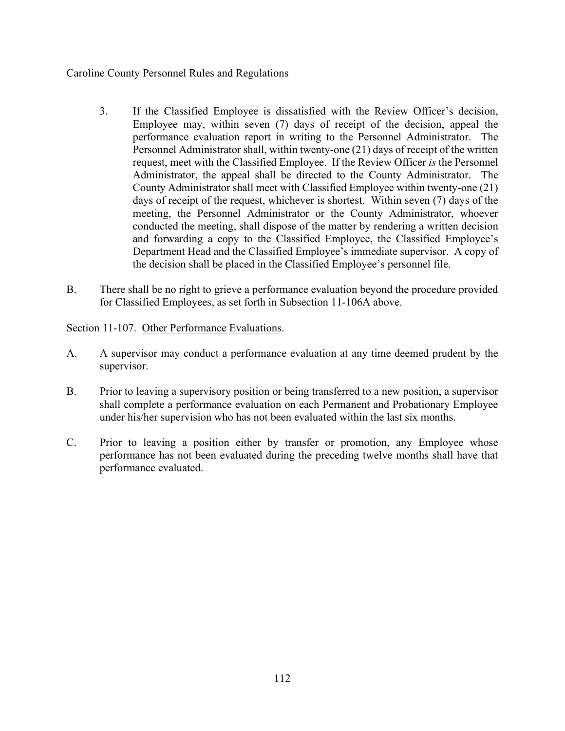- 3. If the Classified Employee is dissatisfied with the Review Officer's decision, Employee may, within seven (7) days of receipt of the decision, appeal the performance evaluation report in writing to the Personnel Administrator. The Personnel Administrator shall, within twenty-one (21) days of receipt of the written request, meet with the Classified Employee. If the Review Officer *is* the Personnel Administrator, the appeal shall be directed to the County Administrator. The County Administrator shall meet with Classified Employee within twenty-one (21) days of receipt of the request, whichever is shortest. Within seven (7) days of the meeting, the Personnel Administrator or the County Administrator, whoever conducted the meeting, shall dispose of the matter by rendering a written decision and forwarding a copy to the Classified Employee, the Classified Employee's Department Head and the Classified Employee's immediate supervisor. A copy of the decision shall be placed in the Classified Employee's personnel file.
- B. There shall be no right to grieve a performance evaluation beyond the procedure provided for Classified Employees, as set forth in Subsection 11-106A above.

Section 11-107. Other Performance Evaluations.

- A. A supervisor may conduct a performance evaluation at any time deemed prudent by the supervisor.
- B. Prior to leaving a supervisory position or being transferred to a new position, a supervisor shall complete a performance evaluation on each Permanent and Probationary Employee under his/her supervision who has not been evaluated within the last six months.
- C. Prior to leaving a position either by transfer or promotion, any Employee whose performance has not been evaluated during the preceding twelve months shall have that performance evaluated.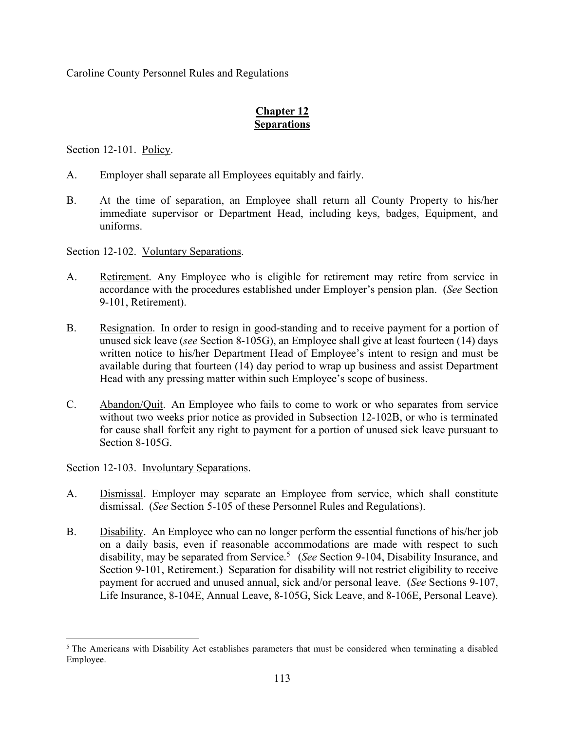# **Chapter 12 Separations**

Section 12-101. Policy.

- A. Employer shall separate all Employees equitably and fairly.
- B. At the time of separation, an Employee shall return all County Property to his/her immediate supervisor or Department Head, including keys, badges, Equipment, and uniforms.

## Section 12-102. Voluntary Separations.

- A. Retirement. Any Employee who is eligible for retirement may retire from service in accordance with the procedures established under Employer's pension plan. (*See* Section 9-101, Retirement).
- B. Resignation. In order to resign in good-standing and to receive payment for a portion of unused sick leave (*see* Section 8-105G), an Employee shall give at least fourteen (14) days written notice to his/her Department Head of Employee's intent to resign and must be available during that fourteen (14) day period to wrap up business and assist Department Head with any pressing matter within such Employee's scope of business.
- C. Abandon/Quit. An Employee who fails to come to work or who separates from service without two weeks prior notice as provided in Subsection 12-102B, or who is terminated for cause shall forfeit any right to payment for a portion of unused sick leave pursuant to Section 8-105G.

Section 12-103. Involuntary Separations.

- A. Dismissal. Employer may separate an Employee from service, which shall constitute dismissal. (*See* Section 5-105 of these Personnel Rules and Regulations).
- B. Disability. An Employee who can no longer perform the essential functions of his/her job on a daily basis, even if reasonable accommodations are made with respect to such disability, may be separated from Service.<sup>5</sup> (*See* Section 9-104, Disability Insurance, and Section 9-101, Retirement.) Separation for disability will not restrict eligibility to receive payment for accrued and unused annual, sick and/or personal leave. (*See* Sections 9-107, Life Insurance, 8-104E, Annual Leave, 8-105G, Sick Leave, and 8-106E, Personal Leave).

<sup>&</sup>lt;sup>5</sup> The Americans with Disability Act establishes parameters that must be considered when terminating a disabled Employee.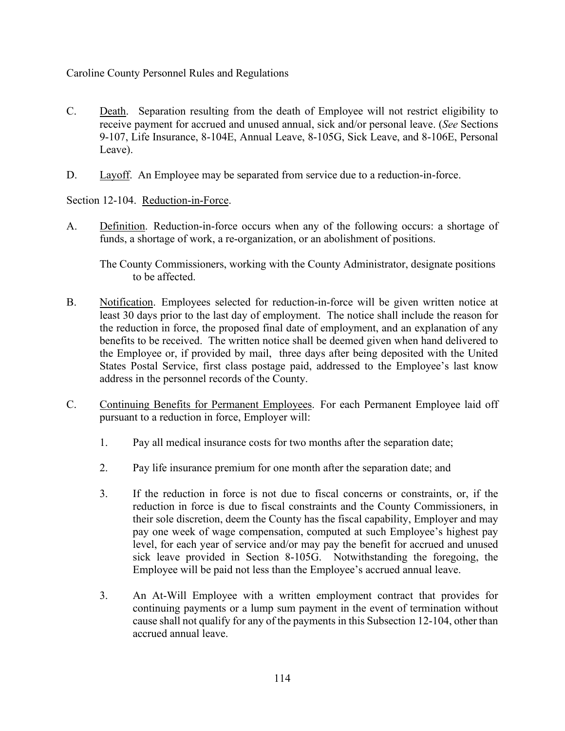- C. Death. Separation resulting from the death of Employee will not restrict eligibility to receive payment for accrued and unused annual, sick and/or personal leave. (*See* Sections 9-107, Life Insurance, 8-104E, Annual Leave, 8-105G, Sick Leave, and 8-106E, Personal Leave).
- D. Layoff. An Employee may be separated from service due to a reduction-in-force.

Section 12-104. Reduction-in-Force.

A. Definition. Reduction-in-force occurs when any of the following occurs: a shortage of funds, a shortage of work, a re-organization, or an abolishment of positions.

The County Commissioners, working with the County Administrator, designate positions to be affected.

- B. Notification. Employees selected for reduction-in-force will be given written notice at least 30 days prior to the last day of employment. The notice shall include the reason for the reduction in force, the proposed final date of employment, and an explanation of any benefits to be received. The written notice shall be deemed given when hand delivered to the Employee or, if provided by mail, three days after being deposited with the United States Postal Service, first class postage paid, addressed to the Employee's last know address in the personnel records of the County.
- C. Continuing Benefits for Permanent Employees. For each Permanent Employee laid off pursuant to a reduction in force, Employer will:
	- 1. Pay all medical insurance costs for two months after the separation date;
	- 2. Pay life insurance premium for one month after the separation date; and
	- 3. If the reduction in force is not due to fiscal concerns or constraints, or, if the reduction in force is due to fiscal constraints and the County Commissioners, in their sole discretion, deem the County has the fiscal capability, Employer and may pay one week of wage compensation, computed at such Employee's highest pay level, for each year of service and/or may pay the benefit for accrued and unused sick leave provided in Section 8-105G. Notwithstanding the foregoing, the Employee will be paid not less than the Employee's accrued annual leave.
	- 3. An At-Will Employee with a written employment contract that provides for continuing payments or a lump sum payment in the event of termination without cause shall not qualify for any of the payments in this Subsection 12-104, other than accrued annual leave.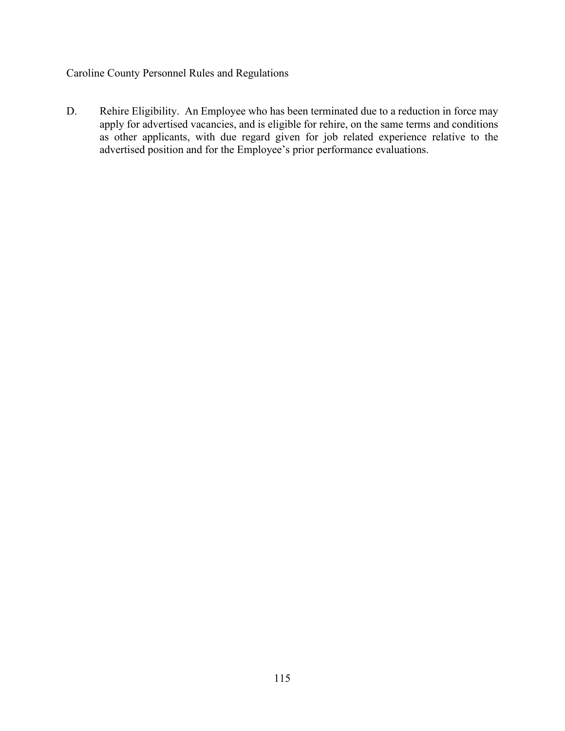D. Rehire Eligibility. An Employee who has been terminated due to a reduction in force may apply for advertised vacancies, and is eligible for rehire, on the same terms and conditions as other applicants, with due regard given for job related experience relative to the advertised position and for the Employee's prior performance evaluations.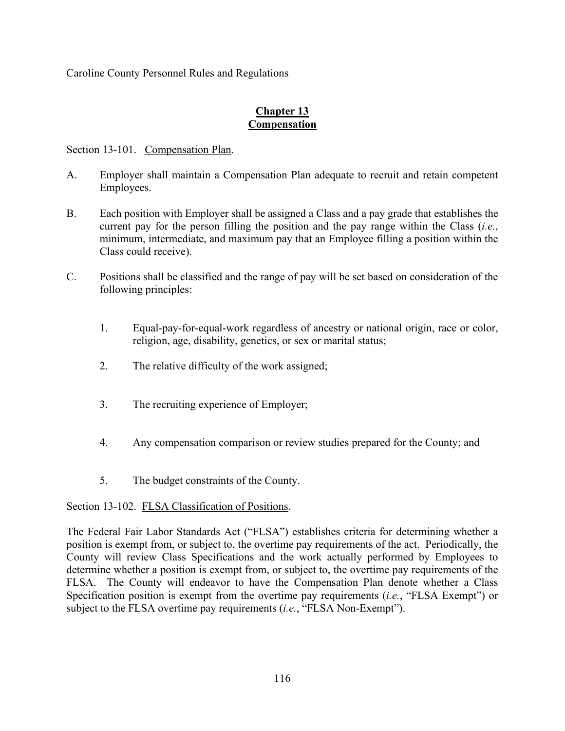### **Chapter 13 Compensation**

Section 13-101. Compensation Plan.

- A. Employer shall maintain a Compensation Plan adequate to recruit and retain competent Employees.
- B. Each position with Employer shall be assigned a Class and a pay grade that establishes the current pay for the person filling the position and the pay range within the Class (*i.e.*, minimum, intermediate, and maximum pay that an Employee filling a position within the Class could receive).
- C. Positions shall be classified and the range of pay will be set based on consideration of the following principles:
	- 1. Equal-pay-for-equal-work regardless of ancestry or national origin, race or color, religion, age, disability, genetics, or sex or marital status;
	- 2. The relative difficulty of the work assigned;
	- 3. The recruiting experience of Employer;
	- 4. Any compensation comparison or review studies prepared for the County; and
	- 5. The budget constraints of the County.

# Section 13-102. FLSA Classification of Positions.

The Federal Fair Labor Standards Act ("FLSA") establishes criteria for determining whether a position is exempt from, or subject to, the overtime pay requirements of the act. Periodically, the County will review Class Specifications and the work actually performed by Employees to determine whether a position is exempt from, or subject to, the overtime pay requirements of the FLSA. The County will endeavor to have the Compensation Plan denote whether a Class Specification position is exempt from the overtime pay requirements (*i.e.*, "FLSA Exempt") or subject to the FLSA overtime pay requirements (*i.e.*, "FLSA Non-Exempt").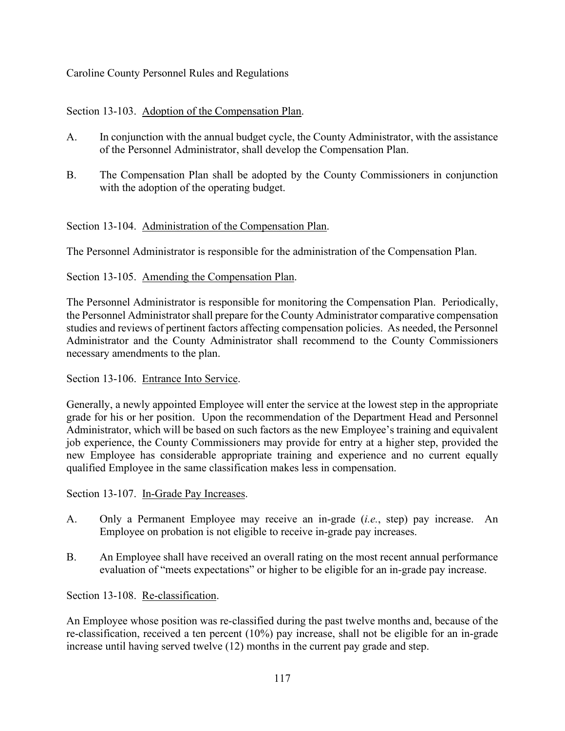# Section 13-103. Adoption of the Compensation Plan.

- A. In conjunction with the annual budget cycle, the County Administrator, with the assistance of the Personnel Administrator, shall develop the Compensation Plan.
- B. The Compensation Plan shall be adopted by the County Commissioners in conjunction with the adoption of the operating budget.

# Section 13-104. Administration of the Compensation Plan.

The Personnel Administrator is responsible for the administration of the Compensation Plan.

# Section 13-105. Amending the Compensation Plan.

The Personnel Administrator is responsible for monitoring the Compensation Plan. Periodically, the Personnel Administrator shall prepare for the County Administrator comparative compensation studies and reviews of pertinent factors affecting compensation policies. As needed, the Personnel Administrator and the County Administrator shall recommend to the County Commissioners necessary amendments to the plan.

Section 13-106. Entrance Into Service.

Generally, a newly appointed Employee will enter the service at the lowest step in the appropriate grade for his or her position. Upon the recommendation of the Department Head and Personnel Administrator, which will be based on such factors as the new Employee's training and equivalent job experience, the County Commissioners may provide for entry at a higher step, provided the new Employee has considerable appropriate training and experience and no current equally qualified Employee in the same classification makes less in compensation.

Section 13-107. In-Grade Pay Increases.

- A. Only a Permanent Employee may receive an in-grade (*i.e.*, step) pay increase. An Employee on probation is not eligible to receive in-grade pay increases.
- B. An Employee shall have received an overall rating on the most recent annual performance evaluation of "meets expectations" or higher to be eligible for an in-grade pay increase.

Section 13-108. Re-classification.

An Employee whose position was re-classified during the past twelve months and, because of the re-classification, received a ten percent (10%) pay increase, shall not be eligible for an in-grade increase until having served twelve (12) months in the current pay grade and step.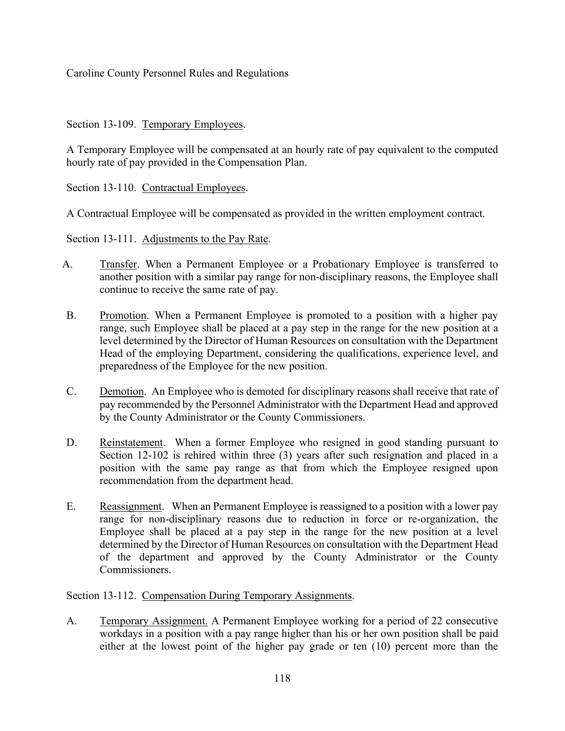# Section 13-109. Temporary Employees.

A Temporary Employee will be compensated at an hourly rate of pay equivalent to the computed hourly rate of pay provided in the Compensation Plan.

Section 13-110. Contractual Employees.

A Contractual Employee will be compensated as provided in the written employment contract.

Section 13-111. Adjustments to the Pay Rate.

- A. Transfer. When a Permanent Employee or a Probationary Employee is transferred to another position with a similar pay range for non-disciplinary reasons, the Employee shall continue to receive the same rate of pay.
- B. Promotion. When a Permanent Employee is promoted to a position with a higher pay range, such Employee shall be placed at a pay step in the range for the new position at a level determined by the Director of Human Resources on consultation with the Department Head of the employing Department, considering the qualifications, experience level, and preparedness of the Employee for the new position.
- C. Demotion. An Employee who is demoted for disciplinary reasons shall receive that rate of pay recommended by the Personnel Administrator with the Department Head and approved by the County Administrator or the County Commissioners.
- D. Reinstatement. When a former Employee who resigned in good standing pursuant to Section 12-102 is rehired within three (3) years after such resignation and placed in a position with the same pay range as that from which the Employee resigned upon recommendation from the department head.
- E. Reassignment. When an Permanent Employee is reassigned to a position with a lower pay range for non-disciplinary reasons due to reduction in force or re-organization, the Employee shall be placed at a pay step in the range for the new position at a level determined by the Director of Human Resources on consultation with the Department Head of the department and approved by the County Administrator or the County Commissioners.

Section 13-112. Compensation During Temporary Assignments.

A. Temporary Assignment. A Permanent Employee working for a period of 22 consecutive workdays in a position with a pay range higher than his or her own position shall be paid either at the lowest point of the higher pay grade or ten (10) percent more than the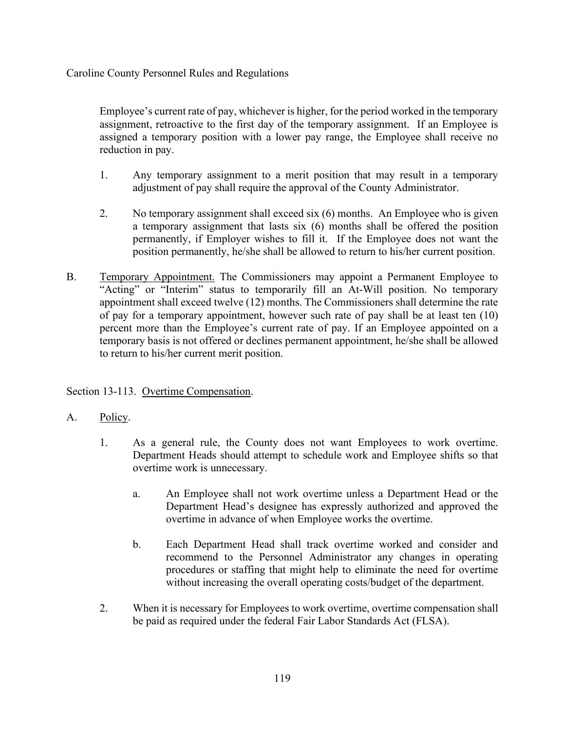Employee's current rate of pay, whichever is higher, for the period worked in the temporary assignment, retroactive to the first day of the temporary assignment. If an Employee is assigned a temporary position with a lower pay range, the Employee shall receive no reduction in pay.

- 1. Any temporary assignment to a merit position that may result in a temporary adjustment of pay shall require the approval of the County Administrator.
- 2. No temporary assignment shall exceed six (6) months. An Employee who is given a temporary assignment that lasts six (6) months shall be offered the position permanently, if Employer wishes to fill it. If the Employee does not want the position permanently, he/she shall be allowed to return to his/her current position.
- B. Temporary Appointment. The Commissioners may appoint a Permanent Employee to "Acting" or "Interim" status to temporarily fill an At-Will position. No temporary appointment shall exceed twelve (12) months. The Commissioners shall determine the rate of pay for a temporary appointment, however such rate of pay shall be at least ten (10) percent more than the Employee's current rate of pay. If an Employee appointed on a temporary basis is not offered or declines permanent appointment, he/she shall be allowed to return to his/her current merit position.

Section 13-113. Overtime Compensation.

- A. Policy.
	- 1. As a general rule, the County does not want Employees to work overtime. Department Heads should attempt to schedule work and Employee shifts so that overtime work is unnecessary.
		- a. An Employee shall not work overtime unless a Department Head or the Department Head's designee has expressly authorized and approved the overtime in advance of when Employee works the overtime.
		- b. Each Department Head shall track overtime worked and consider and recommend to the Personnel Administrator any changes in operating procedures or staffing that might help to eliminate the need for overtime without increasing the overall operating costs/budget of the department.
	- 2. When it is necessary for Employees to work overtime, overtime compensation shall be paid as required under the federal Fair Labor Standards Act (FLSA).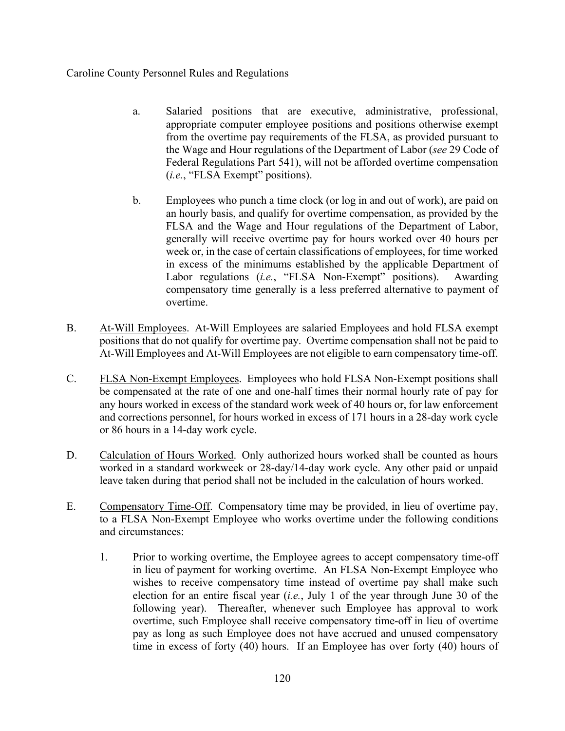- a. Salaried positions that are executive, administrative, professional, appropriate computer employee positions and positions otherwise exempt from the overtime pay requirements of the FLSA, as provided pursuant to the Wage and Hour regulations of the Department of Labor (*see* 29 Code of Federal Regulations Part 541), will not be afforded overtime compensation (*i.e.*, "FLSA Exempt" positions).
- b. Employees who punch a time clock (or log in and out of work), are paid on an hourly basis, and qualify for overtime compensation, as provided by the FLSA and the Wage and Hour regulations of the Department of Labor, generally will receive overtime pay for hours worked over 40 hours per week or, in the case of certain classifications of employees, for time worked in excess of the minimums established by the applicable Department of Labor regulations (*i.e.*, "FLSA Non-Exempt" positions). Awarding compensatory time generally is a less preferred alternative to payment of overtime.
- B. At-Will Employees. At-Will Employees are salaried Employees and hold FLSA exempt positions that do not qualify for overtime pay. Overtime compensation shall not be paid to At-Will Employees and At-Will Employees are not eligible to earn compensatory time-off.
- C. FLSA Non-Exempt Employees. Employees who hold FLSA Non-Exempt positions shall be compensated at the rate of one and one-half times their normal hourly rate of pay for any hours worked in excess of the standard work week of 40 hours or, for law enforcement and corrections personnel, for hours worked in excess of 171 hours in a 28-day work cycle or 86 hours in a 14-day work cycle.
- D. Calculation of Hours Worked. Only authorized hours worked shall be counted as hours worked in a standard workweek or 28-day/14-day work cycle. Any other paid or unpaid leave taken during that period shall not be included in the calculation of hours worked.
- E. Compensatory Time-Off. Compensatory time may be provided, in lieu of overtime pay, to a FLSA Non-Exempt Employee who works overtime under the following conditions and circumstances:
	- 1. Prior to working overtime, the Employee agrees to accept compensatory time-off in lieu of payment for working overtime. An FLSA Non-Exempt Employee who wishes to receive compensatory time instead of overtime pay shall make such election for an entire fiscal year (*i.e.*, July 1 of the year through June 30 of the following year). Thereafter, whenever such Employee has approval to work overtime, such Employee shall receive compensatory time-off in lieu of overtime pay as long as such Employee does not have accrued and unused compensatory time in excess of forty (40) hours. If an Employee has over forty (40) hours of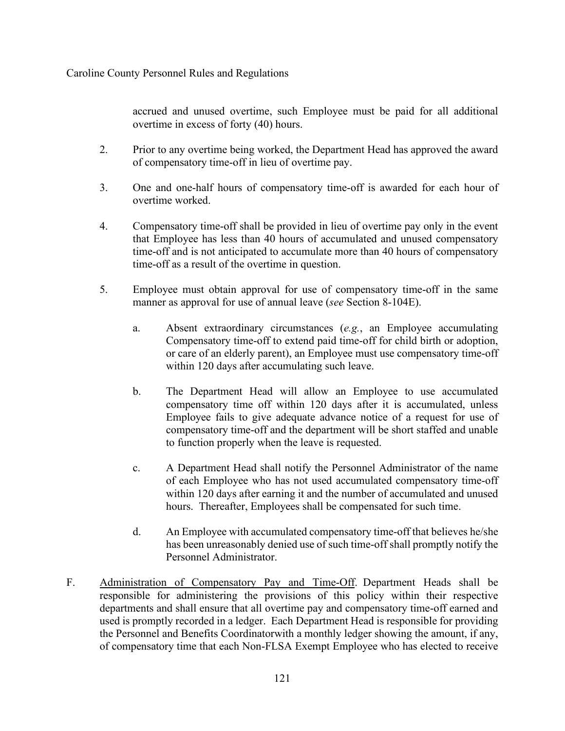accrued and unused overtime, such Employee must be paid for all additional overtime in excess of forty (40) hours.

- 2. Prior to any overtime being worked, the Department Head has approved the award of compensatory time-off in lieu of overtime pay.
- 3. One and one-half hours of compensatory time-off is awarded for each hour of overtime worked.
- 4. Compensatory time-off shall be provided in lieu of overtime pay only in the event that Employee has less than 40 hours of accumulated and unused compensatory time-off and is not anticipated to accumulate more than 40 hours of compensatory time-off as a result of the overtime in question.
- 5. Employee must obtain approval for use of compensatory time-off in the same manner as approval for use of annual leave (*see* Section 8-104E).
	- a. Absent extraordinary circumstances (*e.g.*, an Employee accumulating Compensatory time-off to extend paid time-off for child birth or adoption, or care of an elderly parent), an Employee must use compensatory time-off within 120 days after accumulating such leave.
	- b. The Department Head will allow an Employee to use accumulated compensatory time off within 120 days after it is accumulated, unless Employee fails to give adequate advance notice of a request for use of compensatory time-off and the department will be short staffed and unable to function properly when the leave is requested.
	- c. A Department Head shall notify the Personnel Administrator of the name of each Employee who has not used accumulated compensatory time-off within 120 days after earning it and the number of accumulated and unused hours. Thereafter, Employees shall be compensated for such time.
	- d. An Employee with accumulated compensatory time-off that believes he/she has been unreasonably denied use of such time-off shall promptly notify the Personnel Administrator.
- F. Administration of Compensatory Pay and Time-Off. Department Heads shall be responsible for administering the provisions of this policy within their respective departments and shall ensure that all overtime pay and compensatory time-off earned and used is promptly recorded in a ledger. Each Department Head is responsible for providing the Personnel and Benefits Coordinatorwith a monthly ledger showing the amount, if any, of compensatory time that each Non-FLSA Exempt Employee who has elected to receive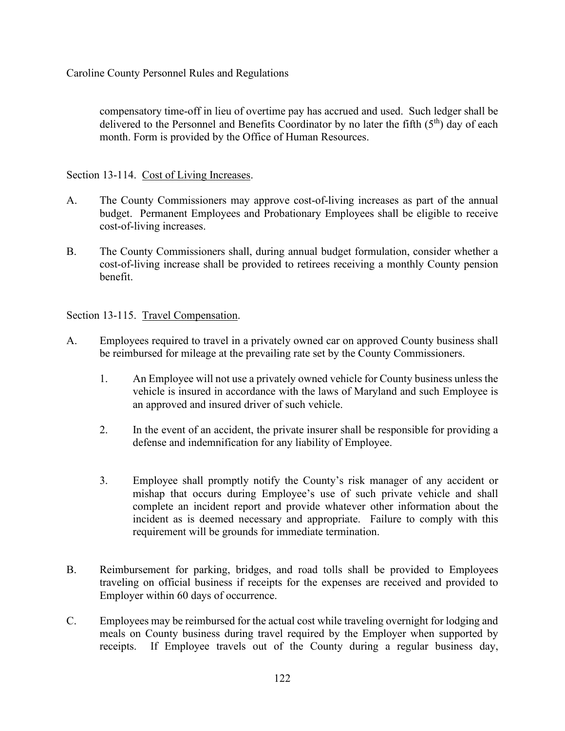compensatory time-off in lieu of overtime pay has accrued and used. Such ledger shall be delivered to the Personnel and Benefits Coordinator by no later the fifth  $(5<sup>th</sup>)$  day of each month. Form is provided by the Office of Human Resources.

## Section 13-114. Cost of Living Increases.

- A. The County Commissioners may approve cost-of-living increases as part of the annual budget. Permanent Employees and Probationary Employees shall be eligible to receive cost-of-living increases.
- B. The County Commissioners shall, during annual budget formulation, consider whether a cost-of-living increase shall be provided to retirees receiving a monthly County pension benefit.

Section 13-115. Travel Compensation.

- A. Employees required to travel in a privately owned car on approved County business shall be reimbursed for mileage at the prevailing rate set by the County Commissioners.
	- 1. An Employee will not use a privately owned vehicle for County business unless the vehicle is insured in accordance with the laws of Maryland and such Employee is an approved and insured driver of such vehicle.
	- 2. In the event of an accident, the private insurer shall be responsible for providing a defense and indemnification for any liability of Employee.
	- 3. Employee shall promptly notify the County's risk manager of any accident or mishap that occurs during Employee's use of such private vehicle and shall complete an incident report and provide whatever other information about the incident as is deemed necessary and appropriate. Failure to comply with this requirement will be grounds for immediate termination.
- B. Reimbursement for parking, bridges, and road tolls shall be provided to Employees traveling on official business if receipts for the expenses are received and provided to Employer within 60 days of occurrence.
- C. Employees may be reimbursed for the actual cost while traveling overnight for lodging and meals on County business during travel required by the Employer when supported by receipts. If Employee travels out of the County during a regular business day,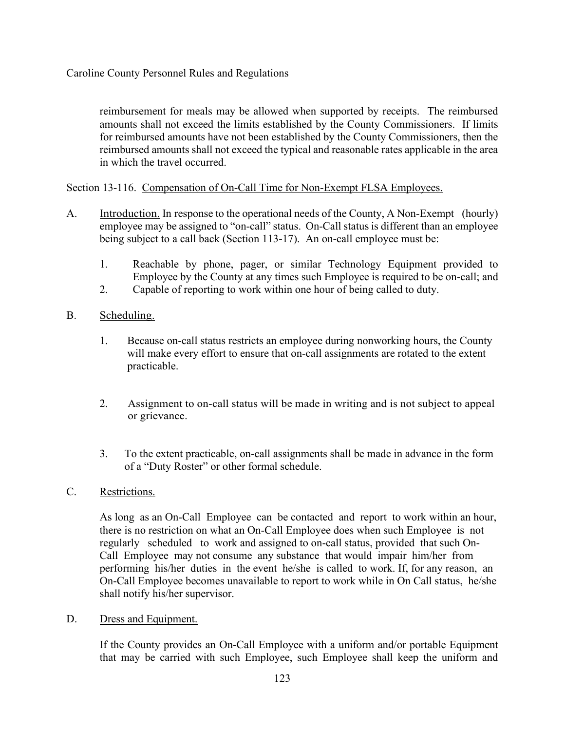reimbursement for meals may be allowed when supported by receipts. The reimbursed amounts shall not exceed the limits established by the County Commissioners. If limits for reimbursed amounts have not been established by the County Commissioners, then the reimbursed amounts shall not exceed the typical and reasonable rates applicable in the area in which the travel occurred.

## Section 13-116. Compensation of On-Call Time for Non-Exempt FLSA Employees.

- A. Introduction. In response to the operational needs of the County, A Non-Exempt (hourly) employee may be assigned to "on-call" status. On-Call status is different than an employee being subject to a call back (Section 113-17). An on-call employee must be:
	- 1. Reachable by phone, pager, or similar Technology Equipment provided to Employee by the County at any times such Employee is required to be on-call; and
	- 2. Capable of reporting to work within one hour of being called to duty.
- B. Scheduling.
	- 1. Because on-call status restricts an employee during nonworking hours, the County will make every effort to ensure that on-call assignments are rotated to the extent practicable.
	- 2. Assignment to on-call status will be made in writing and is not subject to appeal or grievance.
	- 3. To the extent practicable, on-call assignments shall be made in advance in the form of a "Duty Roster" or other formal schedule.

#### C. Restrictions.

As long as an On-Call Employee can be contacted and report to work within an hour, there is no restriction on what an On-Call Employee does when such Employee is not regularly scheduled to work and assigned to on-call status, provided that such On-Call Employee may not consume any substance that would impair him/her from performing his/her duties in the event he/she is called to work. If, for any reason, an On-Call Employee becomes unavailable to report to work while in On Call status, he/she shall notify his/her supervisor.

D. Dress and Equipment.

If the County provides an On-Call Employee with a uniform and/or portable Equipment that may be carried with such Employee, such Employee shall keep the uniform and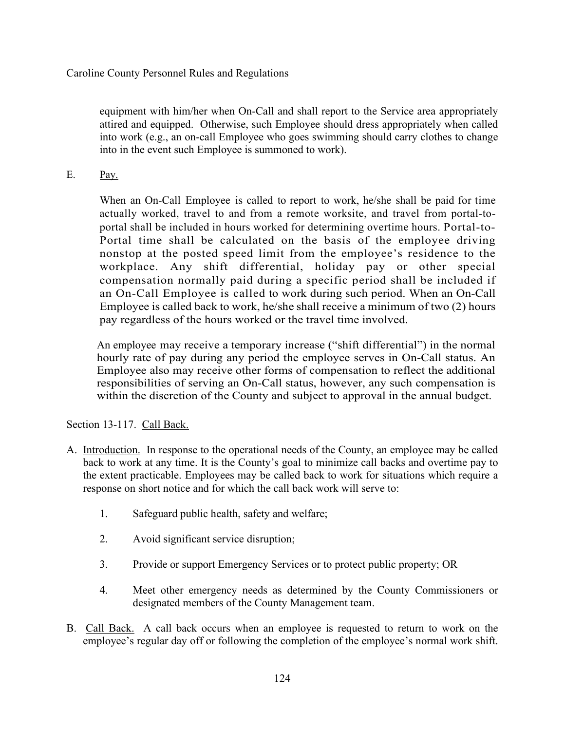equipment with him/her when On-Call and shall report to the Service area appropriately attired and equipped. Otherwise, such Employee should dress appropriately when called into work (e.g., an on-call Employee who goes swimming should carry clothes to change into in the event such Employee is summoned to work).

E. Pay.

When an On-Call Employee is called to report to work, he/she shall be paid for time actually worked, travel to and from a remote worksite, and travel from portal-toportal shall be included in hours worked for determining overtime hours. Portal-to-Portal time shall be calculated on the basis of the employee driving nonstop at the posted speed limit from the employee's residence to the workplace. Any shift differential, holiday pay or other special compensation normally paid during a specific period shall be included if an On-Call Employee is called to work during such period. When an On-Call Employee is called back to work, he/she shall receive a minimum of two (2) hours pay regardless of the hours worked or the travel time involved.

An employee may receive a temporary increase ("shift differential") in the normal hourly rate of pay during any period the employee serves in On-Call status. An Employee also may receive other forms of compensation to reflect the additional responsibilities of serving an On-Call status, however, any such compensation is within the discretion of the County and subject to approval in the annual budget.

Section 13-117. Call Back.

- A. Introduction. In response to the operational needs of the County, an employee may be called back to work at any time. It is the County's goal to minimize call backs and overtime pay to the extent practicable. Employees may be called back to work for situations which require a response on short notice and for which the call back work will serve to:
	- 1. Safeguard public health, safety and welfare;
	- 2. Avoid significant service disruption;
	- 3. Provide or support Emergency Services or to protect public property; OR
	- 4. Meet other emergency needs as determined by the County Commissioners or designated members of the County Management team.
- B. Call Back. A call back occurs when an employee is requested to return to work on the employee's regular day off or following the completion of the employee's normal work shift.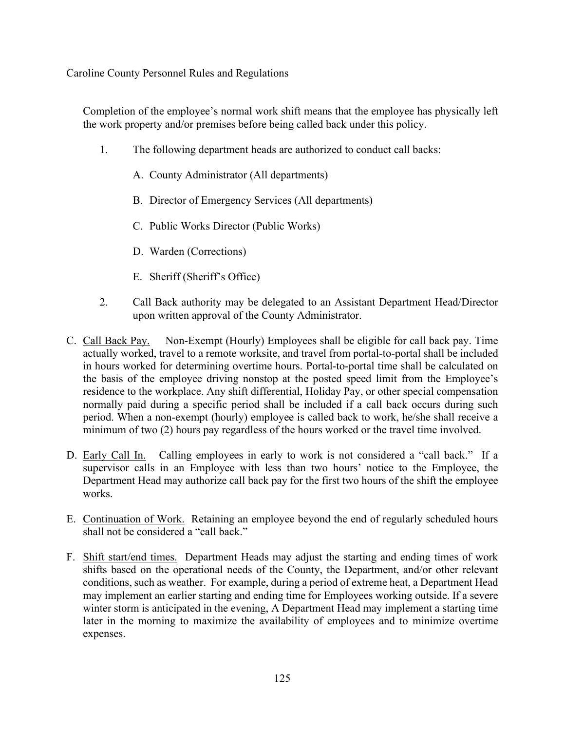Completion of the employee's normal work shift means that the employee has physically left the work property and/or premises before being called back under this policy.

- 1. The following department heads are authorized to conduct call backs:
	- A. County Administrator (All departments)
	- B. Director of Emergency Services (All departments)
	- C. Public Works Director (Public Works)
	- D. Warden (Corrections)
	- E. Sheriff (Sheriff's Office)
- 2. Call Back authority may be delegated to an Assistant Department Head/Director upon written approval of the County Administrator.
- C. Call Back Pay. Non-Exempt (Hourly) Employees shall be eligible for call back pay. Time actually worked, travel to a remote worksite, and travel from portal-to-portal shall be included in hours worked for determining overtime hours. Portal-to-portal time shall be calculated on the basis of the employee driving nonstop at the posted speed limit from the Employee's residence to the workplace. Any shift differential, Holiday Pay, or other special compensation normally paid during a specific period shall be included if a call back occurs during such period. When a non-exempt (hourly) employee is called back to work, he/she shall receive a minimum of two (2) hours pay regardless of the hours worked or the travel time involved.
- D. Early Call In. Calling employees in early to work is not considered a "call back." If a supervisor calls in an Employee with less than two hours' notice to the Employee, the Department Head may authorize call back pay for the first two hours of the shift the employee works.
- E. Continuation of Work. Retaining an employee beyond the end of regularly scheduled hours shall not be considered a "call back."
- F. Shift start/end times. Department Heads may adjust the starting and ending times of work shifts based on the operational needs of the County, the Department, and/or other relevant conditions, such as weather. For example, during a period of extreme heat, a Department Head may implement an earlier starting and ending time for Employees working outside. If a severe winter storm is anticipated in the evening, A Department Head may implement a starting time later in the morning to maximize the availability of employees and to minimize overtime expenses.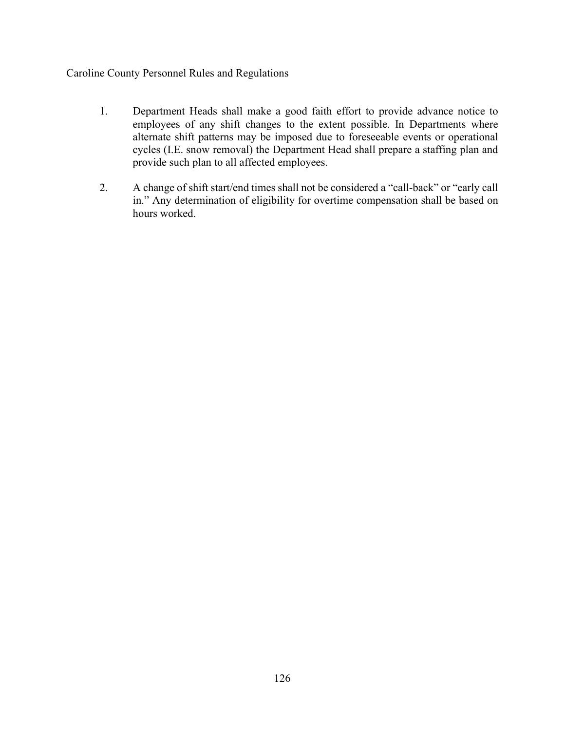- 1. Department Heads shall make a good faith effort to provide advance notice to employees of any shift changes to the extent possible. In Departments where alternate shift patterns may be imposed due to foreseeable events or operational cycles (I.E. snow removal) the Department Head shall prepare a staffing plan and provide such plan to all affected employees.
- 2. A change of shift start/end times shall not be considered a "call-back" or "early call in." Any determination of eligibility for overtime compensation shall be based on hours worked.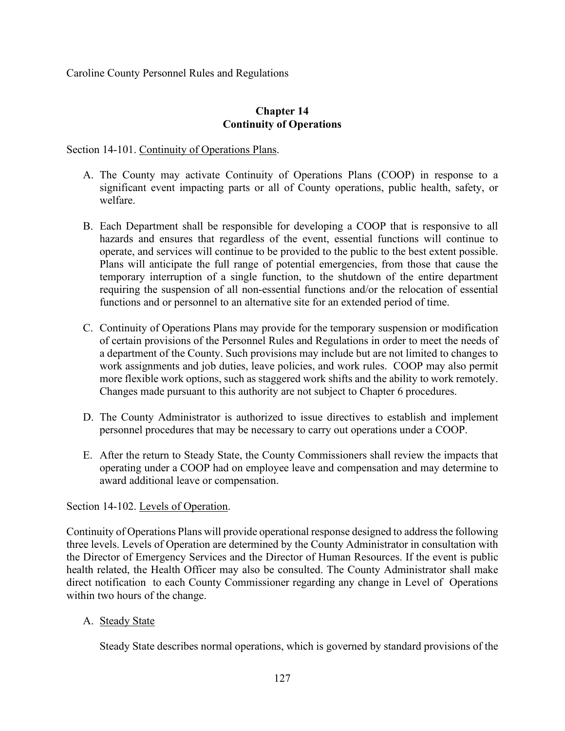## **Chapter 14 Continuity of Operations**

### Section 14-101. Continuity of Operations Plans.

- A. The County may activate Continuity of Operations Plans (COOP) in response to a significant event impacting parts or all of County operations, public health, safety, or welfare.
- B. Each Department shall be responsible for developing a COOP that is responsive to all hazards and ensures that regardless of the event, essential functions will continue to operate, and services will continue to be provided to the public to the best extent possible. Plans will anticipate the full range of potential emergencies, from those that cause the temporary interruption of a single function, to the shutdown of the entire department requiring the suspension of all non-essential functions and/or the relocation of essential functions and or personnel to an alternative site for an extended period of time.
- C. Continuity of Operations Plans may provide for the temporary suspension or modification of certain provisions of the Personnel Rules and Regulations in order to meet the needs of a department of the County. Such provisions may include but are not limited to changes to work assignments and job duties, leave policies, and work rules. COOP may also permit more flexible work options, such as staggered work shifts and the ability to work remotely. Changes made pursuant to this authority are not subject to Chapter 6 procedures.
- D. The County Administrator is authorized to issue directives to establish and implement personnel procedures that may be necessary to carry out operations under a COOP.
- E. After the return to Steady State, the County Commissioners shall review the impacts that operating under a COOP had on employee leave and compensation and may determine to award additional leave or compensation.

Section 14-102. Levels of Operation.

Continuity of Operations Plans will provide operational response designed to address the following three levels. Levels of Operation are determined by the County Administrator in consultation with the Director of Emergency Services and the Director of Human Resources. If the event is public health related, the Health Officer may also be consulted. The County Administrator shall make direct notification to each County Commissioner regarding any change in Level of Operations within two hours of the change.

# A. Steady State

Steady State describes normal operations, which is governed by standard provisions of the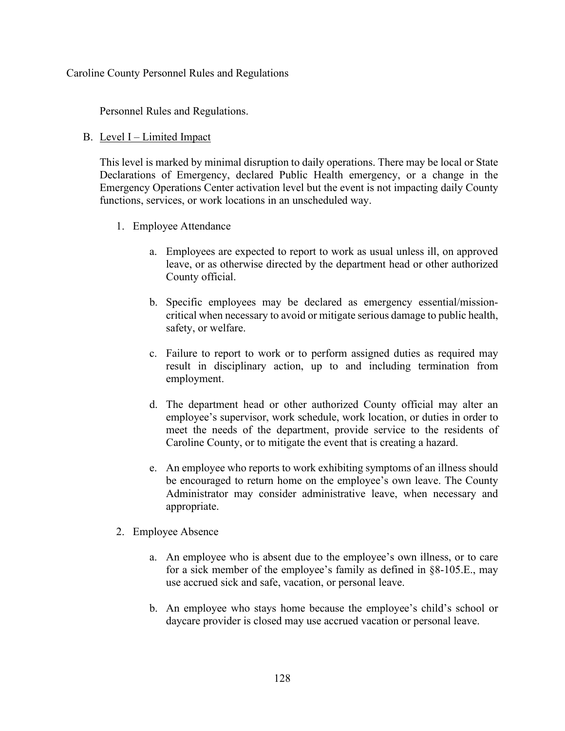Personnel Rules and Regulations.

#### B. Level I – Limited Impact

This level is marked by minimal disruption to daily operations. There may be local or State Declarations of Emergency, declared Public Health emergency, or a change in the Emergency Operations Center activation level but the event is not impacting daily County functions, services, or work locations in an unscheduled way.

- 1. Employee Attendance
	- a. Employees are expected to report to work as usual unless ill, on approved leave, or as otherwise directed by the department head or other authorized County official.
	- b. Specific employees may be declared as emergency essential/missioncritical when necessary to avoid or mitigate serious damage to public health, safety, or welfare.
	- c. Failure to report to work or to perform assigned duties as required may result in disciplinary action, up to and including termination from employment.
	- d. The department head or other authorized County official may alter an employee's supervisor, work schedule, work location, or duties in order to meet the needs of the department, provide service to the residents of Caroline County, or to mitigate the event that is creating a hazard.
	- e. An employee who reports to work exhibiting symptoms of an illness should be encouraged to return home on the employee's own leave. The County Administrator may consider administrative leave, when necessary and appropriate.
- 2. Employee Absence
	- a. An employee who is absent due to the employee's own illness, or to care for a sick member of the employee's family as defined in §8-105.E., may use accrued sick and safe, vacation, or personal leave.
	- b. An employee who stays home because the employee's child's school or daycare provider is closed may use accrued vacation or personal leave.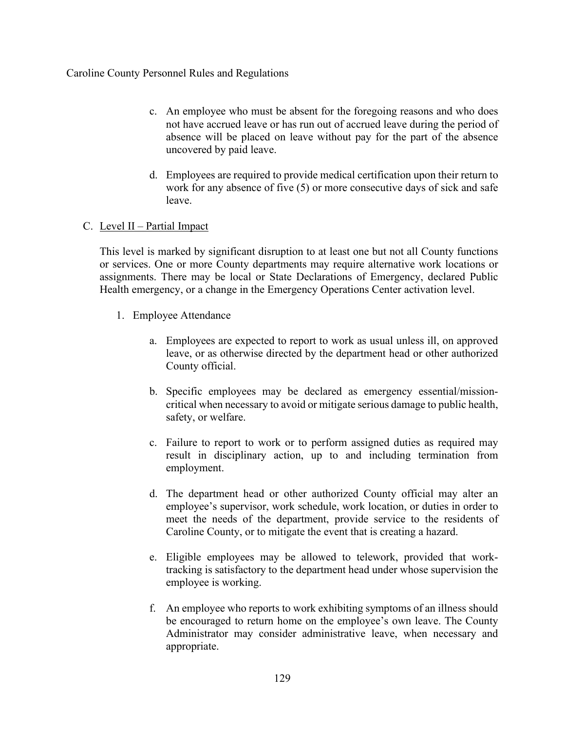- c. An employee who must be absent for the foregoing reasons and who does not have accrued leave or has run out of accrued leave during the period of absence will be placed on leave without pay for the part of the absence uncovered by paid leave.
- d. Employees are required to provide medical certification upon their return to work for any absence of five (5) or more consecutive days of sick and safe leave.

## C. Level II – Partial Impact

This level is marked by significant disruption to at least one but not all County functions or services. One or more County departments may require alternative work locations or assignments. There may be local or State Declarations of Emergency, declared Public Health emergency, or a change in the Emergency Operations Center activation level.

- 1. Employee Attendance
	- a. Employees are expected to report to work as usual unless ill, on approved leave, or as otherwise directed by the department head or other authorized County official.
	- b. Specific employees may be declared as emergency essential/missioncritical when necessary to avoid or mitigate serious damage to public health, safety, or welfare.
	- c. Failure to report to work or to perform assigned duties as required may result in disciplinary action, up to and including termination from employment.
	- d. The department head or other authorized County official may alter an employee's supervisor, work schedule, work location, or duties in order to meet the needs of the department, provide service to the residents of Caroline County, or to mitigate the event that is creating a hazard.
	- e. Eligible employees may be allowed to telework, provided that worktracking is satisfactory to the department head under whose supervision the employee is working.
	- f. An employee who reports to work exhibiting symptoms of an illness should be encouraged to return home on the employee's own leave. The County Administrator may consider administrative leave, when necessary and appropriate.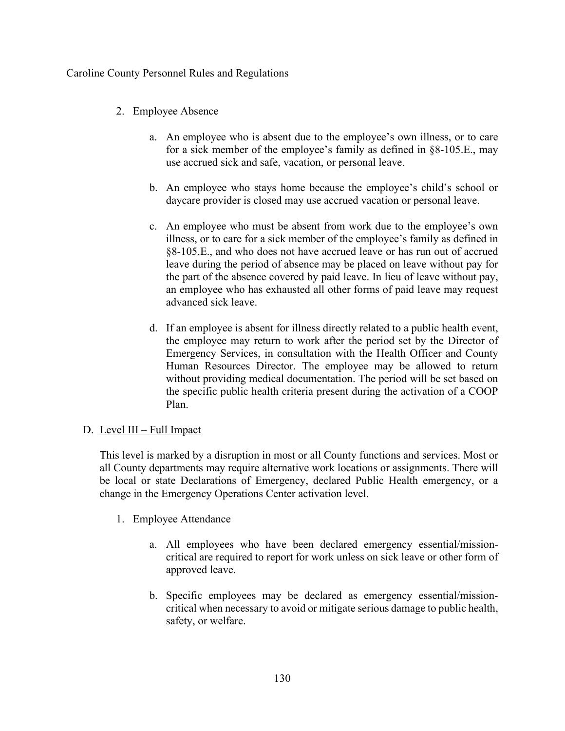- 2. Employee Absence
	- a. An employee who is absent due to the employee's own illness, or to care for a sick member of the employee's family as defined in §8-105.E., may use accrued sick and safe, vacation, or personal leave.
	- b. An employee who stays home because the employee's child's school or daycare provider is closed may use accrued vacation or personal leave.
	- c. An employee who must be absent from work due to the employee's own illness, or to care for a sick member of the employee's family as defined in §8-105.E., and who does not have accrued leave or has run out of accrued leave during the period of absence may be placed on leave without pay for the part of the absence covered by paid leave. In lieu of leave without pay, an employee who has exhausted all other forms of paid leave may request advanced sick leave.
	- d. If an employee is absent for illness directly related to a public health event, the employee may return to work after the period set by the Director of Emergency Services, in consultation with the Health Officer and County Human Resources Director. The employee may be allowed to return without providing medical documentation. The period will be set based on the specific public health criteria present during the activation of a COOP Plan.

# D. Level III – Full Impact

This level is marked by a disruption in most or all County functions and services. Most or all County departments may require alternative work locations or assignments. There will be local or state Declarations of Emergency, declared Public Health emergency, or a change in the Emergency Operations Center activation level.

- 1. Employee Attendance
	- a. All employees who have been declared emergency essential/missioncritical are required to report for work unless on sick leave or other form of approved leave.
	- b. Specific employees may be declared as emergency essential/missioncritical when necessary to avoid or mitigate serious damage to public health, safety, or welfare.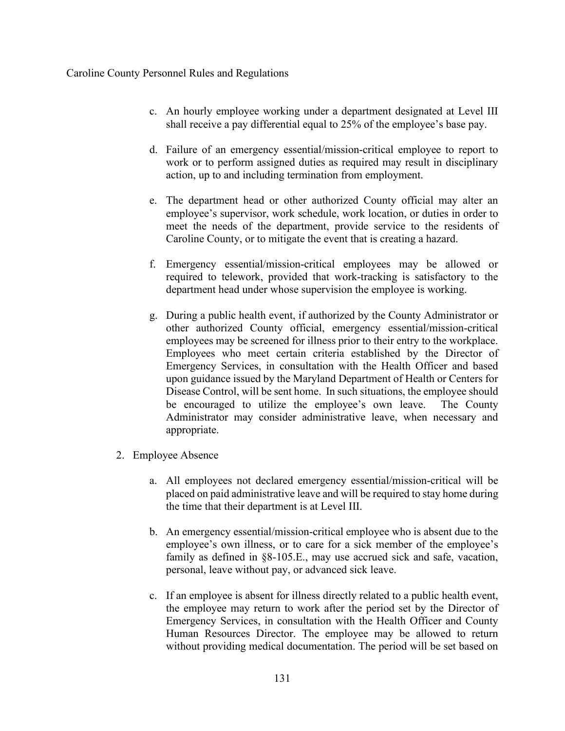- c. An hourly employee working under a department designated at Level III shall receive a pay differential equal to 25% of the employee's base pay.
- d. Failure of an emergency essential/mission-critical employee to report to work or to perform assigned duties as required may result in disciplinary action, up to and including termination from employment.
- e. The department head or other authorized County official may alter an employee's supervisor, work schedule, work location, or duties in order to meet the needs of the department, provide service to the residents of Caroline County, or to mitigate the event that is creating a hazard.
- f. Emergency essential/mission-critical employees may be allowed or required to telework, provided that work-tracking is satisfactory to the department head under whose supervision the employee is working.
- g. During a public health event, if authorized by the County Administrator or other authorized County official, emergency essential/mission-critical employees may be screened for illness prior to their entry to the workplace. Employees who meet certain criteria established by the Director of Emergency Services, in consultation with the Health Officer and based upon guidance issued by the Maryland Department of Health or Centers for Disease Control, will be sent home. In such situations, the employee should be encouraged to utilize the employee's own leave. The County Administrator may consider administrative leave, when necessary and appropriate.
- 2. Employee Absence
	- a. All employees not declared emergency essential/mission-critical will be placed on paid administrative leave and will be required to stay home during the time that their department is at Level III.
	- b. An emergency essential/mission-critical employee who is absent due to the employee's own illness, or to care for a sick member of the employee's family as defined in §8-105.E., may use accrued sick and safe, vacation, personal, leave without pay, or advanced sick leave.
	- c. If an employee is absent for illness directly related to a public health event, the employee may return to work after the period set by the Director of Emergency Services, in consultation with the Health Officer and County Human Resources Director. The employee may be allowed to return without providing medical documentation. The period will be set based on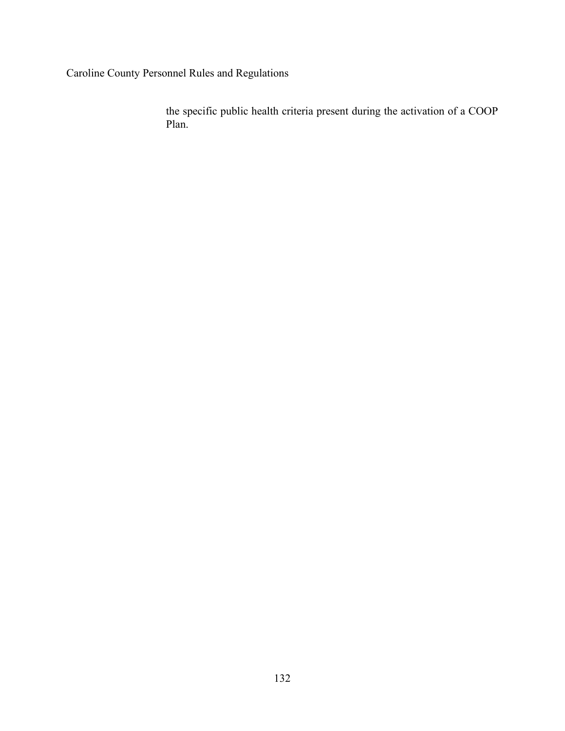the specific public health criteria present during the activation of a COOP Plan.